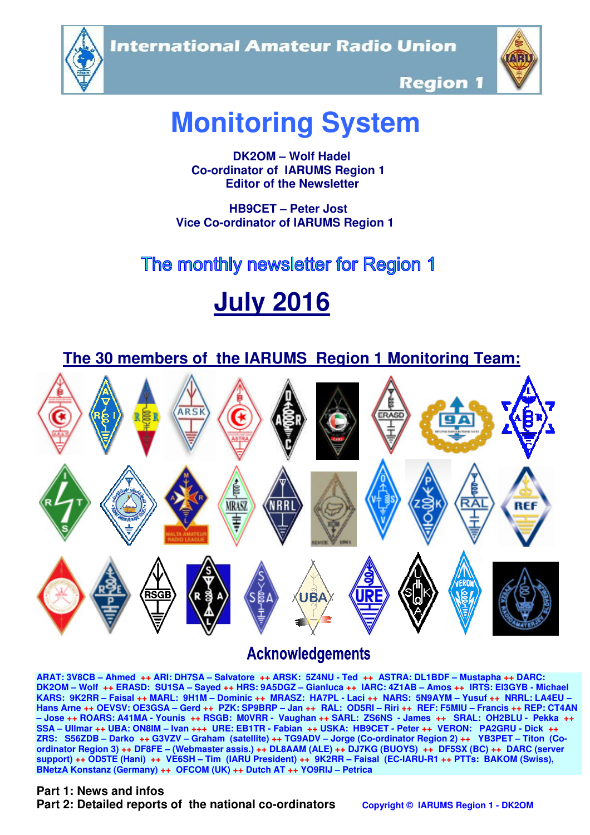**International Amateur Radio Union** 





**Region 1** 

# **Monitoring System**

 **DK2OM – Wolf Hadel Co-ordinator of IARUMS Region 1 Editor of the Newsletter** 

 **HB9CET – Peter Jost Vice Co-ordinator of IARUMS Region 1** 

# The monthly newsletter for Region 1

# **July 2016**

 **The 30 members of the IARUMS Region 1 Monitoring Team:**



# **Acknowledgements**

**ARAT: 3V8CB – Ahmed ++ ARI: DH7SA – Salvatore ++ ARSK: 5Z4NU - Ted ++ ASTRA: DL1BDF – Mustapha ++ DARC: DK2OM – Wolf ++ ERASD: SU1SA – Sayed ++ HRS: 9A5DGZ – Gianluca ++ IARC: 4Z1AB – Amos ++ IRTS: EI3GYB - Michael KARS: 9K2RR – Faisal ++ MARL: 9H1M – Dominic ++ MRASZ: HA7PL - Laci ++ NARS: 5N9AYM – Yusuf ++ NRRL: LA4EU – Hans Arne ++ OEVSV: OE3GSA – Gerd ++ PZK: SP9BRP – Jan ++ RAL: OD5RI – Riri ++ REF: F5MIU – Francis ++ REP: CT4AN – Jose ++ ROARS: A41MA - Younis ++ RSGB: M0VRR - Vaughan ++ SARL: ZS6NS - James ++ SRAL: OH2BLU - Pekka ++ SSA – Ullmar ++ UBA: ON8IM – Ivan +++ URE: EB1TR - Fabian ++ USKA: HB9CET - Peter ++ VERON: PA2GRU - Dick ++ ZRS: S56ZDB – Darko ++ G3VZV – Graham (satellite) ++ TG9ADV – Jorge (Co-ordinator Region 2) ++ YB3PET – Titon (Coordinator Region 3) ++ DF8FE – (Webmaster assis.) ++ DL8AAM (ALE) ++ DJ7KG (BUOYS) ++ DF5SX (BC) ++ DARC (server support) ++ OD5TE (Hani) ++ VE6SH – Tim (IARU President) ++ 9K2RR – Faisal (EC-IARU-R1 ++ PTTs: BAKOM (Swiss), BNetzA Konstanz (Germany) ++ OFCOM (UK) ++ Dutch AT ++ YO9RIJ – Petrica** 

#### **Part 1: News and infos**

**Part 2: Detailed reports of the national co-ordinators copyright © IARUMS Region 1 - DK2OM**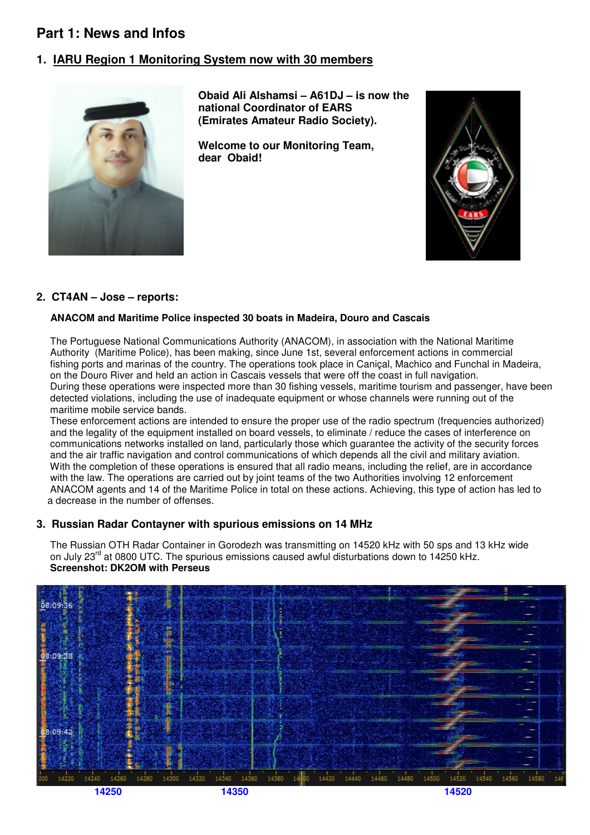## **Part 1: News and Infos**

#### **1. IARU Region 1 Monitoring System now with 30 members**



 **Obaid Ali Alshamsi – A61DJ – is now the national Coordinator of EARS (Emirates Amateur Radio Society).** 

 **Welcome to our Monitoring Team, dear Obaid!** 



#### **2. CT4AN – Jose – reports:**

#### **ANACOM and Maritime Police inspected 30 boats in Madeira, Douro and Cascais**

 The Portuguese National Communications Authority (ANACOM), in association with the National Maritime Authority (Maritime Police), has been making, since June 1st, several enforcement actions in commercial fishing ports and marinas of the country. The operations took place in Caniçal, Machico and Funchal in Madeira, on the Douro River and held an action in Cascais vessels that were off the coast in full navigation. During these operations were inspected more than 30 fishing vessels, maritime tourism and passenger, have been detected violations, including the use of inadequate equipment or whose channels were running out of the maritime mobile service bands.

 These enforcement actions are intended to ensure the proper use of the radio spectrum (frequencies authorized) and the legality of the equipment installed on board vessels, to eliminate / reduce the cases of interference on communications networks installed on land, particularly those which guarantee the activity of the security forces and the air traffic navigation and control communications of which depends all the civil and military aviation. With the completion of these operations is ensured that all radio means, including the relief, are in accordance with the law. The operations are carried out by joint teams of the two Authorities involving 12 enforcement ANACOM agents and 14 of the Maritime Police in total on these actions. Achieving, this type of action has led to a decrease in the number of offenses.

#### **3. Russian Radar Contayner with spurious emissions on 14 MHz**

 The Russian OTH Radar Container in Gorodezh was transmitting on 14520 kHz with 50 sps and 13 kHz wide on July 23<sup>rd</sup> at 0800 UTC. The spurious emissions caused awful disturbations down to 14250 kHz. **Screenshot: DK2OM with Perseus** 

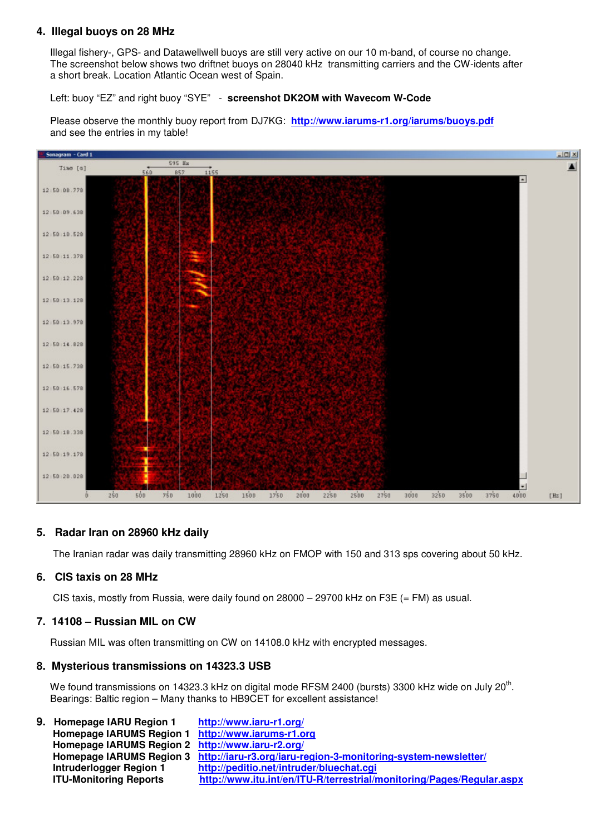#### **4. Illegal buoys on 28 MHz**

 Illegal fishery-, GPS- and Datawellwell buoys are still very active on our 10 m-band, of course no change. The screenshot below shows two driftnet buoys on 28040 kHz transmitting carriers and the CW-idents after a short break. Location Atlantic Ocean west of Spain.

Left: buoy "EZ" and right buoy "SYE" - **screenshot DK2OM with Wavecom W-Code**

 Please observe the monthly buoy report from DJ7KG: **http://www.iarums-r1.org/iarums/buoys.pdf** and see the entries in my table!



#### **5. Radar Iran on 28960 kHz daily**

The Iranian radar was daily transmitting 28960 kHz on FMOP with 150 and 313 sps covering about 50 kHz.

#### **6. CIS taxis on 28 MHz**

CIS taxis, mostly from Russia, were daily found on  $28000 - 29700$  kHz on F3E (= FM) as usual.

#### **7. 14108 – Russian MIL on CW**

Russian MIL was often transmitting on CW on 14108.0 kHz with encrypted messages.

#### **8. Mysterious transmissions on 14323.3 USB**

We found transmissions on 14323.3 kHz on digital mode RFSM 2400 (bursts) 3300 kHz wide on July 20<sup>th</sup>. Bearings: Baltic region – Many thanks to HB9CET for excellent assistance!

**9. Homepage IARU Region 1 http://www.iaru-r1.org/ Homepage IARUMS Region 1 http://www.iarums-r1.org Homepage IARUMS Region 2 http://www.iaru-r2.org/ Homepage IARUMS Region 3 http://iaru-r3.org/iaru-region-3-monitoring-system-newsletter/ Intruderlogger Region 1 http://peditio.net/intruder/bluechat.cgi ITU-Monitoring Reports http://www.itu.int/en/ITU-R/terrestrial/monitoring/Pages/Regular.aspx**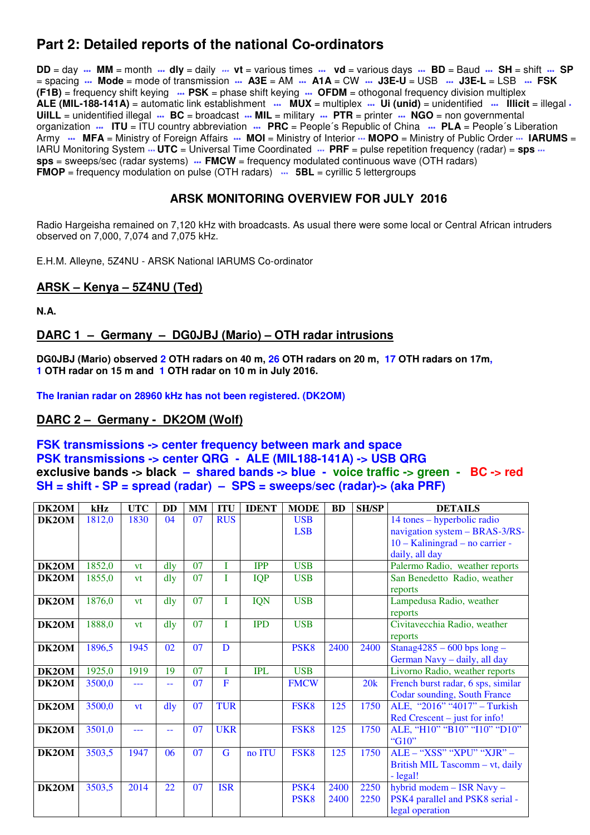## **Part 2: Detailed reports of the national Co-ordinators**

**DD** = day **\*\*\* MM** = month **\*\*\* dly** = daily \*\*\* **vt** = various times **\*\*\* vd** = various days **\*\*\* BD** = Baud **\*\*\* SH** = shift **\*\*\* SP** = spacing **\*\*\* Mode** = mode of transmission **\*\*\* A3E** = AM **\*\*\* A1A** = CW **\*\*\* J3E-U** = USB **\*\*\* J3E-L** = LSB **\*\*\* FSK (F1B)** = frequency shift keying **\*\*\* PSK** = phase shift keying **\*\*\* OFDM** = othogonal frequency division multiplex **ALE (MIL-188-141A)** = automatic link establishment **\*\*\* MUX** = multiplex **\*\*\* Ui (unid)** = unidentified **\*\*\* Illicit** = illegal **\* UiILL** = unidentified illegal **\*\*\* BC** = broadcast **\*\*\* MIL** = military **\*\*\* PTR** = printer **\*\*\* NGO** = non governmental organization **\*\*\* ITU** = ITU country abbreviation **\*\*\* PRC** = People´s Republic of China **\*\*\* PLA** = People´s Liberation Army **\*\*\*** MFA = Ministry of Foreign Affairs \*\*\* MOI = Ministry of Interior \*\*\* MOPO = Ministry of Public Order \*\*\* IARUMS = IARU Monitoring System  $\cdots$  **UTC** = Universal Time Coordinated  $\cdots$  **PRF** = pulse repetition frequency (radar) = **sps**  $\cdots$ **sps** = sweeps/sec (radar systems) **\*\*\* FMCW** = frequency modulated continuous wave (OTH radars) **FMOP** = frequency modulation on pulse (OTH radars)  $\cdots$  **5BL** = cyrillic 5 lettergroups

#### **ARSK MONITORING OVERVIEW FOR JULY 2016**

Radio Hargeisha remained on 7,120 kHz with broadcasts. As usual there were some local or Central African intruders observed on 7,000, 7,074 and 7,075 kHz.

E.H.M. Alleyne, 5Z4NU - ARSK National IARUMS Co-ordinator

#### **ARSK – Kenya – 5Z4NU (Ted)**

**N.A.** 

#### **DARC 1 – Germany – DG0JBJ (Mario) – OTH radar intrusions**

**DG0JBJ (Mario) observed 2 OTH radars on 40 m, 26 OTH radars on 20 m, 17 OTH radars on 17m, 1 OTH radar on 15 m and 1 OTH radar on 10 m in July 2016.** 

**The Iranian radar on 28960 kHz has not been registered. (DK2OM)** 

#### **DARC 2 – Germany - DK2OM (Wolf)**

#### **FSK transmissions -> center frequency between mark and space PSK transmissions -> center QRG - ALE (MIL188-141A) -> USB QRG exclusive bands -> black – shared bands -> blue - voice traffic -> green - BC -> red SH = shift - SP = spread (radar) – SPS = sweeps/sec (radar)-> (aka PRF)**

| <b>DK2OM</b> | kHz    | <b>UTC</b> | <b>DD</b>      | MM | <b>ITU</b>  | <b>IDENT</b> | <b>MODE</b>      | <b>BD</b> | <b>SH/SP</b> | <b>DETAILS</b>                      |
|--------------|--------|------------|----------------|----|-------------|--------------|------------------|-----------|--------------|-------------------------------------|
| <b>DK2OM</b> | 1812,0 | 1830       | 04             | 07 | <b>RUS</b>  |              | <b>USB</b>       |           |              | 14 tones - hyperbolic radio         |
|              |        |            |                |    |             |              | <b>LSB</b>       |           |              | navigation system - BRAS-3/RS-      |
|              |        |            |                |    |             |              |                  |           |              | $10 - Kaliningrad - no carrier -$   |
|              |        |            |                |    |             |              |                  |           |              | daily, all day                      |
| <b>DK2OM</b> | 1852,0 | vt         | $\frac{d}{dy}$ | 07 |             | <b>IPP</b>   | <b>USB</b>       |           |              | Palermo Radio, weather reports      |
| DK2OM        | 1855,0 | vt         | dly            | 07 |             | <b>IQP</b>   | <b>USB</b>       |           |              | San Benedetto Radio, weather        |
|              |        |            |                |    |             |              |                  |           |              | reports                             |
| DK2OM        | 1876,0 | <b>vt</b>  | dly            | 07 | T           | <b>IQN</b>   | <b>USB</b>       |           |              | Lampedusa Radio, weather            |
|              |        |            |                |    |             |              |                  |           |              | reports                             |
| DK2OM        | 1888,0 | <b>vt</b>  | dly            | 07 | T           | <b>IPD</b>   | <b>USB</b>       |           |              | Civitavecchia Radio, weather        |
|              |        |            |                |    |             |              |                  |           |              | reports                             |
| <b>DK2OM</b> | 1896,5 | 1945       | 02             | 07 | D           |              | PSK <sub>8</sub> | 2400      | 2400         | Stanag $4285 - 600$ bps long -      |
|              |        |            |                |    |             |              |                  |           |              | German Navy - daily, all day        |
| DK2OM        | 1925,0 | 1919       | 19             | 07 |             | <b>IPL</b>   | <b>USB</b>       |           |              | Livorno Radio, weather reports      |
| <b>DK2OM</b> | 3500,0 | ---        | --             | 07 | $\mathbf F$ |              | <b>FMCW</b>      |           | 20k          | French burst radar, 6 sps, similar  |
|              |        |            |                |    |             |              |                  |           |              | <b>Codar sounding, South France</b> |
| DK2OM        | 3500,0 | <b>vt</b>  | $\frac{d}{dy}$ | 07 | <b>TUR</b>  |              | FSK8             | 125       | 1750         | ALE, "2016" "4017" - Turkish        |
|              |        |            |                |    |             |              |                  |           |              | $Red$ Crescent – just for info!     |
| DK2OM        | 3501,0 | ---        | 44             | 07 | <b>UKR</b>  |              | FSK8             | 125       | 1750         | ALE, "H10" "B10" "I10" "D10"        |
|              |        |            |                |    |             |              |                  |           |              | "G10"                               |
| DK2OM        | 3503,5 | 1947       | 06             | 07 | G           | no ITU       | FSK8             | 125       | 1750         | ALE - "XSS" "XPU" "XJR" -           |
|              |        |            |                |    |             |              |                  |           |              | British MIL Tascomm - vt, daily     |
|              |        |            |                |    |             |              |                  |           |              | - legal!                            |
| DK2OM        | 3503,5 | 2014       | 22             | 07 | <b>ISR</b>  |              | PSK4             | 2400      | 2250         | hybrid modem - ISR Navy -           |
|              |        |            |                |    |             |              | PSK <sub>8</sub> | 2400      | 2250         | PSK4 parallel and PSK8 serial -     |
|              |        |            |                |    |             |              |                  |           |              | legal operation                     |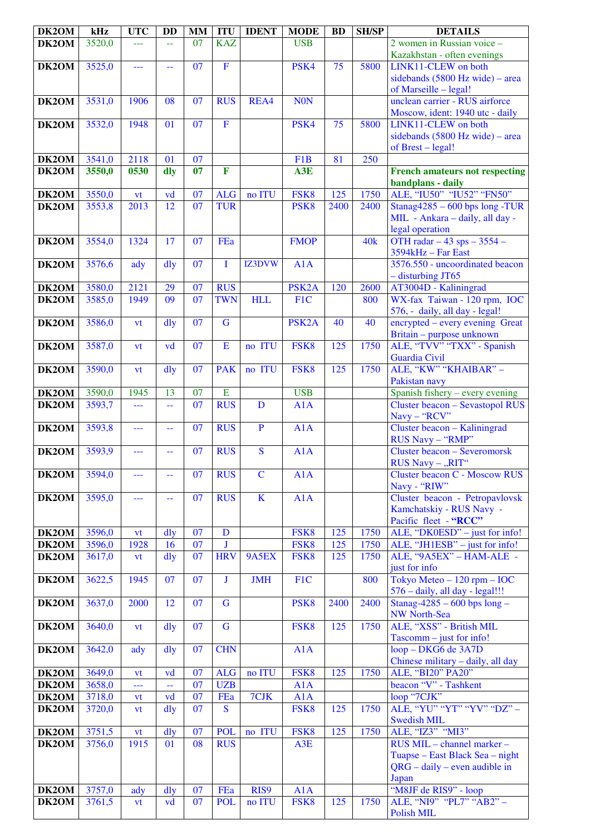| DK2OM          | kHz              | <b>UTC</b>                            | <b>DD</b>                                     | MM              | <b>ITU</b>               | <b>IDENT</b> | <b>MODE</b>        | <b>BD</b> | <b>SH/SP</b> | <b>DETAILS</b>                                                   |
|----------------|------------------|---------------------------------------|-----------------------------------------------|-----------------|--------------------------|--------------|--------------------|-----------|--------------|------------------------------------------------------------------|
| DK2OM          | 3520,0           | ---                                   |                                               | $\overline{07}$ | <b>KAZ</b>               |              | <b>USB</b>         |           |              | 2 women in Russian voice -<br>Kazakhstan - often evenings        |
| DK2OM          | 3525,0           | $\overline{a}$                        | 44                                            | 07              | $\overline{F}$           |              | PSK4               | 75        | 5800         | LINK11-CLEW on both                                              |
|                |                  |                                       |                                               |                 |                          |              |                    |           |              | sidebands $(5800 \text{ Hz wide})$ – area                        |
|                |                  |                                       |                                               |                 |                          |              |                    |           |              | of Marseille - legal!                                            |
| DK2OM          | 3531,0           | 1906                                  | 08                                            | 07              | <b>RUS</b>               | REA4         | <b>NON</b>         |           |              | unclean carrier - RUS airforce                                   |
|                |                  |                                       |                                               |                 |                          |              |                    |           |              | Moscow, ident: 1940 utc - daily                                  |
| DK2OM          | 3532,0           | 1948                                  | 01                                            | 07              | $\mathbf F$              |              | PSK4               | 75        | 5800         | LINK11-CLEW on both                                              |
|                |                  |                                       |                                               |                 |                          |              |                    |           |              | sidebands $(5800 \text{ Hz wide})$ – area                        |
|                |                  |                                       |                                               |                 |                          |              |                    |           |              | of Brest - legal!                                                |
| DK2OM<br>DK2OM | 3541,0           | 2118<br>0530                          | 01                                            | 07<br>07        | $\mathbf F$              |              | F1B                | 81        | 250          |                                                                  |
|                | 3550,0           |                                       | dly                                           |                 |                          |              | A3E                |           |              | <b>French amateurs not respecting</b><br>bandplans - daily       |
| DK2OM          | 3550,0           | vt                                    | vd                                            | 07              | <b>ALG</b>               | no ITU       | FSK8               | 125       | 1750         | ALE, "IU50" "IU52" "FN50"                                        |
| DK2OM          | 3553,8           | 2013                                  | 12                                            | 07              | <b>TUR</b>               |              | PSK <sub>8</sub>   | 2400      | 2400         | Stanag $4285 - 600$ bps long -TUR                                |
|                |                  |                                       |                                               |                 |                          |              |                    |           |              | MIL - Ankara - daily, all day -                                  |
|                |                  |                                       |                                               |                 |                          |              |                    |           |              | legal operation                                                  |
| DK2OM          | 3554,0           | 1324                                  | 17                                            | 07              | FEa                      |              | <b>FMOP</b>        |           | 40k          | OTH radar $-43$ sps $-3554$ -                                    |
|                |                  |                                       |                                               |                 |                          |              |                    |           |              | 3594kHz - Far East                                               |
| DK2OM          | 3576,6           | ady                                   | dly                                           | $\overline{07}$ | I                        | IZ3DVW       | A1A                |           |              | 3576.550 - uncoordinated beacon                                  |
| DK2OM          | 3580,0           | 2121                                  | 29                                            | 07              | <b>RUS</b>               |              | PSK <sub>2</sub> A | 120       | 2600         | $-$ disturbing JT65<br>AT3004D - Kaliningrad                     |
| DK2OM          | 3585,0           | 1949                                  | 09                                            | 07              | <b>TWN</b>               | <b>HLL</b>   | F <sub>1</sub> C   |           | 800          | WX-fax Taiwan - 120 rpm, IOC                                     |
|                |                  |                                       |                                               |                 |                          |              |                    |           |              | 576, - daily, all day - legal!                                   |
| DK2OM          | 3586,0           | vt                                    | dly                                           | $\overline{07}$ | $\overline{\mathbf{G}}$  |              | PSK <sub>2</sub> A | 40        | 40           | encrypted – every evening Great                                  |
|                |                  |                                       |                                               |                 |                          |              |                    |           |              | Britain - purpose unknown                                        |
| DK2OM          | 3587,0           | vt                                    | vd                                            | 07              | $\mathbf E$              | no ITU       | FSK8               | 125       | 1750         | ALE, "TVV" "TXX" - Spanish                                       |
| DK2OM          | 3590,0           |                                       | dly                                           | 07              | <b>PAK</b>               | no ITU       | FSK8               | 125       | 1750         | Guardia Civil<br>ALE, "KW" "KHAIBAR" -                           |
|                |                  | vt                                    |                                               |                 |                          |              |                    |           |              | Pakistan navy                                                    |
| DK2OM          | 3590,0           | 1945                                  | 13                                            | 07              | E                        |              | <b>USB</b>         |           |              | Spanish fishery - every evening                                  |
| DK2OM          | 3593,7           | $\overline{\phantom{a}}$              | ΞĒ,                                           | 07              | <b>RUS</b>               | $\mathbf D$  | A1A                |           |              | <b>Cluster beacon - Sevastopol RUS</b>                           |
|                |                  |                                       |                                               |                 |                          |              |                    |           |              | Navy - "RCV"                                                     |
| DK2OM          | 3593,8           | ---                                   | $\mathord{\hspace{1pt}\text{--}\hspace{1pt}}$ | 07              | <b>RUS</b>               | ${\bf P}$    | A1A                |           |              | Cluster beacon - Kaliningrad                                     |
| DK2OM          | 3593,9           |                                       |                                               | 07              | <b>RUS</b>               | S            | A1A                |           |              | RUS Navy - "RMP"<br><b>Cluster beacon - Severomorsk</b>          |
|                |                  | ---                                   | 44                                            |                 |                          |              |                    |           |              | RUS Navy - "RIT"                                                 |
| DK2OM          | 3594,0           | ---                                   | $\rightarrow$                                 | $\overline{07}$ | <b>RUS</b>               | $\mathbf C$  | A1A                |           |              | <b>Cluster beacon C - Moscow RUS</b>                             |
|                |                  |                                       |                                               |                 |                          |              |                    |           |              | Navy - "RIW"                                                     |
| DK2OM          | 3595,0           | ---                                   | 44                                            | 07              | <b>RUS</b>               | $\mathbf K$  | A1A                |           |              | Cluster beacon - Petropavlovsk                                   |
|                |                  |                                       |                                               |                 |                          |              |                    |           |              | Kamchatskiy - RUS Navy -                                         |
| DK2OM          | 3596,0           |                                       | $\frac{d}{dy}$                                | 07              | $\mathbf D$              |              | FSK8               | 125       | 1750         | Pacific fleet - "RCC"                                            |
| DK2OM          | 3596,0           | vt<br>1928                            | 16                                            | $\overline{07}$ | J                        |              | FSK8               | 125       | 1750         | ALE, "DK0ESD" - just for info!<br>ALE, "JH1ESB" - just for info! |
| DK2OM          | 3617,0           | vt                                    | $\frac{d}{dy}$                                | 07              | <b>HRV</b>               | 9A5EX        | FSK8               | 125       | 1750         | ALE, "9A5EX" - HAM-ALE -                                         |
|                |                  |                                       |                                               |                 |                          |              |                    |           |              | just for info                                                    |
| DK2OM          | 3622,5           | 1945                                  | 07                                            | 07              | J                        | <b>JMH</b>   | F1C                |           | 800          | Tokyo Meteo $-120$ rpm $-$ IOC                                   |
|                |                  |                                       |                                               |                 |                          |              |                    |           |              | 576 - daily, all day - legal!!!                                  |
| DK2OM          | 3637,0           | 2000                                  | 12                                            | 07              | $\mathbf G$              |              | PSK <sub>8</sub>   | 2400      | 2400         | Stanag-4285 - 600 bps $long -$<br><b>NW North-Sea</b>            |
| DK2OM          | 3640,0           | vt                                    | $\frac{d}{dy}$                                | 07              | $\overline{G}$           |              | FSK8               | 125       | 1750         | ALE, "XSS" - British MIL                                         |
|                |                  |                                       |                                               |                 |                          |              |                    |           |              | $Tascomm - just for info!$                                       |
| DK2OM          | 3642,0           | ady                                   | $\frac{d}{dy}$                                | 07              | <b>CHN</b>               |              | A1A                |           |              | loop - DKG6 de 3A7D                                              |
|                |                  |                                       |                                               |                 |                          |              |                    |           |              | Chinese military - daily, all day                                |
| DK2OM          | 3649,0<br>3658,0 | <b>vt</b><br>$\overline{\phantom{a}}$ | vd                                            | 07<br>07        | <b>ALG</b><br><b>UZB</b> | no ITU       | FSK8<br>A1A        | 125       | 1750         | ALE, "BI20" PA20"<br>beacon "V" - Tashkent                       |
| DK2OM<br>DK2OM | 3718,0           | vt                                    | $\Box$<br>vd                                  | 07              | FEa                      | 7CJK         | A1A                |           |              | loop "7CJK"                                                      |
| DK2OM          | 3720,0           | vt                                    | dly                                           | 07              | $\mathbf S$              |              | FSK8               | 125       | 1750         | ALE, "YU" "YT" "YV" "DZ" -                                       |
|                |                  |                                       |                                               |                 |                          |              |                    |           |              | <b>Swedish MIL</b>                                               |
| DK2OM          | 3751,5           | <b>vt</b>                             | dly                                           | 07              | <b>POL</b>               | no ITU       | FSK8               | 125       | 1750         | ALE, "IZ3" "MI3"                                                 |
| DK2OM          | 3756,0           | 1915                                  | 01                                            | 08              | <b>RUS</b>               |              | A3E                |           |              | RUS MIL - channel marker -                                       |
|                |                  |                                       |                                               |                 |                          |              |                    |           |              | Tuapse - East Black Sea - night                                  |
|                |                  |                                       |                                               |                 |                          |              |                    |           |              | $QRG - daily - even$ audible in<br>Japan                         |
| DK2OM          | 3757,0           | ady                                   | dly                                           | 07              | FEa                      | RIS9         | A1A                |           |              | "M8JF de RIS9" - loop                                            |
| DK2OM          | 3761,5           | vt                                    | vd                                            | 07              | <b>POL</b>               | no ITU       | FSK8               | 125       | 1750         | ALE, "NI9" "PL7" "AB2" -                                         |
|                |                  |                                       |                                               |                 |                          |              |                    |           |              | Polish MIL                                                       |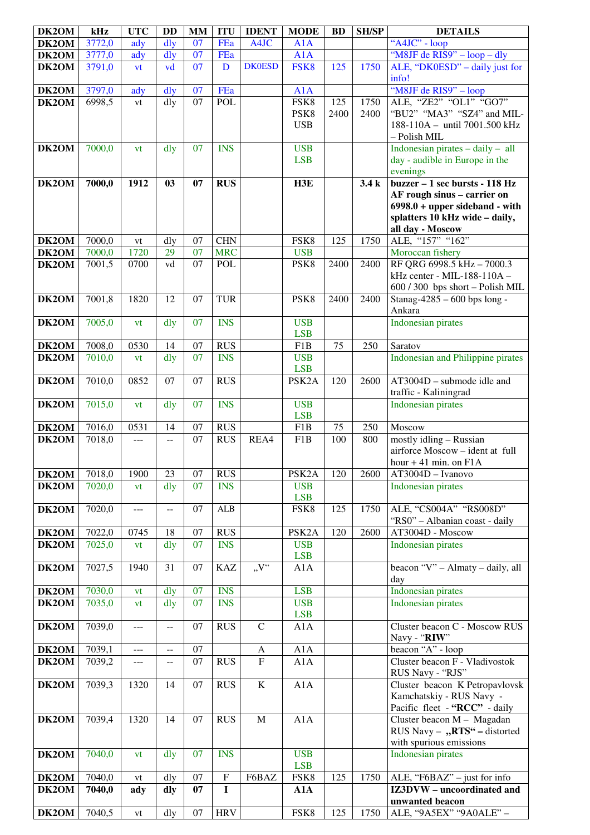| DK2OM | kHz    | <b>UTC</b> | <b>DD</b>                | <b>MM</b>       | <b>ITU</b>  | <b>IDENT</b>   | <b>MODE</b>              | <b>BD</b> | <b>SH/SP</b> | <b>DETAILS</b>                                                                    |
|-------|--------|------------|--------------------------|-----------------|-------------|----------------|--------------------------|-----------|--------------|-----------------------------------------------------------------------------------|
| DK2OM | 3772,0 | ady        | $\frac{d}{dy}$           | 07              | FEa         | A4JC           | A1A                      |           |              | "A4JC" - loop                                                                     |
| DK2OM | 3777,0 | ady        | dly                      | $\overline{07}$ | FEa         |                | A1A                      |           |              | "M8JF de RIS9" - loop - dly                                                       |
| DK2OM | 3791,0 | vt         | vd                       | $\overline{07}$ | D           | <b>DK0ESD</b>  | FSK8                     | 125       | 1750         | ALE, "DK0ESD" – daily just for                                                    |
|       |        |            |                          |                 |             |                |                          |           |              | info!                                                                             |
| DK2OM | 3797,0 | ady        | $\frac{d}{dy}$           | 07              | FEa         |                | A1A                      |           |              | "M8JF de RIS9" - loop                                                             |
| DK2OM | 6998,5 | vt         | dly                      | 07              | <b>POL</b>  |                | FSK8                     | 125       | 1750         | ALE, "ZE2" "OL1" "GO7"                                                            |
|       |        |            |                          |                 |             |                | PSK8                     | 2400      | 2400         | "BU2" "MA3" "SZ4" and MIL-                                                        |
|       |        |            |                          |                 |             |                | <b>USB</b>               |           |              | 188-110A - until 7001.500 kHz                                                     |
|       |        |            |                          |                 |             |                |                          |           |              | - Polish MIL                                                                      |
| DK2OM | 7000,0 | vt         | dly                      | 07              | <b>INS</b>  |                | <b>USB</b>               |           |              | Indonesian pirates $-$ daily $-$ all                                              |
|       |        |            |                          |                 |             |                | <b>LSB</b>               |           |              | day - audible in Europe in the                                                    |
|       |        |            |                          |                 |             |                |                          |           |              | evenings                                                                          |
| DK2OM | 7000,0 | 1912       | 03                       | 07              | <b>RUS</b>  |                | H3E                      |           | 3.4k         | buzzer - 1 sec bursts - 118 Hz                                                    |
|       |        |            |                          |                 |             |                |                          |           |              | AF rough sinus - carrier on                                                       |
|       |        |            |                          |                 |             |                |                          |           |              | $6998.0 + upper sideband - with$                                                  |
|       |        |            |                          |                 |             |                |                          |           |              | splatters 10 kHz wide - daily,                                                    |
|       |        |            |                          |                 |             |                |                          |           |              | all day - Moscow                                                                  |
| DK2OM | 7000,0 | vt         | dly                      | 07              | <b>CHN</b>  |                | FSK8                     | 125       | 1750         | ALE, "157" "162"                                                                  |
| DK2OM | 7000,0 | 1720       | 29                       | 07              | <b>MRC</b>  |                | <b>USB</b>               |           |              | Moroccan fishery                                                                  |
| DK2OM | 7001,5 | 0700       | vd                       | 07              | POL         |                | PSK8                     | 2400      | 2400         | RF QRG 6998.5 kHz - 7000.3                                                        |
|       |        |            |                          |                 |             |                |                          |           |              | kHz center - MIL-188-110A -                                                       |
|       |        |            |                          |                 |             |                |                          |           |              | 600 / 300 bps short - Polish MIL                                                  |
| DK2OM | 7001,8 | 1820       | 12                       | 07              | <b>TUR</b>  |                | PSK8                     | 2400      | 2400         | Stanag-4285 - 600 bps long -                                                      |
|       |        |            |                          |                 |             |                |                          |           |              | Ankara                                                                            |
| DK2OM | 7005,0 | vt         | dly                      | 07              | <b>INS</b>  |                | <b>USB</b>               |           |              | <b>Indonesian pirates</b>                                                         |
|       |        |            |                          |                 |             |                | <b>LSB</b>               |           |              |                                                                                   |
| DK2OM | 7008,0 | 0530       | 14                       | 07              | <b>RUS</b>  |                | F <sub>1</sub> B         | 75        | 250          | Saratov                                                                           |
| DK2OM | 7010,0 | vt         | dly                      | 07              | <b>INS</b>  |                | <b>USB</b>               |           |              | Indonesian and Philippine pirates                                                 |
|       |        |            |                          |                 |             |                | <b>LSB</b>               |           |              |                                                                                   |
| DK2OM | 7010,0 | 0852       | 07                       | 07              | <b>RUS</b>  |                | PSK <sub>2</sub> A       | 120       | 2600         | $AT3004D$ – submode idle and                                                      |
|       |        |            |                          |                 |             |                |                          |           |              | traffic - Kaliningrad                                                             |
| DK2OM | 7015,0 | vt         | dly                      | 07              | <b>INS</b>  |                | <b>USB</b>               |           |              | <b>Indonesian pirates</b>                                                         |
|       |        |            |                          |                 |             |                | <b>LSB</b>               |           |              |                                                                                   |
| DK2OM | 7016,0 | 0531       | 14                       | 07              | <b>RUS</b>  |                | F1B                      | 75        | 250          | Moscow                                                                            |
| DK2OM | 7018,0 | $---$      | $- -$                    | 07              | <b>RUS</b>  | REA4           | F1B                      | 100       | 800          | mostly idling - Russian                                                           |
|       |        |            |                          |                 |             |                |                          |           |              | airforce Moscow - ident at full                                                   |
|       |        |            |                          |                 |             |                |                          |           |              | hour $+41$ min. on $F1A$                                                          |
| DK2OM | 7018,0 | 1900       | 23                       | 07              | <b>RUS</b>  |                | PSK2A                    | 120       | 2600         | $AT3004D - Ivanovo$                                                               |
| DK2OM | 7020,0 | vt         | dly                      | 07              | <b>INS</b>  |                | <b>USB</b>               |           |              | <b>Indonesian pirates</b>                                                         |
|       |        |            |                          |                 |             |                | <b>LSB</b>               |           |              |                                                                                   |
| DK2OM | 7020,0 | ---        | $\overline{\phantom{a}}$ | 07              | ${\bf ALB}$ |                | FSK8                     | 125       | 1750         | ALE, "CS004A" "RS008D"                                                            |
|       |        |            |                          |                 |             |                |                          |           |              | "RS0" - Albanian coast - daily                                                    |
| DK2OM | 7022,0 | 0745       | 18                       | 07              | <b>RUS</b>  |                | PSK <sub>2</sub> A       | 120       | 2600         | AT3004D - Moscow                                                                  |
| DK2OM | 7025,0 | vt         | dly                      | 07              | <b>INS</b>  |                | <b>USB</b>               |           |              | <b>Indonesian pirates</b>                                                         |
|       |        |            |                          |                 |             |                | <b>LSB</b>               |           |              |                                                                                   |
| DK2OM | 7027,5 | 1940       | 31                       | 07              | <b>KAZ</b>  | V''            | A1A                      |           |              | beacon $\sqrt{\mathbf{V}^{\prime\prime} - \mathbf{Almaty} - \mathbf{d}$ aily, all |
|       |        |            |                          | 07              |             |                | <b>LSB</b>               |           |              | day                                                                               |
| DK2OM | 7030,0 | vt         | dly                      |                 | <b>INS</b>  |                |                          |           |              | Indonesian pirates                                                                |
| DK2OM | 7035,0 | vt         | dly                      | 07              | <b>INS</b>  |                | <b>USB</b><br><b>LSB</b> |           |              | <b>Indonesian pirates</b>                                                         |
| DK2OM | 7039,0 | $---$      | $- -$                    | 07              | <b>RUS</b>  | $\mathbf C$    | A1A                      |           |              | Cluster beacon C - Moscow RUS                                                     |
|       |        |            |                          |                 |             |                |                          |           |              | Navy - "RIW"                                                                      |
| DK2OM | 7039,1 | $---$      | $\overline{\phantom{a}}$ | 07              |             | A              | A1A                      |           |              | beacon "A" - loop                                                                 |
| DK2OM | 7039,2 | $---$      | $\mathcal{L} =$          | $\overline{07}$ | <b>RUS</b>  | $\overline{F}$ | A1A                      |           |              | Cluster beacon F - Vladivostok                                                    |
|       |        |            |                          |                 |             |                |                          |           |              | RUS Navy - "RJS"                                                                  |
| DK2OM | 7039,3 | 1320       | 14                       | 07              | <b>RUS</b>  | $\bf K$        | A1A                      |           |              | Cluster beacon K Petropavlovsk                                                    |
|       |        |            |                          |                 |             |                |                          |           |              | Kamchatskiy - RUS Navy -                                                          |
|       |        |            |                          |                 |             |                |                          |           |              | Pacific fleet - "RCC" - daily                                                     |
| DK2OM | 7039,4 | 1320       | 14                       | $\overline{07}$ | <b>RUS</b>  | $\mathbf M$    | A1A                      |           |              | Cluster beacon M - Magadan                                                        |
|       |        |            |                          |                 |             |                |                          |           |              | RUS Navy - "RTS" - distorted                                                      |
|       |        |            |                          |                 |             |                |                          |           |              | with spurious emissions                                                           |
| DK2OM |        |            |                          |                 | <b>INS</b>  |                | <b>USB</b>               |           |              | <b>Indonesian pirates</b>                                                         |
|       |        |            |                          |                 |             |                |                          |           |              |                                                                                   |
|       | 7040,0 | vt         | dly                      | 07              |             |                |                          |           |              |                                                                                   |
|       |        |            |                          |                 |             |                | <b>LSB</b>               |           |              |                                                                                   |
| DK2OM | 7040,0 | vt         | dly                      | 07              | ${\bf F}$   | F6BAZ          | FSK <sub>8</sub>         | 125       | 1750         | ALE, "F6BAZ" - just for info                                                      |
| DK2OM | 7040,0 | ady        | dly                      | 07              | $\mathbf I$ |                | A1A                      |           |              | IZ3DVW - uncoordinated and<br>unwanted beacon                                     |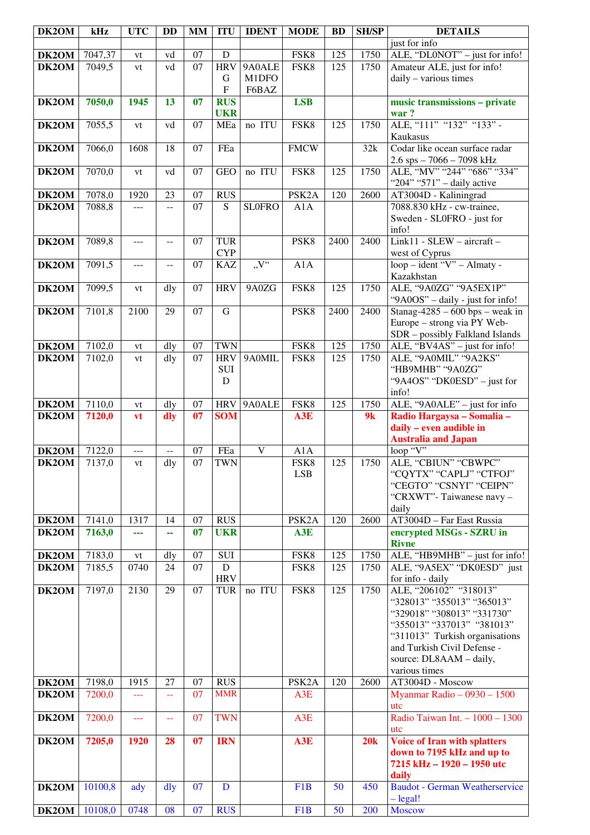| DK2OM | kHz     | <b>UTC</b>           | DD                                            | <b>MM</b>       | <b>ITU</b>                               | <b>IDENT</b>   | <b>MODE</b>        | <b>BD</b> | <b>SH/SP</b> | <b>DETAILS</b>                                                 |
|-------|---------|----------------------|-----------------------------------------------|-----------------|------------------------------------------|----------------|--------------------|-----------|--------------|----------------------------------------------------------------|
|       |         |                      |                                               |                 |                                          |                |                    |           |              | just for info                                                  |
| DK2OM | 7047,37 | vt                   | vd                                            | $\overline{07}$ | D                                        |                | FSK8               | 125       | 1750         | ALE, "DL0NOT" - just for info!                                 |
| DK2OM | 7049,5  | vt                   | vd                                            | $\overline{07}$ | <b>HRV</b>                               | 9A0ALE         | FSK8               | 125       | 1750         | Amateur ALE, just for info!                                    |
|       |         |                      |                                               |                 | $\mathbf G$<br>$\boldsymbol{\mathrm{F}}$ | M1DFO<br>F6BAZ |                    |           |              | daily - various times                                          |
| DK2OM | 7050,0  | 1945                 | 13                                            | 07              | <b>RUS</b>                               |                | <b>LSB</b>         |           |              | music transmissions - private                                  |
|       |         |                      |                                               |                 | <b>UKR</b>                               |                |                    |           |              | war?                                                           |
| DK2OM | 7055,5  | vt                   | vd                                            | 07              | MEa                                      | no ITU         | FSK8               | 125       | 1750         | ALE, "111" "132" "133" -                                       |
|       |         |                      |                                               |                 |                                          |                |                    |           |              | Kaukasus                                                       |
| DK2OM | 7066,0  | 1608                 | 18                                            | 07              | FEa                                      |                | <b>FMCW</b>        |           | 32k          | Codar like ocean surface radar                                 |
|       |         |                      |                                               |                 |                                          |                |                    |           |              | 2.6 sps - 7066 - 7098 kHz                                      |
| DK2OM | 7070,0  | vt                   | vd                                            | 07              | <b>GEO</b>                               | no ITU         | FSK8               | 125       | 1750         | ALE, "MV" "244" "686" "334"                                    |
|       |         |                      |                                               |                 |                                          |                |                    |           |              | "204" "571" - daily active                                     |
| DK2OM | 7078,0  | 1920                 | 23                                            | 07              | <b>RUS</b>                               |                | PSK <sub>2</sub> A | 120       | 2600         | AT3004D - Kaliningrad                                          |
| DK2OM | 7088,8  | $ -$                 | $-$                                           | $\overline{07}$ | $\overline{S}$                           | <b>SLOFRO</b>  | A1A                |           |              | 7088.830 kHz - cw-trainee,<br>Sweden - SL0FRO - just for       |
|       |         |                      |                                               |                 |                                          |                |                    |           |              | info!                                                          |
| DK2OM | 7089,8  | $ -$                 | $\overline{a}$                                | 07              | <b>TUR</b>                               |                | PSK8               | 2400      | 2400         | Link11 - SLEW - aircraft -                                     |
|       |         |                      |                                               |                 | <b>CYP</b>                               |                |                    |           |              | west of Cyprus                                                 |
| DK2OM | 7091,5  | $- - -$              | $-$                                           | 07              | <b>KAZ</b>                               | V''            | A1A                |           |              | $loop - ident 'V' - Almaty -$                                  |
|       |         |                      |                                               |                 |                                          |                |                    |           |              | Kazakhstan                                                     |
| DK2OM | 7099,5  | vt                   | dly                                           | 07              | <b>HRV</b>                               | 9A0ZG          | FSK8               | 125       | 1750         | ALE, "9A0ZG" "9A5EX1P"                                         |
|       |         |                      |                                               |                 |                                          |                |                    |           |              | "9A0OS" - daily - just for info!                               |
| DK2OM | 7101,8  | 2100                 | 29                                            | 07              | $\mathbf G$                              |                | PSK8               | 2400      | 2400         | Stanag-4285 – 600 bps – weak in                                |
|       |         |                      |                                               |                 |                                          |                |                    |           |              | Europe - strong via PY Web-<br>SDR - possibly Falkland Islands |
| DK2OM | 7102,0  | vt                   | dly                                           | 07              | <b>TWN</b>                               |                | FSK8               | 125       | 1750         | ALE, "BV4AS" - just for info!                                  |
| DK2OM | 7102,0  | vt                   | dly                                           | 07              | <b>HRV</b>                               | 9A0MIL         | FSK8               | 125       | 1750         | ALE, "9A0MIL" "9A2KS"                                          |
|       |         |                      |                                               |                 | SUI                                      |                |                    |           |              | "HB9MHB" "9A0ZG"                                               |
|       |         |                      |                                               |                 | D                                        |                |                    |           |              | "9A4OS" "DK0ESD" - just for                                    |
|       |         |                      |                                               |                 |                                          |                |                    |           |              | info!                                                          |
| DK2OM | 7110,0  | vt                   | dly                                           | 07              | <b>HRV</b>                               | 9A0ALE         | FSK8               | 125       | 1750         | ALE, "9A0ALE" - just for info                                  |
| DK2OM | 7120,0  | vt                   | dly                                           | 07              | <b>SOM</b>                               |                | A3E                |           | 9k           | Radio Hargaysa - Somalia -                                     |
|       |         |                      |                                               |                 |                                          |                |                    |           |              | daily - even audible in                                        |
| DK2OM | 7122,0  | $\sim$ $\sim$ $\sim$ | $\mathord{\hspace{1pt}\text{--}\hspace{1pt}}$ | 07              | FEa                                      | $\mathbf V$    | A1A                |           |              | <b>Australia and Japan</b><br>loop "V"                         |
| DK2OM | 7137,0  | vt                   | dly                                           | $\overline{07}$ | <b>TWN</b>                               |                | FSK8               | 125       | 1750         | ALE, "CBIUN" "CBWPC"                                           |
|       |         |                      |                                               |                 |                                          |                | <b>LSB</b>         |           |              | "CQYTX" "CAPLJ" "CTFOJ"                                        |
|       |         |                      |                                               |                 |                                          |                |                    |           |              | "CEGTO" "CSNYI" "CEIPN"                                        |
|       |         |                      |                                               |                 |                                          |                |                    |           |              | "CRXWT"-Taiwanese navy -                                       |
|       |         |                      |                                               |                 |                                          |                |                    |           |              | daily                                                          |
| DK2OM | 7141,0  | 1317                 | 14                                            | 07              | <b>RUS</b>                               |                | PSK <sub>2</sub> A | 120       | 2600         | AT3004D - Far East Russia                                      |
| DK2OM | 7163,0  | ---                  | 44                                            | 07              | <b>UKR</b>                               |                | A3E                |           |              | encrypted MSGs - SZRU in<br><b>Rivne</b>                       |
| DK2OM | 7183,0  | vt                   | dly                                           | 07              | SUI                                      |                | FSK8               | 125       | 1750         | ALE, "HB9MHB" - just for info!                                 |
| DK2OM | 7185,5  | 0740                 | 24                                            | 07              | ${\bf D}$                                |                | FSK8               | 125       | 1750         | ALE, "9A5EX" "DK0ESD" just                                     |
|       |         |                      |                                               |                 | <b>HRV</b>                               |                |                    |           |              | for info - daily                                               |
| DK2OM | 7197,0  | 2130                 | 29                                            | 07              | <b>TUR</b>                               | no ITU         | FSK8               | 125       | 1750         | ALE, "206102" "318013"                                         |
|       |         |                      |                                               |                 |                                          |                |                    |           |              | "328013" "355013" "365013"                                     |
|       |         |                      |                                               |                 |                                          |                |                    |           |              | "329018" "308013" "331730"                                     |
|       |         |                      |                                               |                 |                                          |                |                    |           |              | "355013" "337013" "381013"                                     |
|       |         |                      |                                               |                 |                                          |                |                    |           |              | "311013" Turkish organisations<br>and Turkish Civil Defense -  |
|       |         |                      |                                               |                 |                                          |                |                    |           |              | source: DL8AAM - daily,                                        |
|       |         |                      |                                               |                 |                                          |                |                    |           |              | various times                                                  |
| DK2OM | 7198,0  | 1915                 | 27                                            | 07              | <b>RUS</b>                               |                | PSK <sub>2</sub> A | 120       | 2600         | AT3004D - Moscow                                               |
| DK2OM | 7200,0  | $\perp$ . $\perp$    | $\sim$ $\sim$                                 | 07              | <b>MMR</b>                               |                | A3E                |           |              | Myanmar Radio - $0930 - 1500$                                  |
|       |         |                      |                                               |                 |                                          |                |                    |           |              | utc                                                            |
| DK2OM | 7200,0  | $\overline{a}$       | $\mathbb{L} \mathbb{L}$                       | 07              | <b>TWN</b>                               |                | A3E                |           |              | Radio Taiwan Int. - 1000 - 1300                                |
|       |         |                      |                                               |                 |                                          |                |                    |           |              | utc                                                            |
| DK2OM | 7205,0  | 1920                 | 28                                            | 07              | <b>IRN</b>                               |                | A3E                |           | 20k          | <b>Voice of Iran with splatters</b>                            |
|       |         |                      |                                               |                 |                                          |                |                    |           |              | down to 7195 kHz and up to<br>7215 kHz - 1920 - 1950 utc       |
|       |         |                      |                                               |                 |                                          |                |                    |           |              | daily                                                          |
| DK2OM | 10100,8 | ady                  | $\frac{d}{dy}$                                | 07              | D                                        |                | F1B                | 50        | 450          | <b>Baudot - German Weatherservice</b>                          |
|       |         |                      |                                               |                 |                                          |                |                    |           |              | $-\text{legal!}$                                               |
| DK2OM | 10108,0 | 0748                 | 08                                            | 07              | <b>RUS</b>                               |                | F <sub>1</sub> B   | 50        | 200          | <b>Moscow</b>                                                  |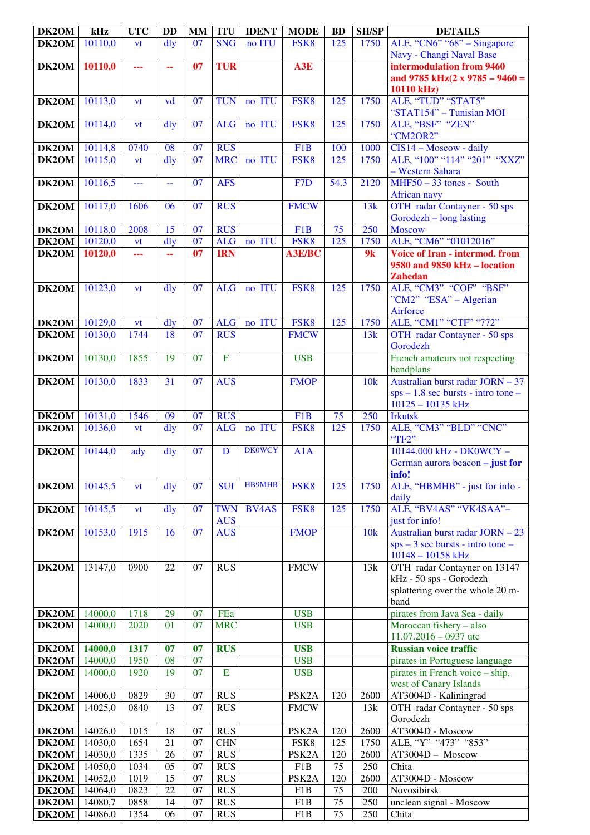| DK2OM | kHz     | <b>UTC</b>               | <b>DD</b>      | MM | <b>ITU</b>               | <b>IDENT</b>  | <b>MODE</b>        | <b>BD</b>        | <b>SH/SP</b> | <b>DETAILS</b>                                                                                      |
|-------|---------|--------------------------|----------------|----|--------------------------|---------------|--------------------|------------------|--------------|-----------------------------------------------------------------------------------------------------|
| DK2OM | 10110,0 | vt                       | $\frac{d}{dy}$ | 07 | <b>SNG</b>               | no ITU        | FSK8               | 125              | 1750         | ALE, "CN6" "68" – Singapore<br>Navy - Changi Naval Base                                             |
| DK2OM | 10110,0 | ---                      | 44             | 07 | <b>TUR</b>               |               | A3E                |                  |              | intermodulation from 9460                                                                           |
|       |         |                          |                |    |                          |               |                    |                  |              | and 9785 kHz $(2 x 9785 - 9460)$<br>10110 kHz)                                                      |
| DK2OM | 10113,0 | vt                       | vd             | 07 | <b>TUN</b>               | no ITU        | FSK8               | 125              | 1750         | ALE, "TUD" "STAT5"<br>"STAT154" - Tunisian MOI                                                      |
| DK2OM | 10114,0 | vt                       | dly            | 07 | <b>ALG</b>               | no ITU        | FSK8               | 125              | 1750         | ALE, "BSF" "ZEN"<br>"CM2OR2"                                                                        |
| DK2OM | 10114,8 | 0740                     | 08             | 07 | <b>RUS</b>               |               | F1B                | 100              | 1000         | $\overline{CIS}14 - Moscow - daily$                                                                 |
| DK2OM | 10115,0 | vt                       | $\frac{d}{dy}$ | 07 | <b>MRC</b>               | no ITU        | FSK8               | 125              | 1750         | ALE, "100" "114" "201" "XXZ"                                                                        |
|       |         |                          |                |    |                          |               |                    |                  |              | - Western Sahara                                                                                    |
| DK2OM | 10116,5 | $\overline{\phantom{a}}$ | 44             | 07 | <b>AFS</b>               |               | F <sub>7</sub> D   | 54.3             | 2120         | $MHF50 - 33$ tones - South<br>African navy                                                          |
| DK2OM | 10117,0 | 1606                     | 06             | 07 | <b>RUS</b>               |               | <b>FMCW</b>        |                  | 13k          | OTH radar Contayner - 50 sps<br>Gorodezh – long lasting                                             |
| DK2OM | 10118,0 | 2008                     | 15             | 07 | <b>RUS</b>               |               | F1B                | 75               | 250          | <b>Moscow</b>                                                                                       |
| DK2OM | 10120,0 | <b>vt</b>                | dly            | 07 | <b>ALG</b>               | no ITU        | FSK8               | 125              | 1750         | ALE, "CM6" "01012016"                                                                               |
| DK2OM | 10120,0 | ---                      | 44             | 07 | <b>IRN</b>               |               | <b>A3E/BC</b>      |                  | 9k           | <b>Voice of Iran - intermod. from</b><br>9580 and 9850 kHz - location<br><b>Zahedan</b>             |
| DK2OM | 10123,0 | vt                       | $\frac{d}{dy}$ | 07 | <b>ALG</b>               | no ITU        | FSK8               | $\overline{125}$ | 1750         | ALE, "CM3" "COF" "BSF"<br>"CM2" "ESA" – Algerian<br>Airforce                                        |
| DK2OM | 10129,0 | vt                       | $\frac{d}{dy}$ | 07 | <b>ALG</b>               | no ITU        | FSK8               | 125              | 1750         | ALE, "CM1" "CTF" "772"                                                                              |
| DK2OM | 10130,0 | 1744                     | 18             | 07 | <b>RUS</b>               |               | <b>FMCW</b>        |                  | 13k          | OTH radar Contayner - 50 sps<br>Gorodezh                                                            |
| DK2OM | 10130,0 | 1855                     | 19             | 07 | $\overline{F}$           |               | <b>USB</b>         |                  |              | French amateurs not respecting<br>bandplans                                                         |
| DK2OM | 10130,0 | 1833                     | 31             | 07 | <b>AUS</b>               |               | <b>FMOP</b>        |                  | 10k          | Australian burst radar JORN - 37<br>$sps - 1.8$ sec bursts - intro tone -<br>$10125 - 10135$ kHz    |
| DK2OM | 10131,0 | 1546                     | 09             | 07 | <b>RUS</b>               |               | F1B                | 75               | 250          | <b>Irkutsk</b>                                                                                      |
| DK2OM | 10136,0 | vt                       | $\frac{d}{dy}$ | 07 | <b>ALG</b>               | no ITU        | FSK8               | 125              | 1750         | ALE, "CM3" "BLD" "CNC"<br>"TF2"                                                                     |
| DK2OM | 10144,0 | ady                      | dly            | 07 | D                        | <b>DK0WCY</b> | A1A                |                  |              | 10144.000 kHz - DK0WCY -<br>German aurora beacon $-$ just for<br>info!                              |
| DK2OM | 10145,5 | vt                       | dly            | 07 | <b>SUI</b>               | <b>HB9MHB</b> | FSK8               | 125              | 1750         | ALE, "HBMHB" - just for info -<br>daily                                                             |
| DK2OM | 10145,5 | vt                       | dly            | 07 | <b>TWN</b><br><b>AUS</b> | <b>BV4AS</b>  | FSK8               | 125              | 1750         | ALE, "BV4AS" "VK4SAA"-<br>just for info!                                                            |
| DK2OM | 10153,0 | 1915                     | 16             | 07 | <b>AUS</b>               |               | <b>FMOP</b>        |                  | 10k          | Australian burst radar JORN - 23<br>$sys - 3 sec bursts - intro tone -$<br>$10148 - 10158$ kHz      |
| DK2OM | 13147,0 | 0900                     | 22             | 07 | <b>RUS</b>               |               | <b>FMCW</b>        |                  | 13k          | OTH radar Contayner on 13147<br>kHz - 50 sps - Gorodezh<br>splattering over the whole 20 m-<br>band |
| DK2OM | 14000,0 | 1718                     | 29             | 07 | FEa                      |               | <b>USB</b>         |                  |              | pirates from Java Sea - daily                                                                       |
| DK2OM | 14000,0 | 2020                     | 01             | 07 | <b>MRC</b>               |               | <b>USB</b>         |                  |              | Moroccan fishery - also<br>$11.07.2016 - 0937$ utc                                                  |
| DK2OM | 14000,0 | 1317                     | 07             | 07 | <b>RUS</b>               |               | <b>USB</b>         |                  |              | <b>Russian voice traffic</b>                                                                        |
| DK2OM | 14000,0 | 1950                     | 08             | 07 |                          |               | <b>USB</b>         |                  |              | pirates in Portuguese language                                                                      |
| DK2OM | 14000,0 | 1920                     | 19             | 07 | E                        |               | <b>USB</b>         |                  |              | pirates in French voice - ship,<br>west of Canary Islands                                           |
| DK2OM | 14006,0 | 0829                     | 30             | 07 | <b>RUS</b>               |               | PSK <sub>2</sub> A | 120              | 2600         | AT3004D - Kaliningrad                                                                               |
| DK2OM | 14025,0 | 0840                     | 13             | 07 | <b>RUS</b>               |               | <b>FMCW</b>        |                  | 13k          | OTH radar Contayner - 50 sps<br>Gorodezh                                                            |
| DK2OM | 14026,0 | 1015                     | 18             | 07 | <b>RUS</b>               |               | PSK <sub>2</sub> A | 120              | 2600         | AT3004D - Moscow                                                                                    |
| DK2OM | 14030,0 | 1654                     | 21             | 07 | <b>CHN</b>               |               | FSK8               | 125              | 1750         | ALE, "Y" "473" "853"                                                                                |
| DK2OM | 14030,0 | 1335                     | 26             | 07 | <b>RUS</b>               |               | PSK <sub>2</sub> A | 120              | 2600         | AT3004D - Moscow                                                                                    |
| DK2OM | 14050,0 | 1034                     | 05             | 07 | <b>RUS</b>               |               | F1B                | 75               | 250          | Chita                                                                                               |
| DK2OM | 14052,0 | 1019                     | 15             | 07 | <b>RUS</b>               |               | PSK <sub>2</sub> A | 120              | 2600         | AT3004D - Moscow                                                                                    |
| DK2OM | 14064,0 | 0823                     | 22             | 07 | <b>RUS</b>               |               | F1B                | 75               | 200          | Novosibirsk                                                                                         |
| DK2OM | 14080,7 | 0858                     | 14             | 07 | <b>RUS</b>               |               | F1B                | 75               | 250          | unclean signal - Moscow                                                                             |
| DK2OM | 14086,0 | 1354                     | 06             | 07 | RUS                      |               | F1B                | 75               | 250          | Chita                                                                                               |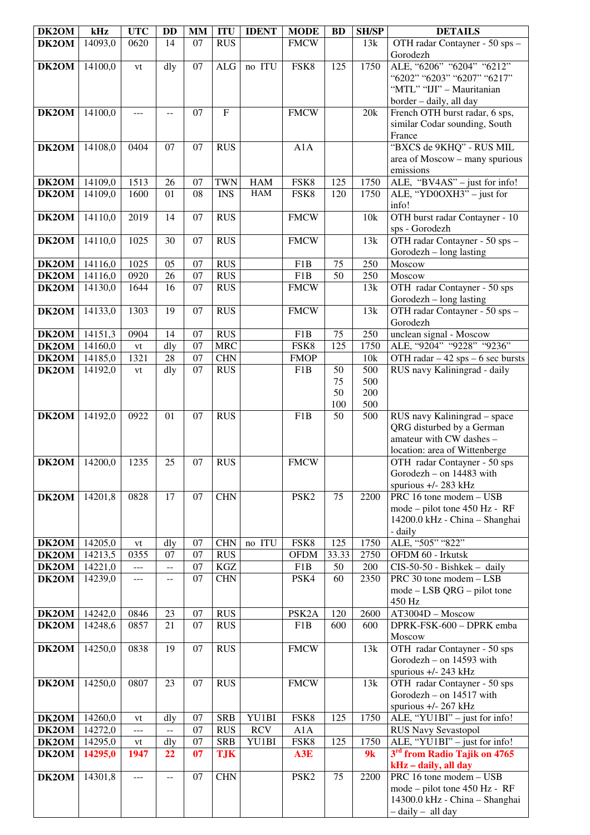| DK2OM              | kHz                | <b>UTC</b>          | <b>DD</b>                                     | <b>MM</b> | <b>ITU</b>                | <b>IDENT</b> | <b>MODE</b>        | <b>BD</b>       | <b>SH/SP</b>      | <b>DETAILS</b>                                                                                                         |
|--------------------|--------------------|---------------------|-----------------------------------------------|-----------|---------------------------|--------------|--------------------|-----------------|-------------------|------------------------------------------------------------------------------------------------------------------------|
| DK2OM              | 14093,0            | 0620                | 14                                            | 07        | <b>RUS</b>                |              | <b>FMCW</b>        |                 | 13k               | OTH radar Contayner - 50 sps -<br>Gorodezh                                                                             |
| DK2OM              | 14100,0            | vt                  | dly                                           | 07        | $\rm ALG$                 | no ITU       | FSK8               | 125             | 1750              | ALE, "6206" "6204" "6212"<br>"6202" "6203" "6207" "6217"<br>"MTL" "IJI" - Mauritanian<br>border - daily, all day       |
| DK2OM              | 14100,0            | ---                 | $- -$                                         | 07        | $\boldsymbol{\mathrm{F}}$ |              | <b>FMCW</b>        |                 | 20k               | French OTH burst radar, 6 sps,<br>similar Codar sounding, South<br>France                                              |
| DK2OM              | 14108,0            | 0404                | 07                                            | 07        | <b>RUS</b>                |              | A1A                |                 |                   | "BXCS de 9KHQ" - RUS MIL<br>area of Moscow - many spurious<br>emissions                                                |
| DK2OM              | 14109,0            | 1513                | 26                                            | 07        | <b>TWN</b>                | <b>HAM</b>   | FSK8               | 125             | 1750              | $\overline{\text{ALE}},$ "BV4AS" – just for info!                                                                      |
| $\overline{DK2OM}$ | 14109,0            | 1600                | 01                                            | 08        | <b>INS</b>                | <b>HAM</b>   | FSK8               | 120             | 1750              | ALE, "YD0OXH3" - just for<br>info!                                                                                     |
| DK2OM              | 14110,0            | 2019                | 14                                            | 07        | <b>RUS</b>                |              | <b>FMCW</b>        |                 | 10k               | OTH burst radar Contayner - 10<br>sps - Gorodezh                                                                       |
| DK2OM              | 14110,0            | 1025                | 30                                            | 07        | <b>RUS</b>                |              | <b>FMCW</b>        |                 | 13k               | OTH radar Contayner - 50 sps -<br>Gorodezh – long lasting                                                              |
| DK2OM              | 14116,0            | 1025                | 05                                            | 07        | <b>RUS</b>                |              | F1B                | 75              | 250               | Moscow                                                                                                                 |
| DK2OM              | 14116,0            | 0920                | 26                                            | 07        | <b>RUS</b>                |              | F1B                | 50              | 250               | Moscow                                                                                                                 |
| DK2OM              | 14130,0            | 1644                | 16                                            | 07        | <b>RUS</b>                |              | <b>FMCW</b>        |                 | 13k               | OTH radar Contayner - 50 sps<br>Gorodezh - long lasting                                                                |
| DK2OM              | 14133,0            | 1303                | 19                                            | 07        | <b>RUS</b>                |              | <b>FMCW</b>        |                 | 13k               | OTH radar Contayner - 50 sps -<br>Gorodezh                                                                             |
| DK2OM              | 14151,3            | 0904                | 14                                            | 07        | <b>RUS</b>                |              | F1B                | 75              | 250               | unclean signal - Moscow                                                                                                |
| DK2OM              | 14160,0            | vt                  | dly                                           | 07        | <b>MRC</b>                |              | FSK8               | 125             | 1750              | ALE, "9204" "9228" "9236"                                                                                              |
| DK2OM<br>DK2OM     | 14185,0<br>14192,0 | 1321                | 28<br>dly                                     | 07<br>07  | <b>CHN</b><br><b>RUS</b>  |              | <b>FMOP</b><br>F1B | 50              | 10k<br>500        | OTH radar $-42$ sps $-6$ sec bursts<br>RUS navy Kaliningrad - daily                                                    |
|                    |                    | vt                  |                                               |           |                           |              |                    | 75<br>50<br>100 | 500<br>200<br>500 |                                                                                                                        |
| DK2OM              | 14192,0            | 0922                | 01                                            | 07        | <b>RUS</b>                |              | F <sub>1</sub> B   | 50              | 500               | RUS navy Kaliningrad - space<br>QRG disturbed by a German<br>amateur with CW dashes -<br>location: area of Wittenberge |
| DK2OM              | 14200,0            | 1235                | 25                                            | 07        | <b>RUS</b>                |              | <b>FMCW</b>        |                 |                   | OTH radar Contayner - 50 sps<br>Gorodezh - on 14483 with<br>spurious $+/- 283$ kHz                                     |
| DK2OM              | 14201,8            | 0828                | 17                                            | 07        | <b>CHN</b>                |              | PSK <sub>2</sub>   | 75              | 2200              | PRC 16 tone modem - USB<br>mode – pilot tone 450 Hz - RF<br>14200.0 kHz - China - Shanghai<br>- daily                  |
| DK2OM              | 14205,0            | vt                  | dly                                           | 07        | <b>CHN</b>                | no ITU       | FSK8               | 125             | 1750              | ALE, "505" "822"                                                                                                       |
| DK2OM              | 14213,5            | 0355                | 07                                            | 07        | <b>RUS</b>                |              | <b>OFDM</b>        | 33.33           | 2750              | OFDM 60 - Irkutsk                                                                                                      |
| DK2OM              | 14221,0            | $\overline{a}$      | $\overline{\phantom{a}}$                      | 07        | KGZ                       |              | F1B                | 50              | 200               | $CIS-50-50$ - Bishkek - daily                                                                                          |
| DK2OM              | 14239,0            | $---$               | --                                            | 07        | <b>CHN</b>                |              | PSK4               | 60              | 2350              | PRC 30 tone modem - LSB<br>$mode - LSB QRG - pilot tone$<br>450 Hz                                                     |
| DK2OM              | 14242,0            | 0846                | 23                                            | 07        | <b>RUS</b>                |              | PSK <sub>2</sub> A | 120             | 2600              | AT3004D - Moscow                                                                                                       |
| DK2OM              | 14248,6            | 0857                | 21                                            | 07        | <b>RUS</b>                |              | F1B                | 600             | 600               | DPRK-FSK-600 - DPRK emba<br>Moscow                                                                                     |
| DK2OM              | 14250,0            | 0838                | 19                                            | 07        | <b>RUS</b>                |              | <b>FMCW</b>        |                 | 13k               | OTH radar Contayner - 50 sps<br>Gorodezh $-$ on 14593 with<br>spurious +/- 243 kHz                                     |
| DK2OM              | 14250,0            | 0807                | 23                                            | 07        | <b>RUS</b>                |              | <b>FMCW</b>        |                 | 13k               | OTH radar Contayner - 50 sps<br>Gorodezh - on 14517 with<br>spurious +/- 267 kHz                                       |
| DK2OM              | 14260,0            | vt                  | dly                                           | 07        | <b>SRB</b>                | YU1BI        | FSK8               | 125             | 1750              | ALE, "YU1BI" - just for info!                                                                                          |
| DK2OM              | 14272,0            | ---                 | $\mathord{\hspace{1pt}\text{--}\hspace{1pt}}$ | 07        | <b>RUS</b>                | <b>RCV</b>   | A1A                |                 |                   | <b>RUS Navy Sevastopol</b>                                                                                             |
| DK2OM              | 14295,0            | vt                  | dly                                           | 07        | <b>SRB</b>                | YU1BI        | FSK8               | 125             | 1750              | ALE, "YU1BI" - just for info!                                                                                          |
| DK2OM              | 14295,0            | 1947                | 22                                            | 07        | <b>TJK</b>                |              | A3E                |                 | 9k                | 3 <sup>rd</sup> from Radio Tajik on 4765<br>kHz - daily, all day                                                       |
| DK2OM              | 14301,8            | $\qquad \qquad - -$ | --                                            | 07        | <b>CHN</b>                |              | PSK <sub>2</sub>   | 75              | 2200              | PRC 16 tone modem - USB<br>mode – pilot tone 450 Hz - RF<br>14300.0 kHz - China - Shanghai<br>$-$ daily $-$ all day    |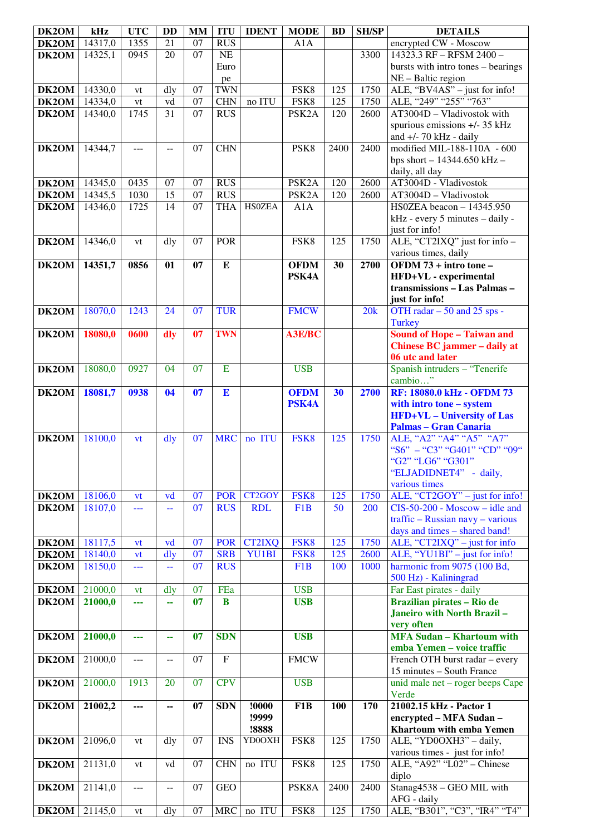| DK2OM              | kHz     | <b>UTC</b> | <b>DD</b>      | <b>MM</b>       | <b>ITU</b>  | <b>IDENT</b>  | <b>MODE</b>        | <b>BD</b> | <b>SH/SP</b> | <b>DETAILS</b>                                                    |
|--------------------|---------|------------|----------------|-----------------|-------------|---------------|--------------------|-----------|--------------|-------------------------------------------------------------------|
| DK2OM              | 14317,0 | 1355       | 21             | 07              | <b>RUS</b>  |               | A1A                |           |              | encrypted CW - Moscow                                             |
| DK2OM              | 14325,1 | 0945       | 20             | $\overline{07}$ | NE          |               |                    |           | 3300         | 14323.3 RF - RFSM 2400 -                                          |
|                    |         |            |                |                 | Euro        |               |                    |           |              | bursts with intro tones - bearings                                |
|                    |         |            |                |                 | pe          |               |                    |           |              | NE - Baltic region                                                |
| DK2OM              | 14330,0 | vt         | dly            | 07              | <b>TWN</b>  |               | FSK8               | 125       | 1750         | ALE, "BV4AS" - just for info!                                     |
| DK2OM              | 14334,0 | vt         | vd             | 07              | <b>CHN</b>  | no ITU        | FSK8               | 125       | 1750         | ALE, "249" "255" "763"                                            |
| DK2OM              | 14340,0 | 1745       | 31             | 07              | RUS         |               | PSK <sub>2</sub> A | 120       | 2600         | $\overline{AT3004D}$ - Vladivostok with                           |
|                    |         |            |                |                 |             |               |                    |           |              | spurious emissions +/- 35 kHz                                     |
|                    |         |            |                |                 |             |               |                    |           |              | and $+/-$ 70 kHz - daily                                          |
| DK2OM              | 14344,7 | ---        | $\overline{a}$ | 07              | <b>CHN</b>  |               | PSK8               | 2400      | 2400         | modified MIL-188-110A - 600                                       |
|                    |         |            |                |                 |             |               |                    |           |              | bps short $- 14344.650$ kHz $-$<br>daily, all day                 |
| DK2OM              | 14345,0 | 0435       | 07             | 07              | <b>RUS</b>  |               | PSK <sub>2</sub> A | 120       | 2600         | AT3004D - Vladivostok                                             |
| DK2OM              | 14345,5 | 1030       | 15             | 07              | <b>RUS</b>  |               | PSK <sub>2</sub> A | 120       | 2600         | AT3004D - Vladivostok                                             |
| DK2OM              | 14346,0 | 1725       | 14             | 07              | <b>THA</b>  | <b>HS0ZEA</b> | A1A                |           |              | HS0ZEA beacon - 14345.950                                         |
|                    |         |            |                |                 |             |               |                    |           |              | kHz - every 5 minutes - daily -                                   |
|                    |         |            |                |                 |             |               |                    |           |              | just for info!                                                    |
| DK2OM              | 14346,0 | vt         | dly            | 07              | <b>POR</b>  |               | FSK8               | 125       | 1750         | ALE, "CT2IXQ" just for info -                                     |
|                    |         |            |                |                 |             |               |                    |           |              | various times, daily                                              |
| DK2OM              | 14351,7 | 0856       | 01             | 07              | ${\bf E}$   |               | <b>OFDM</b>        | 30        | 2700         | OFDM 73 + intro tone -                                            |
|                    |         |            |                |                 |             |               | PSK4A              |           |              | HFD+VL - experimental                                             |
|                    |         |            |                |                 |             |               |                    |           |              | transmissions - Las Palmas -                                      |
|                    |         |            |                |                 |             |               |                    |           |              | just for info!                                                    |
| DK2OM              | 18070,0 | 1243       | 24             | 07              | <b>TUR</b>  |               | <b>FMCW</b>        |           | 20k          | OTH radar - 50 and 25 sps -                                       |
|                    |         |            |                |                 | <b>TWN</b>  |               |                    |           |              | <b>Turkey</b>                                                     |
| DK2OM              | 18080,0 | 0600       | dly            | 07              |             |               | A3E/BC             |           |              | <b>Sound of Hope - Taiwan and</b><br>Chinese BC jammer - daily at |
|                    |         |            |                |                 |             |               |                    |           |              | 06 utc and later                                                  |
| DK2OM              | 18080,0 | 0927       | 04             | 07              | E           |               | <b>USB</b>         |           |              | Spanish intruders - "Tenerife                                     |
|                    |         |            |                |                 |             |               |                    |           |              | cambio"                                                           |
| DK2OM              | 18081,7 | 0938       | 04             | 07              | E           |               | <b>OFDM</b>        | 30        | 2700         | RF: 18080.0 kHz - OFDM 73                                         |
|                    |         |            |                |                 |             |               | <b>PSK4A</b>       |           |              | with intro tone - system                                          |
|                    |         |            |                |                 |             |               |                    |           |              | <b>HFD+VL</b> - University of Las                                 |
|                    |         |            |                |                 |             |               |                    |           |              | <b>Palmas - Gran Canaria</b>                                      |
| DK2OM              | 18100,0 | <b>vt</b>  | dly            | 07              | <b>MRC</b>  | no ITU        | FSK8               | 125       | 1750         | ALE, "A2" "A4" "A5" "A7"                                          |
|                    |         |            |                |                 |             |               |                    |           |              | "S6" - "C3" "G401" "CD" "09"                                      |
|                    |         |            |                |                 |             |               |                    |           |              | "G2" "LG6" "G301"                                                 |
|                    |         |            |                |                 |             |               |                    |           |              | "ELJADIDNET4" - daily,<br>various times                           |
| DK2OM              | 18106,0 | vt         | vd             | 07              | <b>POR</b>  | CT2GOY        | FSK8               | 125       | 1750         | ALE, "CT2GOY" - just for info!                                    |
| DK2OM              | 18107,0 | ---        | 44             | 07              | <b>RUS</b>  | <b>RDL</b>    | F1B                | 50        | 200          | $CIS-50-200$ - Moscow – idle and                                  |
|                    |         |            |                |                 |             |               |                    |           |              | $\text{traffic} - \text{ Russian}$ navy - various                 |
|                    |         |            |                |                 |             |               |                    |           |              | days and times - shared band!                                     |
| DK2OM              | 18117,5 | vt         | vd             | 07              | <b>POR</b>  | <b>CT2IXQ</b> | FSK8               | 125       | 1750         | ALE, "CT2IXQ" - just for info                                     |
| DK <sub>2</sub> OM | 18140,0 | vt         | dly            | $\overline{07}$ | <b>SRB</b>  | YU1BI         | FSK8               | 125       | 2600         | ALE, "YU1BI" - just for info!                                     |
| DK2OM              | 18150,0 | ---        | 44             | 07              | <b>RUS</b>  |               | F <sub>1</sub> B   | 100       | 1000         | harmonic from 9075 (100 Bd,                                       |
|                    |         |            |                |                 |             |               |                    |           |              | 500 Hz) - Kaliningrad                                             |
| DK2OM              | 21000,0 | vt         | dly            | 07              | FEa         |               | <b>USB</b>         |           |              | Far East pirates - daily                                          |
| DK2OM              | 21000,0 | ---        | 44             | 07              | $\bf{B}$    |               | <b>USB</b>         |           |              | Brazilian pirates - Rio de                                        |
|                    |         |            |                |                 |             |               |                    |           |              | Janeiro with North Brazil-                                        |
|                    |         |            |                | 07              | <b>SDN</b>  |               | <b>USB</b>         |           |              | very often<br><b>MFA Sudan - Khartoum with</b>                    |
| DK2OM              | 21000,0 | ---        | 44             |                 |             |               |                    |           |              | emba Yemen - voice traffic                                        |
| DK2OM              | 21000,0 | $---$      | $-$            | 07              | $\mathbf F$ |               | <b>FMCW</b>        |           |              | French OTH burst radar - every                                    |
|                    |         |            |                |                 |             |               |                    |           |              | 15 minutes - South France                                         |
| DK2OM              | 21000,0 | 1913       | 20             | 07              | <b>CPV</b>  |               | <b>USB</b>         |           |              | unid male net – roger beeps Cape                                  |
|                    |         |            |                |                 |             |               |                    |           |              | Verde                                                             |
| DK2OM              | 21002,2 | ---        | ۰.             | 07              | <b>SDN</b>  | !0000         | F1B                | 100       | 170          | 21002.15 kHz - Pactor 1                                           |
|                    |         |            |                |                 |             | !9999         |                    |           |              | encrypted - MFA Sudan -                                           |
|                    |         |            |                |                 |             | !8888         |                    |           |              | Khartoum with emba Yemen                                          |
| DK2OM              | 21096,0 | vt         | dly            | 07              | <b>INS</b>  | YD0OXH        | FSK8               | 125       | 1750         | ALE, "YD0OXH3" - daily,                                           |
|                    |         |            |                |                 |             |               |                    |           |              | various times - just for info!                                    |
| DK2OM              | 21131,0 | vt         | vd             | 07              | <b>CHN</b>  | no ITU        | FSK8               | 125       | 1750         | ALE, "A92" "L02" - Chinese                                        |
|                    |         |            |                |                 |             |               |                    |           |              | diplo                                                             |
| DK2OM              | 21141,0 | $---$      | --             | 07              | <b>GEO</b>  |               | PSK8A              | 2400      | 2400         | Stanag4538 - GEO MIL with<br>AFG - daily                          |
| DK2OM              | 21145,0 | vt         | dly            | 07              | <b>MRC</b>  | no ITU        | FSK8               | 125       | 1750         | ALE, "B301", "C3", "IR4" "T4"                                     |
|                    |         |            |                |                 |             |               |                    |           |              |                                                                   |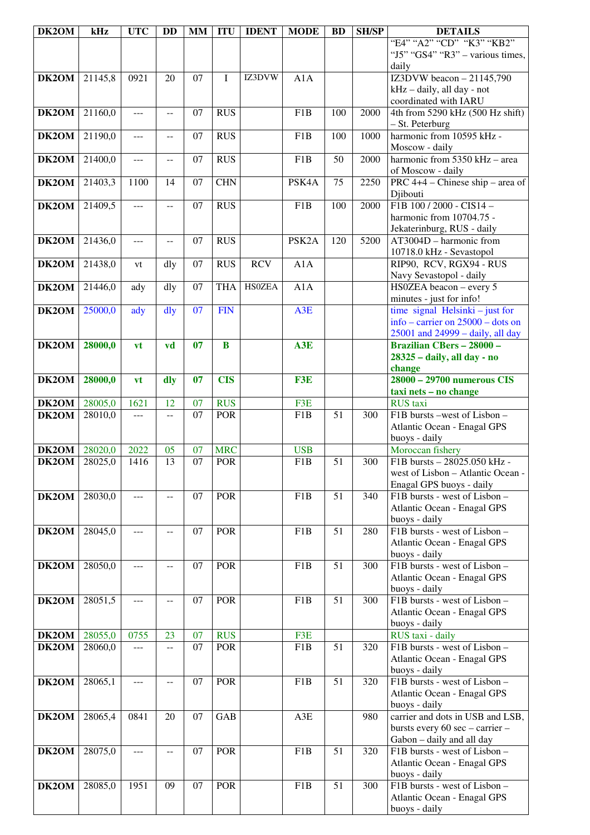| DK2OM        | kHz     | <b>UTC</b>     | <b>DD</b>                | <b>MM</b> | <b>ITU</b>              | <b>IDENT</b>  | <b>MODE</b>        | <b>BD</b>       | <b>SH/SP</b> | <b>DETAILS</b>                                             |
|--------------|---------|----------------|--------------------------|-----------|-------------------------|---------------|--------------------|-----------------|--------------|------------------------------------------------------------|
|              |         |                |                          |           |                         |               |                    |                 |              | "E4" "A2" "CD" "K3" "KB2"                                  |
|              |         |                |                          |           |                         |               |                    |                 |              | " $15$ " " $GS4$ " " $R3$ " – various times,               |
|              |         |                |                          |           |                         |               |                    |                 |              | daily                                                      |
| DK2OM        | 21145,8 | 0921           | 20                       | 07        | $\mathbf I$             | IZ3DVW        | A1A                |                 |              | IZ3DVW beacon $-21145,790$                                 |
|              |         |                |                          |           |                         |               |                    |                 |              | kHz - daily, all day - not                                 |
|              |         |                |                          |           |                         |               |                    |                 |              | coordinated with IARU                                      |
| DK2OM        | 21160,0 | $---$          | $\mathcal{L} =$          | 07        | <b>RUS</b>              |               | F1B                | 100             | 2000         | 4th from 5290 kHz (500 Hz shift)                           |
|              |         |                |                          |           |                         |               |                    |                 |              | - St. Peterburg                                            |
| DK2OM        | 21190,0 | $---$          | $\overline{\phantom{m}}$ | 07        | <b>RUS</b>              |               | F <sub>1</sub> B   | 100             | 1000         | harmonic from 10595 kHz -                                  |
|              |         |                |                          |           |                         |               |                    |                 |              | Moscow - daily                                             |
| DK2OM        | 21400,0 | $\overline{a}$ | $\overline{a}$           | 07        | <b>RUS</b>              |               | F <sub>1</sub> B   | 50              | 2000         | harmonic from $5350$ kHz – area                            |
|              |         |                |                          |           |                         |               |                    |                 |              | of Moscow - daily                                          |
| DK2OM        | 21403,3 | 1100           | 14                       | 07        | <b>CHN</b>              |               | PSK4A              | 75              | 2250         | PRC $4+4$ – Chinese ship – area of                         |
|              |         |                |                          |           |                         |               |                    |                 |              | Djibouti                                                   |
| DK2OM        | 21409,5 | ---            | $- -$                    | 07        | <b>RUS</b>              |               | F <sub>1</sub> B   | 100             | 2000         | F1B 100 / 2000 - CIS14 -                                   |
|              |         |                |                          |           |                         |               |                    |                 |              | harmonic from 10704.75 -                                   |
|              |         |                |                          |           |                         |               |                    |                 |              | Jekaterinburg, RUS - daily                                 |
| DK2OM        | 21436,0 | ---            | $-$                      | 07        | <b>RUS</b>              |               | PSK <sub>2</sub> A | 120             | 5200         | $AT3004D - harmonic from$                                  |
|              |         |                |                          |           |                         |               |                    |                 |              | 10718.0 kHz - Sevastopol                                   |
| DK2OM        | 21438,0 | vt             | dly                      | 07        | <b>RUS</b>              | <b>RCV</b>    | A1A                |                 |              | RIP90, RCV, RGX94 - RUS                                    |
|              |         |                |                          |           |                         |               |                    |                 |              | Navy Sevastopol - daily                                    |
| DK2OM        | 21446,0 | ady            | dly                      | 07        | <b>THA</b>              | <b>HS0ZEA</b> | A1A                |                 |              | HS0ZEA beacon - every 5                                    |
|              |         |                |                          |           |                         |               |                    |                 |              | minutes - just for info!                                   |
| DK2OM        | 25000,0 | ady            | dly                      | 07        | <b>FIN</b>              |               | A3E                |                 |              | time signal Helsinki $-$ just for                          |
|              |         |                |                          |           |                         |               |                    |                 |              | info – carrier on $25000$ – dots on                        |
|              |         |                |                          |           |                         |               |                    |                 |              | 25001 and 24999 - daily, all day                           |
| DK2OM        | 28000,0 | vt             | vd                       | 07        | $\bf{B}$                |               | A3E                |                 |              | <b>Brazilian CBers - 28000 -</b>                           |
|              |         |                |                          |           |                         |               |                    |                 |              | 28325 - daily, all day - no                                |
|              |         |                |                          |           |                         |               |                    |                 |              | change                                                     |
| DK2OM        | 28000,0 | vt             | dly                      | 07        | <b>CIS</b>              |               | F3E                |                 |              | 28000 - 29700 numerous CIS                                 |
|              |         |                |                          |           |                         |               |                    |                 |              | taxi nets - no change                                      |
| DK2OM        | 28005,0 | 1621           | 12                       | 07        | <b>RUS</b>              |               | F3E                |                 |              | <b>RUS</b> taxi                                            |
| DK2OM        | 28010,0 | $- - -$        | $\overline{a}$           | 07        | <b>POR</b>              |               | F1B                | 51              | 300          | F1B bursts -west of Lisbon -                               |
|              |         |                |                          |           |                         |               |                    |                 |              | Atlantic Ocean - Enagal GPS                                |
|              |         |                |                          |           |                         |               |                    |                 |              | buoys - daily                                              |
| DK2OM        | 28020,0 | 2022           | 05                       | 07        | <b>MRC</b>              |               | <b>USB</b>         |                 |              | Moroccan fishery                                           |
| DK2OM        | 28025,0 | 1416           | 13                       | 07        | <b>POR</b>              |               | F1B                | 51              | 300          | F1B bursts - 28025.050 kHz -                               |
|              |         |                |                          |           |                         |               |                    |                 |              | west of Lisbon - Atlantic Ocean -                          |
|              |         |                |                          |           |                         |               |                    |                 |              | Enagal GPS buoys - daily                                   |
| DK2OM        | 28030,0 | ---            | $\qquad \qquad -$        | 07        | <b>POR</b>              |               | F1B                | $\overline{51}$ | 340          | F1B bursts - west of Lisbon -                              |
|              |         |                |                          |           |                         |               |                    |                 |              | Atlantic Ocean - Enagal GPS                                |
|              |         |                |                          |           |                         |               |                    |                 |              | buoys - daily                                              |
| DK2OM        | 28045,0 | ---            | --                       | 07        | <b>POR</b>              |               | F <sub>1</sub> B   | 51              | 280          | F1B bursts - west of Lisbon -                              |
|              |         |                |                          |           |                         |               |                    |                 |              | Atlantic Ocean - Enagal GPS                                |
|              |         |                |                          |           |                         |               |                    |                 |              | buoys - daily                                              |
| DK2OM        | 28050,0 | ---            | $-$                      | 07        | <b>POR</b>              |               | F <sub>1</sub> B   | 51              | 300          | F1B bursts - west of Lisbon -                              |
|              |         |                |                          |           |                         |               |                    |                 |              | Atlantic Ocean - Enagal GPS                                |
|              |         |                |                          |           |                         |               |                    |                 |              | buoys - daily                                              |
| DK2OM        | 28051,5 | $---$          | $\mathcal{L} =$          | 07        | <b>POR</b>              |               | F1B                | $\overline{51}$ | 300          | F1B bursts - west of Lisbon -                              |
|              |         |                |                          |           |                         |               |                    |                 |              | Atlantic Ocean - Enagal GPS                                |
|              |         |                |                          |           |                         |               |                    |                 |              | buoys - daily                                              |
| <b>DK2OM</b> | 28055,0 | 0755           | 23                       | 07        | <b>RUS</b>              |               | F3E                |                 |              | RUS taxi - daily                                           |
| DK2OM        | 28060,0 | $- - -$        | $- -$                    | 07        | <b>POR</b>              |               | F1B                | 51              | 320          | F1B bursts - west of Lisbon -                              |
|              |         |                |                          |           |                         |               |                    |                 |              | Atlantic Ocean - Enagal GPS                                |
|              |         |                |                          |           |                         |               |                    |                 |              | buoys - daily                                              |
| DK2OM        | 28065,1 | $ -$           | $\overline{a}$           | 07        | <b>POR</b>              |               | F1B                | 51              | 320          | F1B bursts - west of Lisbon -                              |
|              |         |                |                          |           |                         |               |                    |                 |              | Atlantic Ocean - Enagal GPS                                |
|              |         | 0841           | $\overline{20}$          | 07        | $\overline{\text{GAB}}$ |               | A3E                |                 | 980          | buoys - daily<br>carrier and dots in USB and LSB,          |
| DK2OM        | 28065,4 |                |                          |           |                         |               |                    |                 |              |                                                            |
|              |         |                |                          |           |                         |               |                    |                 |              | bursts every 60 sec - carrier -                            |
|              |         |                |                          |           | <b>POR</b>              |               | F <sub>1</sub> B   | 51              | 320          | Gabon - daily and all day<br>F1B bursts - west of Lisbon - |
| DK2OM        | 28075,0 | ---            | $-$                      | 07        |                         |               |                    |                 |              |                                                            |
|              |         |                |                          |           |                         |               |                    |                 |              | Atlantic Ocean - Enagal GPS                                |
| DK2OM        | 28085,0 | 1951           | 09                       | 07        | <b>POR</b>              |               | F <sub>1</sub> B   | $\overline{51}$ | 300          | buoys - daily<br>F1B bursts - west of Lisbon -             |
|              |         |                |                          |           |                         |               |                    |                 |              | Atlantic Ocean - Enagal GPS                                |
|              |         |                |                          |           |                         |               |                    |                 |              | buoys - daily                                              |
|              |         |                |                          |           |                         |               |                    |                 |              |                                                            |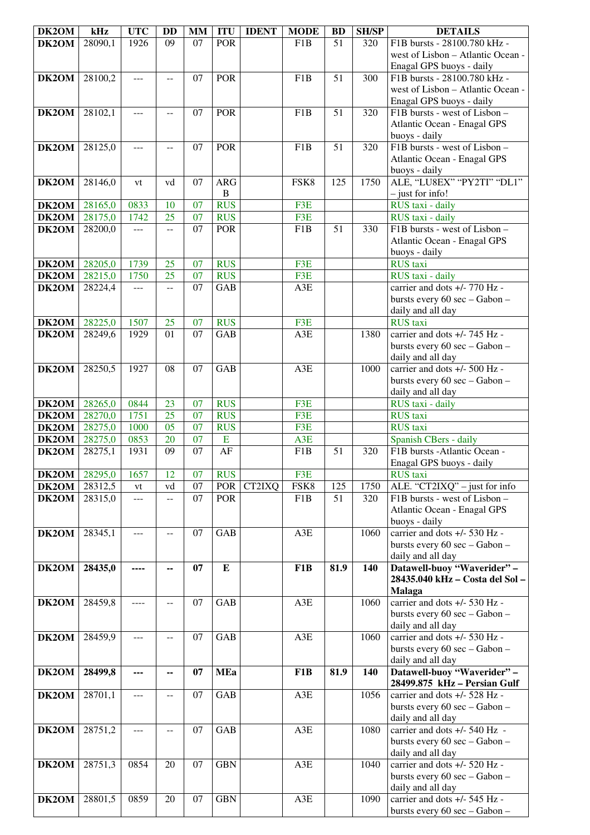| DK2OM | kHz     | <b>UTC</b>     | <b>DD</b>      | <b>MM</b>       | <b>ITU</b>   | <b>IDENT</b> | <b>MODE</b>      | <b>BD</b>       | <b>SH/SP</b> | <b>DETAILS</b>                    |
|-------|---------|----------------|----------------|-----------------|--------------|--------------|------------------|-----------------|--------------|-----------------------------------|
| DK2OM | 28090,1 | 1926           | 09             | $\overline{07}$ | <b>POR</b>   |              | F1B              | $\overline{51}$ | 320          | F1B bursts - 28100.780 kHz -      |
|       |         |                |                |                 |              |              |                  |                 |              | west of Lisbon - Atlantic Ocean - |
|       |         |                |                |                 |              |              |                  |                 |              | Enagal GPS buoys - daily          |
|       |         |                |                |                 |              |              |                  |                 |              |                                   |
| DK2OM | 28100,2 | ---            | $- -$          | 07              | <b>POR</b>   |              | F <sub>1</sub> B | 51              | 300          | F1B bursts - 28100.780 kHz -      |
|       |         |                |                |                 |              |              |                  |                 |              | west of Lisbon - Atlantic Ocean - |
|       |         |                |                |                 |              |              |                  |                 |              | Enagal GPS buoys - daily          |
| DK2OM | 28102,1 | ---            | $\overline{a}$ | 07              | <b>POR</b>   |              | F <sub>1</sub> B | 51              | 320          | F1B bursts - west of Lisbon -     |
|       |         |                |                |                 |              |              |                  |                 |              | Atlantic Ocean - Enagal GPS       |
|       |         |                |                |                 |              |              |                  |                 |              |                                   |
|       |         |                |                |                 |              |              |                  |                 |              | buoys - daily                     |
| DK2OM | 28125,0 | ---            | --             | 07              | <b>POR</b>   |              | F <sub>1</sub> B | 51              | 320          | F1B bursts - west of Lisbon -     |
|       |         |                |                |                 |              |              |                  |                 |              | Atlantic Ocean - Enagal GPS       |
|       |         |                |                |                 |              |              |                  |                 |              | buoys - daily                     |
| DK2OM | 28146,0 | vt             | vd             | 07              | <b>ARG</b>   |              | FSK8             | 125             | 1750         | ALE, "LU8EX" "PY2TI" "DL1"        |
|       |         |                |                |                 | $\, {\bf B}$ |              |                  |                 |              | $-$ just for info!                |
|       |         |                |                |                 |              |              |                  |                 |              |                                   |
| DK2OM | 28165,0 | 0833           | 10             | 07              | <b>RUS</b>   |              | F <sub>3</sub> E |                 |              | RUS taxi - daily                  |
| DK2OM | 28175,0 | 1742           | 25             | $\overline{07}$ | <b>RUS</b>   |              | F3E              |                 |              | RUS taxi - daily                  |
| DK2OM | 28200,0 | $\overline{a}$ | $-$            | 07              | <b>POR</b>   |              | F1B              | 51              | 330          | F1B bursts - west of Lisbon -     |
|       |         |                |                |                 |              |              |                  |                 |              | Atlantic Ocean - Enagal GPS       |
|       |         |                |                |                 |              |              |                  |                 |              | buoys - daily                     |
|       |         |                |                |                 |              |              |                  |                 |              |                                   |
| DK2OM | 28205,0 | 1739           | 25             | 07              | <b>RUS</b>   |              | F3E              |                 |              | <b>RUS</b> taxi                   |
| DK2OM | 28215,0 | 1750           | 25             | 07              | <b>RUS</b>   |              | F3E              |                 |              | RUS taxi - daily                  |
| DK2OM | 28224,4 | $\overline{a}$ | $-$            | 07              | GAB          |              | A3E              |                 |              | carrier and dots $+/- 770$ Hz -   |
|       |         |                |                |                 |              |              |                  |                 |              | bursts every 60 sec - Gabon -     |
|       |         |                |                |                 |              |              |                  |                 |              | daily and all day                 |
| DK2OM | 28225,0 | 1507           | 25             | 07              | <b>RUS</b>   |              | F3E              |                 |              | <b>RUS</b> taxi                   |
|       |         |                |                |                 |              |              |                  |                 |              |                                   |
| DK2OM | 28249,6 | 1929           | 01             | 07              | GAB          |              | A3E              |                 | 1380         | carrier and dots $+/- 745$ Hz -   |
|       |         |                |                |                 |              |              |                  |                 |              | bursts every 60 sec - Gabon -     |
|       |         |                |                |                 |              |              |                  |                 |              | daily and all day                 |
| DK2OM | 28250,5 | 1927           | 08             | 07              | GAB          |              | A3E              |                 | 1000         | carrier and dots +/- 500 Hz -     |
|       |         |                |                |                 |              |              |                  |                 |              | bursts every 60 sec - Gabon -     |
|       |         |                |                |                 |              |              |                  |                 |              |                                   |
|       |         |                |                |                 |              |              |                  |                 |              | daily and all day                 |
| DK2OM | 28265,0 | 0844           | 23             | 07              | <b>RUS</b>   |              | F3E              |                 |              | RUS taxi - daily                  |
| DK2OM | 28270,0 | 1751           | 25             | 07              | <b>RUS</b>   |              | F3E              |                 |              | <b>RUS</b> taxi                   |
| DK2OM | 28275,0 | 1000           | 05             | 07              | <b>RUS</b>   |              | F3E              |                 |              | <b>RUS</b> taxi                   |
| DK2OM | 28275,0 | 0853           | 20             | 07              | ${\bf E}$    |              | A3E              |                 |              | Spanish CBers - daily             |
| DK2OM | 28275,1 | 1931           | 09             | 07              | AF           |              | F1B              | 51              | 320          | F1B bursts - Atlantic Ocean -     |
|       |         |                |                |                 |              |              |                  |                 |              |                                   |
|       |         |                |                |                 |              |              |                  |                 |              | Enagal GPS buoys - daily          |
| DK2OM | 28295,0 | 1657           | 12             | 07              | <b>RUS</b>   |              | F3E              |                 |              | <b>RUS</b> taxi                   |
| DK2OM | 28312,5 | vt             | vd             | 07              | <b>POR</b>   | CT2IXQ       | FSK8             | 125             | 1750         | ALE. "CT2IXQ" - just for info     |
| DK2OM | 28315,0 | ---            | $-$            | 07              | <b>POR</b>   |              | F1B              | 51              | 320          | F1B bursts - west of Lisbon -     |
|       |         |                |                |                 |              |              |                  |                 |              | Atlantic Ocean - Enagal GPS       |
|       |         |                |                |                 |              |              |                  |                 |              | buoys - daily                     |
| DK2OM | 28345,1 | ---            | $\overline{a}$ | 07              | GAB          |              | A3E              |                 | 1060         | carrier and dots +/- 530 Hz -     |
|       |         |                |                |                 |              |              |                  |                 |              |                                   |
|       |         |                |                |                 |              |              |                  |                 |              | bursts every 60 sec - Gabon -     |
|       |         |                |                |                 |              |              |                  |                 |              | daily and all day                 |
| DK2OM | 28435,0 | ----           | --             | 07              | ${\bf E}$    |              | F <sub>1</sub> B | 81.9            | 140          | Datawell-buoy "Waverider" -       |
|       |         |                |                |                 |              |              |                  |                 |              | 28435.040 kHz - Costa del Sol -   |
|       |         |                |                |                 |              |              |                  |                 |              | <b>Malaga</b>                     |
| DK2OM | 28459,8 | ----           | $- -$          | 07              | GAB          |              | A3E              |                 | 1060         | carrier and dots +/- 530 Hz -     |
|       |         |                |                |                 |              |              |                  |                 |              | bursts every 60 sec - Gabon -     |
|       |         |                |                |                 |              |              |                  |                 |              |                                   |
|       |         |                |                |                 |              |              |                  |                 |              | daily and all day                 |
| DK2OM | 28459,9 | $- - -$        | $\overline{a}$ | 07              | GAB          |              | A3E              |                 | 1060         | carrier and dots +/- 530 Hz -     |
|       |         |                |                |                 |              |              |                  |                 |              | bursts every 60 sec - Gabon -     |
|       |         |                |                |                 |              |              |                  |                 |              | daily and all day                 |
| DK2OM | 28499,8 | ---            | --             | 07              | <b>MEa</b>   |              | F1B              | 81.9            | 140          | Datawell-buoy "Waverider" -       |
|       |         |                |                |                 |              |              |                  |                 |              | 28499.875 kHz - Persian Gulf      |
|       | 28701,1 | $ -$           |                | 07              | GAB          |              | A3E              |                 | 1056         | carrier and dots +/- 528 Hz -     |
| DK2OM |         |                | $\overline{a}$ |                 |              |              |                  |                 |              |                                   |
|       |         |                |                |                 |              |              |                  |                 |              | bursts every 60 sec - Gabon -     |
|       |         |                |                |                 |              |              |                  |                 |              | daily and all day                 |
| DK2OM | 28751,2 | ---            | $-1$           | 07              | GAB          |              | A3E              |                 | 1080         | carrier and dots +/- 540 Hz -     |
|       |         |                |                |                 |              |              |                  |                 |              | bursts every 60 sec - Gabon -     |
|       |         |                |                |                 |              |              |                  |                 |              | daily and all day                 |
| DK2OM | 28751,3 | 0854           | 20             | 07              | <b>GBN</b>   |              | A3E              |                 | 1040         | carrier and dots +/- 520 Hz -     |
|       |         |                |                |                 |              |              |                  |                 |              |                                   |
|       |         |                |                |                 |              |              |                  |                 |              | bursts every 60 sec - Gabon -     |
|       |         |                |                |                 |              |              |                  |                 |              | daily and all day                 |
| DK2OM | 28801,5 | 0859           | 20             | 07              | <b>GBN</b>   |              | A3E              |                 | 1090         | carrier and dots +/- 545 Hz -     |
|       |         |                |                |                 |              |              |                  |                 |              | bursts every 60 sec - Gabon -     |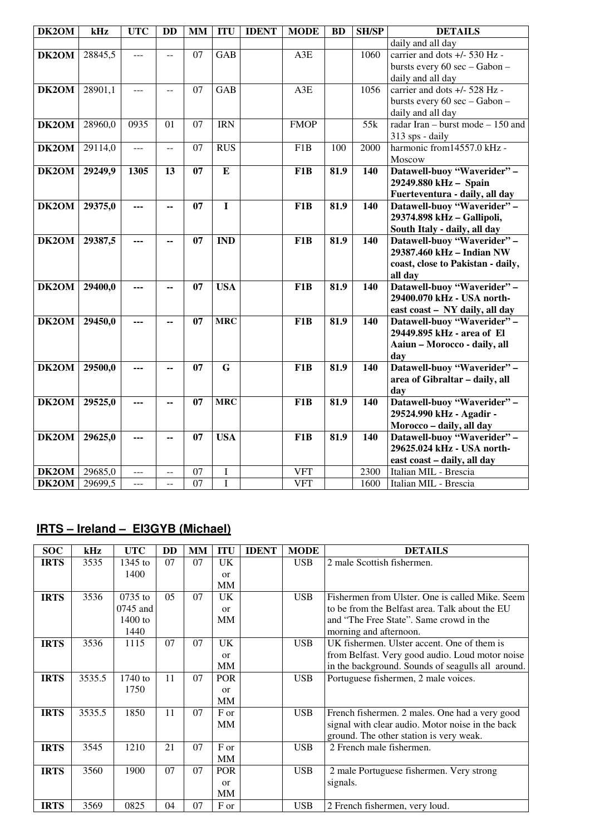| DK2OM              | kHz     | <b>UTC</b>     | <b>DD</b>      | MM | <b>ITU</b>              | <b>IDENT</b> | <b>MODE</b>      | <b>BD</b> | <b>SH/SP</b> | <b>DETAILS</b>                      |
|--------------------|---------|----------------|----------------|----|-------------------------|--------------|------------------|-----------|--------------|-------------------------------------|
|                    |         |                |                |    |                         |              |                  |           |              | daily and all day                   |
| DK2OM              | 28845,5 | ---            | $-$            | 07 | GAB                     |              | A3E              |           | 1060         | carrier and dots +/- 530 Hz -       |
|                    |         |                |                |    |                         |              |                  |           |              | bursts every 60 sec - Gabon -       |
|                    |         |                |                |    |                         |              |                  |           |              | daily and all day                   |
| DK2OM              | 28901,1 | $\cdots$       | $\overline{a}$ | 07 | <b>GAB</b>              |              | A3E              |           | 1056         | carrier and dots +/- 528 Hz -       |
|                    |         |                |                |    |                         |              |                  |           |              | bursts every 60 sec - Gabon -       |
|                    |         |                |                |    |                         |              |                  |           |              | daily and all day                   |
| DK2OM              | 28960,0 | 0935           | 01             | 07 | <b>IRN</b>              |              | <b>FMOP</b>      |           | 55k          | radar Iran – burst mode – $150$ and |
|                    |         |                |                |    |                         |              |                  |           |              | 313 sps - daily                     |
| DK2OM              | 29114,0 | $\overline{a}$ | --             | 07 | <b>RUS</b>              |              | F1B              | 100       | 2000         | harmonic from14557.0 kHz -          |
|                    |         |                |                |    |                         |              |                  |           |              | Moscow                              |
| DK <sub>2</sub> OM | 29249,9 | 1305           | 13             | 07 | ${\bf E}$               |              | F <sub>1</sub> B | 81.9      | 140          | Datawell-buoy "Waverider" -         |
|                    |         |                |                |    |                         |              |                  |           |              | 29249.880 kHz - Spain               |
|                    |         |                |                |    |                         |              |                  |           |              | Fuerteventura - daily, all day      |
| DK2OM              | 29375,0 | ---            | --             | 07 | $\mathbf I$             |              | F <sub>1</sub> B | 81.9      | 140          | Datawell-buoy "Waverider" -         |
|                    |         |                |                |    |                         |              |                  |           |              | 29374.898 kHz - Gallipoli,          |
|                    |         |                |                |    |                         |              |                  |           |              | South Italy - daily, all day        |
| DK2OM              | 29387,5 | ---            | --             | 07 | <b>IND</b>              |              | F <sub>1</sub> B | 81.9      | 140          | Datawell-buoy "Waverider" -         |
|                    |         |                |                |    |                         |              |                  |           |              | 29387.460 kHz - Indian NW           |
|                    |         |                |                |    |                         |              |                  |           |              | coast, close to Pakistan - daily,   |
|                    |         |                |                |    |                         |              |                  |           |              | all day                             |
| DK2OM              | 29400,0 |                | --             | 07 | <b>USA</b>              |              | F <sub>1</sub> B | 81.9      | 140          | Datawell-buoy "Waverider" -         |
|                    |         |                |                |    |                         |              |                  |           |              | 29400.070 kHz - USA north-          |
|                    |         |                |                |    |                         |              |                  |           |              | east coast - NY daily, all day      |
| DK2OM              | 29450,0 | ---            | --             | 07 | <b>MRC</b>              |              | F <sub>1</sub> B | 81.9      | 140          | Datawell-buoy "Waverider" -         |
|                    |         |                |                |    |                         |              |                  |           |              | 29449.895 kHz - area of El          |
|                    |         |                |                |    |                         |              |                  |           |              | Aaiun - Morocco - daily, all        |
|                    |         |                |                |    |                         |              |                  |           |              | day                                 |
| DK2OM              | 29500,0 | ---            | --             | 07 | $\overline{\mathbf{G}}$ |              | F <sub>1</sub> B | 81.9      | 140          | Datawell-buoy "Waverider" -         |
|                    |         |                |                |    |                         |              |                  |           |              | area of Gibraltar - daily, all      |
|                    |         |                |                |    |                         |              |                  |           |              | day                                 |
| DK2OM              | 29525,0 |                | --             | 07 | <b>MRC</b>              |              | F <sub>1</sub> B | 81.9      | 140          | Datawell-buoy "Waverider" -         |
|                    |         |                |                |    |                         |              |                  |           |              | 29524.990 kHz - Agadir -            |
|                    |         |                |                |    |                         |              |                  |           |              | Morocco - daily, all day            |
| DK2OM              | 29625,0 | ---            | --             | 07 | <b>USA</b>              |              | F1B              | 81.9      | 140          | Datawell-buoy "Waverider" -         |
|                    |         |                |                |    |                         |              |                  |           |              | 29625.024 kHz - USA north-          |
|                    |         |                |                |    |                         |              |                  |           |              | east coast - daily, all day         |
| DK2OM              | 29685,0 | ---            | --             | 07 | I                       |              | <b>VFT</b>       |           | 2300         | Italian MIL - Brescia               |
| DK2OM              | 29699,5 | ---            | $-$            | 07 | I                       |              | <b>VFT</b>       |           | 1600         | Italian MIL - Brescia               |

## **IRTS – Ireland – EI3GYB (Michael)**

| <b>SOC</b>  | kHz    | <b>UTC</b> | DD  | MМ | <b>ITU</b>    | <b>IDENT</b> | <b>MODE</b> | <b>DETAILS</b>                                    |
|-------------|--------|------------|-----|----|---------------|--------------|-------------|---------------------------------------------------|
| <b>IRTS</b> | 3535   | $1345$ to  | 07  | 07 | UK            |              | <b>USB</b>  | 2 male Scottish fishermen.                        |
|             |        | 1400       |     |    | $\alpha$      |              |             |                                                   |
|             |        |            |     |    | MM            |              |             |                                                   |
| <b>IRTS</b> | 3536   | $0735$ to  | 0.5 | 07 | <b>UK</b>     |              | <b>USB</b>  | Fishermen from Ulster. One is called Mike, Seem   |
|             |        | $0745$ and |     |    | $\alpha$      |              |             | to be from the Belfast area. Talk about the EU    |
|             |        | $1400$ to  |     |    | <b>MM</b>     |              |             | and "The Free State". Same crowd in the           |
|             |        | 1440       |     |    |               |              |             | morning and afternoon.                            |
| <b>IRTS</b> | 3536   | 1115       | 07  | 07 | UK            |              | <b>USB</b>  | UK fishermen. Ulster accent. One of them is       |
|             |        |            |     |    | $\alpha$      |              |             | from Belfast. Very good audio. Loud motor noise   |
|             |        |            |     |    | MM            |              |             | in the background. Sounds of seagulls all around. |
| <b>IRTS</b> | 3535.5 | $1740$ to  | 11  | 07 | <b>POR</b>    |              | <b>USB</b>  | Portuguese fishermen, 2 male voices.              |
|             |        | 1750       |     |    | <sub>or</sub> |              |             |                                                   |
|             |        |            |     |    | <b>MM</b>     |              |             |                                                   |
| <b>IRTS</b> | 3535.5 | 1850       | 11  | 07 | F or          |              | <b>USB</b>  | French fishermen. 2 males. One had a very good    |
|             |        |            |     |    | <b>MM</b>     |              |             | signal with clear audio. Motor noise in the back  |
|             |        |            |     |    |               |              |             | ground. The other station is very weak.           |
| <b>IRTS</b> | 3545   | 1210       | 21  | 07 | F or          |              | <b>USB</b>  | 2 French male fishermen.                          |
|             |        |            |     |    | MM            |              |             |                                                   |
| <b>IRTS</b> | 3560   | 1900       | 07  | 07 | <b>POR</b>    |              | <b>USB</b>  | 2 male Portuguese fishermen. Very strong          |
|             |        |            |     |    | $\alpha$      |              |             | signals.                                          |
|             |        |            |     |    | MM            |              |             |                                                   |
| <b>IRTS</b> | 3569   | 0825       | 04  | 07 | F or          |              | <b>USB</b>  | 2 French fishermen, very loud.                    |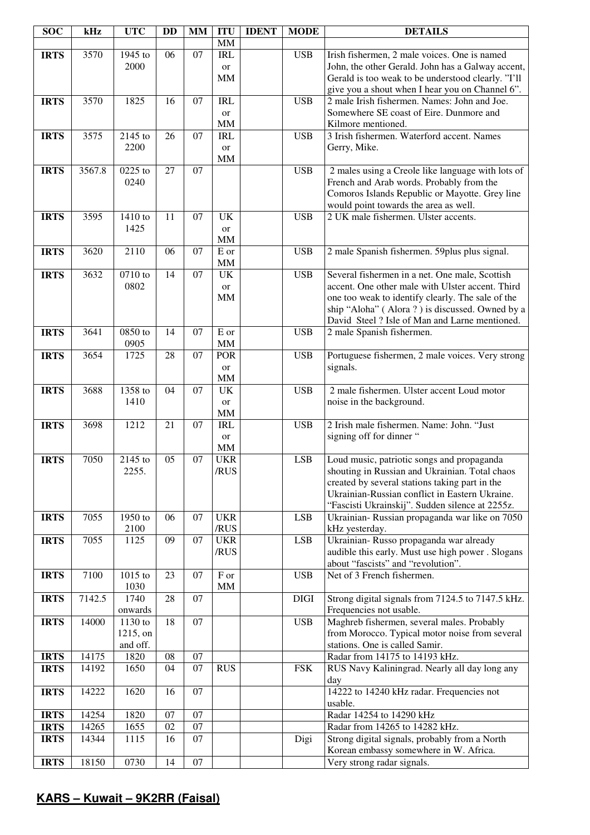| <b>SOC</b>  | kHz    | <b>UTC</b>          | <b>DD</b>       | MM              | <b>ITU</b>          | <b>IDENT</b> | <b>MODE</b> | <b>DETAILS</b>                                                                                        |
|-------------|--------|---------------------|-----------------|-----------------|---------------------|--------------|-------------|-------------------------------------------------------------------------------------------------------|
|             |        |                     |                 |                 | MM                  |              |             |                                                                                                       |
| <b>IRTS</b> | 3570   | 1945 to             | 06              | $\overline{07}$ | IRL                 |              | <b>USB</b>  | Irish fishermen, 2 male voices. One is named                                                          |
|             |        | 2000                |                 |                 | <b>or</b>           |              |             | John, the other Gerald. John has a Galway accent,                                                     |
|             |        |                     |                 |                 | MM                  |              |             | Gerald is too weak to be understood clearly. "I'll<br>give you a shout when I hear you on Channel 6". |
| <b>IRTS</b> | 3570   | 1825                | 16              | 07              | <b>IRL</b>          |              | <b>USB</b>  | 2 male Irish fishermen. Names: John and Joe.                                                          |
|             |        |                     |                 |                 | or                  |              |             | Somewhere SE coast of Eire. Dunmore and                                                               |
|             |        |                     |                 |                 | $\text{MM}{}$       |              |             | Kilmore mentioned.                                                                                    |
| <b>IRTS</b> | 3575   | 2145 to             | 26              | 07              | <b>IRL</b>          |              | <b>USB</b>  | 3 Irish fishermen. Waterford accent. Names                                                            |
|             |        | 2200                |                 |                 | or                  |              |             | Gerry, Mike.                                                                                          |
|             |        |                     |                 |                 | $\text{MM}{}$       |              |             |                                                                                                       |
| <b>IRTS</b> | 3567.8 | 0225 to             | 27              | 07              |                     |              | <b>USB</b>  | 2 males using a Creole like language with lots of                                                     |
|             |        | 0240                |                 |                 |                     |              |             | French and Arab words. Probably from the                                                              |
|             |        |                     |                 |                 |                     |              |             | Comoros Islands Republic or Mayotte. Grey line                                                        |
|             |        |                     |                 |                 |                     |              |             | would point towards the area as well.                                                                 |
| <b>IRTS</b> | 3595   | 1410 to             | 11              | 07              | $\overline{UK}$     |              | <b>USB</b>  | 2 UK male fishermen. Ulster accents.                                                                  |
|             |        | 1425                |                 |                 | <sub>or</sub><br>MM |              |             |                                                                                                       |
| <b>IRTS</b> | 3620   | 2110                | 06              | 07              | E or                |              | <b>USB</b>  | 2 male Spanish fishermen. 59plus plus signal.                                                         |
|             |        |                     |                 |                 | $\text{MM}{}$       |              |             |                                                                                                       |
| <b>IRTS</b> | 3632   | 0710 to             | 14              | 07              | UK                  |              | <b>USB</b>  | Several fishermen in a net. One male, Scottish                                                        |
|             |        | 0802                |                 |                 | or                  |              |             | accent. One other male with Ulster accent. Third                                                      |
|             |        |                     |                 |                 | MM                  |              |             | one too weak to identify clearly. The sale of the                                                     |
|             |        |                     |                 |                 |                     |              |             | ship "Aloha" (Alora?) is discussed. Owned by a                                                        |
|             |        |                     |                 |                 |                     |              |             | David Steel ? Isle of Man and Larne mentioned.                                                        |
| <b>IRTS</b> | 3641   | 0850 to             | 14              | 07              | $\mathbf E$ or      |              | <b>USB</b>  | 2 male Spanish fishermen.                                                                             |
|             |        | 0905                |                 |                 | $\text{MM}{}$       |              |             |                                                                                                       |
| <b>IRTS</b> | 3654   | 1725                | 28              | 07              | POR                 |              | <b>USB</b>  | Portuguese fishermen, 2 male voices. Very strong                                                      |
|             |        |                     |                 |                 | or<br>MM            |              |             | signals.                                                                                              |
| <b>IRTS</b> | 3688   | 1358 to             | 04              | 07              | <b>UK</b>           |              | <b>USB</b>  | 2 male fishermen. Ulster accent Loud motor                                                            |
|             |        | 1410                |                 |                 | or                  |              |             | noise in the background.                                                                              |
|             |        |                     |                 |                 | MM                  |              |             |                                                                                                       |
| <b>IRTS</b> | 3698   | 1212                | $\overline{21}$ | $\overline{07}$ | <b>IRL</b>          |              | <b>USB</b>  | 2 Irish male fishermen. Name: John. "Just                                                             |
|             |        |                     |                 |                 | or                  |              |             | signing off for dinner "                                                                              |
|             |        |                     |                 |                 | MM                  |              |             |                                                                                                       |
| <b>IRTS</b> | 7050   | 2145 to             | 05              | 07              | <b>UKR</b>          |              | <b>LSB</b>  | Loud music, patriotic songs and propaganda                                                            |
|             |        | 2255.               |                 |                 | /RUS                |              |             | shouting in Russian and Ukrainian. Total chaos                                                        |
|             |        |                     |                 |                 |                     |              |             | created by several stations taking part in the                                                        |
|             |        |                     |                 |                 |                     |              |             | Ukrainian-Russian conflict in Eastern Ukraine.                                                        |
| <b>IRTS</b> | 7055   | 1950 to             | 06              | 07              | <b>UKR</b>          |              | <b>LSB</b>  | "Fascisti Ukrainskij". Sudden silence at 2255z.<br>Ukrainian-Russian propaganda war like on 7050      |
|             |        | 2100                |                 |                 | /RUS                |              |             | kHz yesterday.                                                                                        |
| <b>IRTS</b> | 7055   | 1125                | 09              | 07              | <b>UKR</b>          |              | <b>LSB</b>  | Ukrainian-Russo propaganda war already                                                                |
|             |        |                     |                 |                 | /RUS                |              |             | audible this early. Must use high power. Slogans                                                      |
|             |        |                     |                 |                 |                     |              |             | about "fascists" and "revolution".                                                                    |
| <b>IRTS</b> | 7100   | $1015$ to           | 23              | 07              | F or                |              | <b>USB</b>  | Net of 3 French fishermen.                                                                            |
|             |        | 1030                |                 |                 | MM                  |              |             |                                                                                                       |
| <b>IRTS</b> | 7142.5 | 1740                | 28              | 07              |                     |              | <b>DIGI</b> | Strong digital signals from 7124.5 to 7147.5 kHz.                                                     |
|             |        | onwards             |                 |                 |                     |              |             | Frequencies not usable.                                                                               |
| <b>IRTS</b> | 14000  | 1130 to<br>1215, on | 18              | 07              |                     |              | <b>USB</b>  | Maghreb fishermen, several males. Probably<br>from Morocco. Typical motor noise from several          |
|             |        | and off.            |                 |                 |                     |              |             | stations. One is called Samir.                                                                        |
| <b>IRTS</b> | 14175  | 1820                | 08              | 07              |                     |              |             | Radar from 14175 to 14193 kHz.                                                                        |
| <b>IRTS</b> | 14192  | 1650                | 04              | 07              | <b>RUS</b>          |              | <b>FSK</b>  | RUS Navy Kaliningrad. Nearly all day long any                                                         |
|             |        |                     |                 |                 |                     |              |             | day                                                                                                   |
| <b>IRTS</b> | 14222  | 1620                | 16              | 07              |                     |              |             | 14222 to 14240 kHz radar. Frequencies not                                                             |
|             |        |                     |                 |                 |                     |              |             | usable.                                                                                               |
| <b>IRTS</b> | 14254  | 1820                | 07              | 07              |                     |              |             | Radar 14254 to 14290 kHz                                                                              |
| <b>IRTS</b> | 14265  | 1655                | 02              | 07              |                     |              |             | Radar from 14265 to 14282 kHz.                                                                        |
| <b>IRTS</b> | 14344  | 1115                | 16              | 07              |                     |              | Digi        | Strong digital signals, probably from a North                                                         |
|             |        |                     |                 |                 |                     |              |             | Korean embassy somewhere in W. Africa.                                                                |
| <b>IRTS</b> | 18150  | 0730                | 14              | 07              |                     |              |             | Very strong radar signals.                                                                            |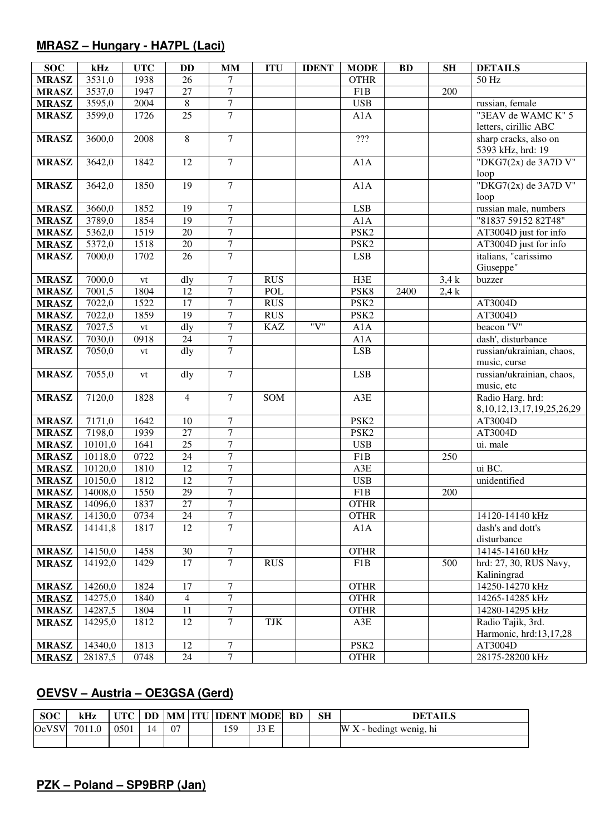### **MRASZ – Hungary - HA7PL (Laci)**

| <b>SOC</b>   | kHz     | <b>UTC</b>    | DD              | <b>MM</b>        | <b>ITU</b> | <b>IDENT</b> | <b>MODE</b>      | <b>BD</b> | SH   | <b>DETAILS</b>                          |
|--------------|---------|---------------|-----------------|------------------|------------|--------------|------------------|-----------|------|-----------------------------------------|
| <b>MRASZ</b> | 3531,0  | 1938          | 26              | 7                |            |              | <b>OTHR</b>      |           |      | 50 Hz                                   |
| <b>MRASZ</b> | 3537,0  | 1947          | $\overline{27}$ | $\overline{7}$   |            |              | F1B              |           | 200  |                                         |
| <b>MRASZ</b> | 3595,0  | 2004          | $\overline{8}$  | $\overline{7}$   |            |              | <b>USB</b>       |           |      | russian, female                         |
| <b>MRASZ</b> | 3599,0  | 1726          | $\overline{25}$ | $\overline{7}$   |            |              | A1A              |           |      | "3EAV de WAMC K" 5                      |
|              |         |               |                 |                  |            |              |                  |           |      | letters, cirillic ABC                   |
| <b>MRASZ</b> | 3600,0  | 2008          | $\overline{8}$  | $\tau$           |            |              | $\overline{??'}$ |           |      | sharp cracks, also on                   |
|              |         |               |                 |                  |            |              |                  |           |      | 5393 kHz, hrd: 19                       |
| <b>MRASZ</b> | 3642,0  | 1842          | 12              | $\overline{7}$   |            |              | A1A              |           |      | "DKG7(2x) de 3A7D V"                    |
|              |         |               |                 |                  |            |              |                  |           |      | loop                                    |
| <b>MRASZ</b> | 3642,0  | 1850          | $\overline{19}$ | $\overline{7}$   |            |              | A1A              |           |      | "DKG7 $(2x)$ de 3A7D V"                 |
|              |         |               |                 |                  |            |              |                  |           |      | loop                                    |
| <b>MRASZ</b> | 3660,0  | 1852          | 19              | $\overline{7}$   |            |              | ${\rm LSB}$      |           |      | russian male, numbers                   |
| <b>MRASZ</b> | 3789,0  | 1854          | $\overline{19}$ | $\overline{7}$   |            |              | A1A              |           |      | "81837 59152 82T48"                     |
| <b>MRASZ</b> | 5362,0  | 1519          | 20              | $\overline{7}$   |            |              | PSK <sub>2</sub> |           |      | AT3004D just for info                   |
| <b>MRASZ</b> | 5372,0  | 1518          | 20              | $\overline{7}$   |            |              | PSK <sub>2</sub> |           |      | AT3004D just for info                   |
| <b>MRASZ</b> | 7000,0  | 1702          | 26              | $\overline{7}$   |            |              | LSB              |           |      | italians, "carissimo                    |
|              |         |               |                 |                  |            |              |                  |           |      | Giuseppe"                               |
| <b>MRASZ</b> | 7000,0  | $\mathrm{vt}$ | dly             | $\boldsymbol{7}$ | <b>RUS</b> |              | H3E              |           | 3,4k | buzzer                                  |
| <b>MRASZ</b> | 7001,5  | 1804          | 12              | $\overline{7}$   | <b>POL</b> |              | PSK8             | 2400      | 2.4k |                                         |
| <b>MRASZ</b> | 7022,0  | 1522          | $\overline{17}$ | $\tau$           | <b>RUS</b> |              | PSK <sub>2</sub> |           |      | AT3004D                                 |
| <b>MRASZ</b> | 7022,0  | 1859          | $\overline{19}$ | $\overline{7}$   | <b>RUS</b> |              | PSK <sub>2</sub> |           |      | AT3004D                                 |
| <b>MRASZ</b> | 7027,5  | $\mathrm{vt}$ | dly             | $\tau$           | <b>KAZ</b> | "V"          | A1A              |           |      | beacon "V"                              |
| <b>MRASZ</b> | 7030,0  | 0918          | 24              | $\overline{7}$   |            |              | A1A              |           |      | dash', disturbance                      |
| <b>MRASZ</b> | 7050,0  | vt            | dly             | $\overline{7}$   |            |              | LSB              |           |      | russian/ukrainian, chaos,               |
|              |         |               |                 | $\overline{7}$   |            |              |                  |           |      | music, curse                            |
| <b>MRASZ</b> | 7055,0  | vt            | dly             |                  |            |              | <b>LSB</b>       |           |      | russian/ukrainian, chaos,<br>music, etc |
| <b>MRASZ</b> | 7120,0  | 1828          | $\overline{4}$  | $\overline{7}$   | SOM        |              | A3E              |           |      | Radio Harg. hrd:                        |
|              |         |               |                 |                  |            |              |                  |           |      | 8, 10, 12, 13, 17, 19, 25, 26, 29       |
| <b>MRASZ</b> | 7171,0  | 1642          | 10              | $\tau$           |            |              | PSK <sub>2</sub> |           |      | AT3004D                                 |
| <b>MRASZ</b> | 7198,0  | 1939          | $\overline{27}$ | $\overline{7}$   |            |              | PSK <sub>2</sub> |           |      | AT3004D                                 |
| <b>MRASZ</b> | 10101,0 | 1641          | $\overline{25}$ | $\overline{7}$   |            |              | <b>USB</b>       |           |      | ui. male                                |
| <b>MRASZ</b> | 10118,0 | 0722          | $\overline{24}$ | $\overline{7}$   |            |              | F1B              |           | 250  |                                         |
| <b>MRASZ</b> | 10120,0 | 1810          | $\overline{12}$ | $\overline{7}$   |            |              | A3E              |           |      | ui BC.                                  |
| <b>MRASZ</b> | 10150,0 | 1812          | $\overline{12}$ | $\overline{7}$   |            |              | <b>USB</b>       |           |      | unidentified                            |
| <b>MRASZ</b> | 14008,0 | 1550          | 29              | $\overline{7}$   |            |              | F1B              |           | 200  |                                         |
| <b>MRASZ</b> | 14096,0 | 1837          | 27              | $\overline{7}$   |            |              | <b>OTHR</b>      |           |      |                                         |
| <b>MRASZ</b> | 14130,0 | 0734          | 24              | $\tau$           |            |              | <b>OTHR</b>      |           |      | 14120-14140 kHz                         |
| <b>MRASZ</b> | 14141,8 | 1817          | 12              | $\overline{7}$   |            |              | A1A              |           |      | dash's and dott's                       |
|              |         |               |                 |                  |            |              |                  |           |      | disturbance                             |
| <b>MRASZ</b> | 14150,0 | 1458          | 30              | $\tau$           |            |              | <b>OTHR</b>      |           |      | 14145-14160 kHz                         |
| <b>MRASZ</b> | 14192,0 | 1429          | 17              | $\mathcal{I}$    | <b>RUS</b> |              | F1B              |           | 500  | hrd: 27, 30, RUS Navy,                  |
|              |         |               |                 |                  |            |              |                  |           |      | Kaliningrad                             |
| <b>MRASZ</b> | 14260,0 | 1824          | 17              | 7                |            |              | <b>OTHR</b>      |           |      | 14250-14270 kHz                         |
| <b>MRASZ</b> | 14275,0 | 1840          | $\overline{4}$  | $\tau$           |            |              | <b>OTHR</b>      |           |      | 14265-14285 kHz                         |
| <b>MRASZ</b> | 14287,5 | 1804          | 11              | $\tau$           |            |              | <b>OTHR</b>      |           |      | 14280-14295 kHz                         |
| <b>MRASZ</b> | 14295,0 | 1812          | 12              | $\tau$           | <b>TJK</b> |              | A3E              |           |      | Radio Tajik, 3rd.                       |
|              |         |               |                 |                  |            |              |                  |           |      | Harmonic, hrd:13,17,28                  |
| <b>MRASZ</b> | 14340,0 | 1813          | 12              | $\tau$           |            |              | PSK <sub>2</sub> |           |      | AT3004D                                 |
| <b>MRASZ</b> | 28187,5 | 0748          | 24              | $\overline{7}$   |            |              | <b>OTHR</b>      |           |      | 28175-28200 kHz                         |

## **OEVSV – Austria – OE3GSA (Gerd)**

| <b>SOC</b>   | kHz    | <b>UTC</b> |    |    | <b>DD   MM   ITU   IDENT   MODE  </b> |      | <b>BD</b> | SН | <b>DETAILS</b>                          |
|--------------|--------|------------|----|----|---------------------------------------|------|-----------|----|-----------------------------------------|
| <b>OeVSV</b> | 7011.0 | 0501       | 14 | 07 | 159                                   | IO E |           |    | . - bedingt wenig, hi<br>W<br>$\Lambda$ |
|              |        |            |    |    |                                       |      |           |    |                                         |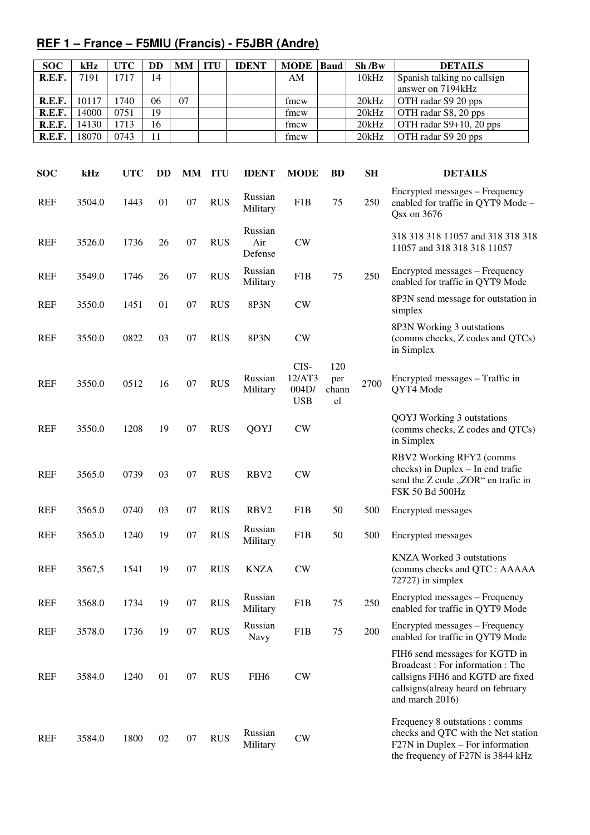## **REF 1 – France – F5MIU (Francis) - F5JBR (Andre)**

| <b>SOC</b> | kHz   | UTC  | DD | <b>MM</b> | <b>ITU</b> | <b>IDENT</b> | <b>MODE</b> | <b>Baud</b> | Sh/Bw | <b>DETAILS</b>              |
|------------|-------|------|----|-----------|------------|--------------|-------------|-------------|-------|-----------------------------|
| R.E.F.     | 7191  | 1717 | 14 |           |            |              | AΜ          |             | 10kHz | Spanish talking no callsign |
|            |       |      |    |           |            |              |             |             |       | answer on 7194kHz           |
| R.E.F.     | 10117 | 740  | 06 | 07        |            |              | fmcw        |             | 20kHz | OTH radar S9 20 pps         |
| R.E.F.     | 14000 | 0751 | 19 |           |            |              | fmcw        |             | 20kHz | OTH radar S8, 20 pps        |
| R.E.F.     | 14130 | 1713 | 16 |           |            |              | fmcw        |             | 20kHz | OTH radar $S9+10$ , 20 pps  |
| R.E.F.     | 18070 | 0743 | 11 |           |            |              | fmcw        |             | 20kHz | OTH radar S9 20 pps         |

| <b>SOC</b> | kHz    | <b>UTC</b> | <b>DD</b> | MМ | <b>ITU</b> | <b>IDENT</b>              | <b>MODE</b>                           | <b>BD</b>                 | <b>SH</b> | <b>DETAILS</b>                                                                                                                                                  |
|------------|--------|------------|-----------|----|------------|---------------------------|---------------------------------------|---------------------------|-----------|-----------------------------------------------------------------------------------------------------------------------------------------------------------------|
| <b>REF</b> | 3504.0 | 1443       | 01        | 07 | <b>RUS</b> | Russian<br>Military       | F1B                                   | 75                        | 250       | Encrypted messages - Frequency<br>enabled for traffic in QYT9 Mode -<br>Qsx on 3676                                                                             |
| <b>REF</b> | 3526.0 | 1736       | 26        | 07 | <b>RUS</b> | Russian<br>Air<br>Defense | CW                                    |                           |           | 318 318 318 11057 and 318 318 318<br>11057 and 318 318 318 11057                                                                                                |
| <b>REF</b> | 3549.0 | 1746       | 26        | 07 | <b>RUS</b> | Russian<br>Military       | F <sub>1</sub> B                      | 75                        | 250       | Encrypted messages - Frequency<br>enabled for traffic in QYT9 Mode                                                                                              |
| <b>REF</b> | 3550.0 | 1451       | 01        | 07 | <b>RUS</b> | 8P3N                      | <b>CW</b>                             |                           |           | 8P3N send message for outstation in<br>simplex                                                                                                                  |
| <b>REF</b> | 3550.0 | 0822       | 03        | 07 | <b>RUS</b> | 8P3N                      | <b>CW</b>                             |                           |           | 8P3N Working 3 outstations<br>(comms checks, Z codes and QTCs)<br>in Simplex                                                                                    |
| <b>REF</b> | 3550.0 | 0512       | 16        | 07 | <b>RUS</b> | Russian<br>Military       | CIS-<br>12/AT3<br>004D/<br><b>USB</b> | 120<br>per<br>chann<br>el | 2700      | Encrypted messages - Traffic in<br>QYT4 Mode                                                                                                                    |
| <b>REF</b> | 3550.0 | 1208       | 19        | 07 | <b>RUS</b> | QOYJ                      | <b>CW</b>                             |                           |           | <b>QOYJ</b> Working 3 outstations<br>(comms checks, Z codes and QTCs)<br>in Simplex                                                                             |
| <b>REF</b> | 3565.0 | 0739       | 03        | 07 | <b>RUS</b> | RBV <sub>2</sub>          | CW                                    |                           |           | RBV2 Working RFY2 (comms<br>checks) in Duplex - In end trafic<br>send the Z code "ZOR" en trafic in<br>FSK 50 Bd 500Hz                                          |
| <b>REF</b> | 3565.0 | 0740       | 03        | 07 | <b>RUS</b> | RBV <sub>2</sub>          | F1B                                   | 50                        | 500       | Encrypted messages                                                                                                                                              |
| <b>REF</b> | 3565.0 | 1240       | 19        | 07 | <b>RUS</b> | Russian<br>Military       | F1B                                   | 50                        | 500       | Encrypted messages                                                                                                                                              |
| <b>REF</b> | 3567,5 | 1541       | 19        | 07 | <b>RUS</b> | <b>KNZA</b>               | CW                                    |                           |           | <b>KNZA Worked 3 outstations</b><br>(comms checks and QTC : AAAAA<br>$72727$ ) in simplex                                                                       |
| <b>REF</b> | 3568.0 | 1734       | 19        | 07 | <b>RUS</b> | Russian<br>Military       | F1B                                   | 75                        | 250       | Encrypted messages - Frequency<br>enabled for traffic in QYT9 Mode                                                                                              |
| <b>REF</b> | 3578.0 | 1736       | 19        | 07 | <b>RUS</b> | Russian<br>Navy           | F1B                                   | 75                        | 200       | Encrypted messages – Frequency<br>enabled for traffic in QYT9 Mode                                                                                              |
| <b>REF</b> | 3584.0 | 1240       | 01        | 07 | <b>RUS</b> | FIH <sub>6</sub>          | <b>CW</b>                             |                           |           | FIH6 send messages for KGTD in<br>Broadcast: For information: The<br>callsigns FIH6 and KGTD are fixed<br>callsigns(alreay heard on february<br>and march 2016) |
| REF        | 3584.0 | 1800       | 02        | 07 | <b>RUS</b> | Russian<br>Military       | <b>CW</b>                             |                           |           | Frequency 8 outstations : comms<br>checks and QTC with the Net station<br>$F27N$ in Duplex – For information<br>the frequency of F27N is 3844 kHz               |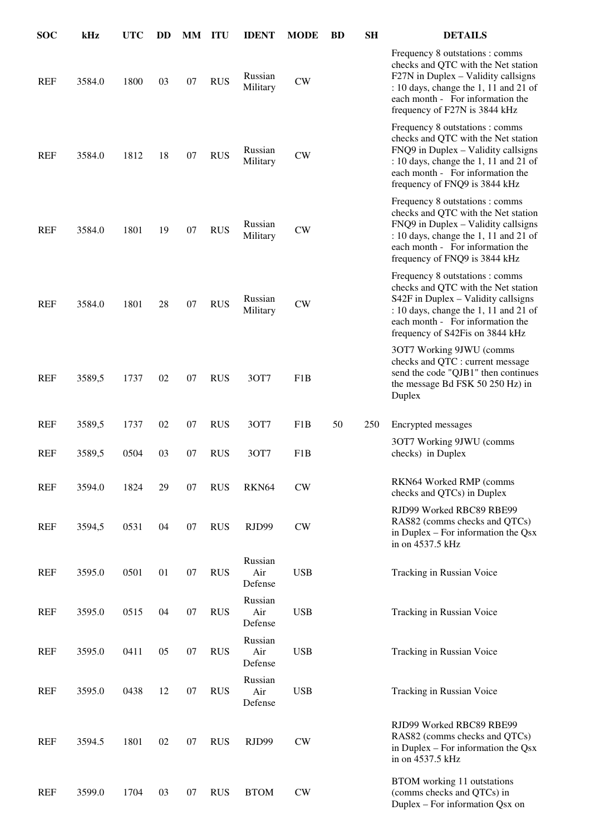| <b>SOC</b> | kHz    | <b>UTC</b> | <b>DD</b> | MM ITU |            | <b>IDENT</b>              | <b>MODE</b>      | <b>BD</b> | <b>SH</b> | <b>DETAILS</b>                                                                                                                                                                                                                |
|------------|--------|------------|-----------|--------|------------|---------------------------|------------------|-----------|-----------|-------------------------------------------------------------------------------------------------------------------------------------------------------------------------------------------------------------------------------|
| <b>REF</b> | 3584.0 | 1800       | 03        | 07     | <b>RUS</b> | Russian<br>Military       | <b>CW</b>        |           |           | Frequency 8 outstations : comms<br>checks and QTC with the Net station<br>F27N in Duplex - Validity callsigns<br>: 10 days, change the 1, 11 and 21 of<br>each month - For information the<br>frequency of F27N is 3844 kHz   |
| <b>REF</b> | 3584.0 | 1812       | 18        | 07     | <b>RUS</b> | Russian<br>Military       | CW               |           |           | Frequency 8 outstations : comms<br>checks and QTC with the Net station<br>FNQ9 in Duplex - Validity callsigns<br>: 10 days, change the 1, 11 and 21 of<br>each month - For information the<br>frequency of FNQ9 is 3844 kHz   |
| <b>REF</b> | 3584.0 | 1801       | 19        | 07     | <b>RUS</b> | Russian<br>Military       | CW               |           |           | Frequency 8 outstations : comms<br>checks and QTC with the Net station<br>FNQ9 in Duplex - Validity callsigns<br>: 10 days, change the 1, 11 and 21 of<br>each month - For information the<br>frequency of FNQ9 is 3844 kHz   |
| <b>REF</b> | 3584.0 | 1801       | 28        | 07     | <b>RUS</b> | Russian<br>Military       | CW               |           |           | Frequency 8 outstations : comms<br>checks and QTC with the Net station<br>S42F in Duplex - Validity callsigns<br>: 10 days, change the 1, 11 and 21 of<br>each month - For information the<br>frequency of S42Fis on 3844 kHz |
| <b>REF</b> | 3589,5 | 1737       | 02        | 07     | <b>RUS</b> | 3OT7                      | F <sub>1</sub> B |           |           | 30T7 Working 9JWU (comms<br>checks and QTC : current message<br>send the code "QJB1" then continues<br>the message Bd FSK 50 250 Hz) in<br>Duplex                                                                             |
| <b>REF</b> | 3589,5 | 1737       | 02        | 07     | <b>RUS</b> | 3OT7                      | F1B              | 50        | 250       | Encrypted messages                                                                                                                                                                                                            |
| <b>REF</b> | 3589,5 | 0504       | 03        | 07     | <b>RUS</b> | 3OT7                      | F1B              |           |           | 3OT7 Working 9JWU (comms<br>checks) in Duplex                                                                                                                                                                                 |
| <b>REF</b> | 3594.0 | 1824       | 29        | 07     | <b>RUS</b> | RKN64                     | CW               |           |           | RKN64 Worked RMP (comms<br>checks and QTCs) in Duplex                                                                                                                                                                         |
| <b>REF</b> | 3594,5 | 0531       | 04        | 07     | <b>RUS</b> | RJD99                     | ${\rm\bf CW}$    |           |           | RJD99 Worked RBC89 RBE99<br>RAS82 (comms checks and QTCs)<br>in Duplex $-$ For information the Qsx<br>in on 4537.5 kHz                                                                                                        |
| <b>REF</b> | 3595.0 | 0501       | 01        | 07     | <b>RUS</b> | Russian<br>Air<br>Defense | <b>USB</b>       |           |           | Tracking in Russian Voice                                                                                                                                                                                                     |
| <b>REF</b> | 3595.0 | 0515       | 04        | 07     | <b>RUS</b> | Russian<br>Air<br>Defense | <b>USB</b>       |           |           | Tracking in Russian Voice                                                                                                                                                                                                     |
| <b>REF</b> | 3595.0 | 0411       | 05        | 07     | <b>RUS</b> | Russian<br>Air<br>Defense | <b>USB</b>       |           |           | Tracking in Russian Voice                                                                                                                                                                                                     |
| <b>REF</b> | 3595.0 | 0438       | 12        | 07     | <b>RUS</b> | Russian<br>Air<br>Defense | <b>USB</b>       |           |           | Tracking in Russian Voice                                                                                                                                                                                                     |
| <b>REF</b> | 3594.5 | 1801       | 02        | 07     | <b>RUS</b> | RJD99                     | ${\rm\bf CW}$    |           |           | RJD99 Worked RBC89 RBE99<br>RAS82 (comms checks and QTCs)<br>in Duplex $-$ For information the Qsx<br>in on 4537.5 kHz                                                                                                        |
| <b>REF</b> | 3599.0 | 1704       | 03        | 07     | <b>RUS</b> | <b>BTOM</b>               | ${\rm\bf CW}$    |           |           | <b>BTOM</b> working 11 outstations<br>(comms checks and QTCs) in<br>Duplex – For information Qsx on                                                                                                                           |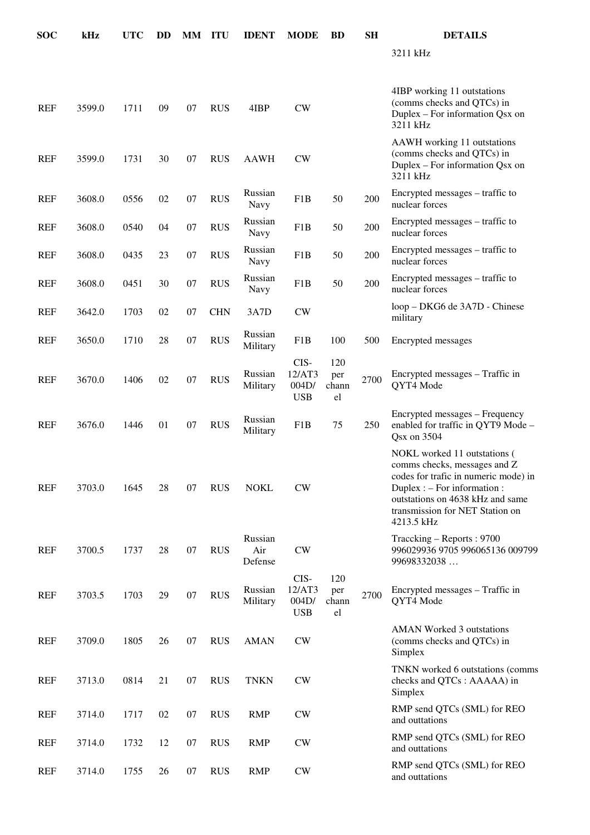| <b>SOC</b> | kHz    | <b>UTC</b> | DD | <b>MM ITU</b> |            | <b>IDENT</b>              | <b>MODE</b>                           | <b>BD</b>                 | SH   | <b>DETAILS</b>                                                                                                                                                                                                              |
|------------|--------|------------|----|---------------|------------|---------------------------|---------------------------------------|---------------------------|------|-----------------------------------------------------------------------------------------------------------------------------------------------------------------------------------------------------------------------------|
|            |        |            |    |               |            |                           |                                       |                           |      | 3211 kHz                                                                                                                                                                                                                    |
| <b>REF</b> | 3599.0 | 1711       | 09 | 07            | <b>RUS</b> | 4IBP                      | CW                                    |                           |      | 4IBP working 11 outstations<br>(comms checks and QTCs) in<br>Duplex – For information Qsx on<br>3211 kHz                                                                                                                    |
| <b>REF</b> | 3599.0 | 1731       | 30 | 07            | <b>RUS</b> | <b>AAWH</b>               | <b>CW</b>                             |                           |      | AAWH working 11 outstations<br>(comms checks and QTCs) in<br>Duplex – For information Qsx on<br>3211 kHz                                                                                                                    |
| <b>REF</b> | 3608.0 | 0556       | 02 | 07            | <b>RUS</b> | Russian<br>Navy           | F1B                                   | 50                        | 200  | Encrypted messages – traffic to<br>nuclear forces                                                                                                                                                                           |
| <b>REF</b> | 3608.0 | 0540       | 04 | 07            | <b>RUS</b> | Russian<br>Navy           | F1B                                   | 50                        | 200  | Encrypted messages - traffic to<br>nuclear forces                                                                                                                                                                           |
| <b>REF</b> | 3608.0 | 0435       | 23 | 07            | <b>RUS</b> | Russian<br><b>Navy</b>    | F1B                                   | 50                        | 200  | Encrypted messages - traffic to<br>nuclear forces                                                                                                                                                                           |
| <b>REF</b> | 3608.0 | 0451       | 30 | 07            | <b>RUS</b> | Russian<br>Navy           | F1B                                   | 50                        | 200  | Encrypted messages – traffic to<br>nuclear forces                                                                                                                                                                           |
| <b>REF</b> | 3642.0 | 1703       | 02 | 07            | <b>CHN</b> | 3A7D                      | <b>CW</b>                             |                           |      | loop – DKG6 de 3A7D - Chinese<br>military                                                                                                                                                                                   |
| <b>REF</b> | 3650.0 | 1710       | 28 | 07            | <b>RUS</b> | Russian<br>Military       | F1B                                   | 100                       | 500  | Encrypted messages                                                                                                                                                                                                          |
| <b>REF</b> | 3670.0 | 1406       | 02 | 07            | <b>RUS</b> | Russian<br>Military       | CIS-<br>12/AT3<br>004D/<br><b>USB</b> | 120<br>per<br>chann<br>el | 2700 | Encrypted messages – Traffic in<br>QYT4 Mode                                                                                                                                                                                |
| <b>REF</b> | 3676.0 | 1446       | 01 | 07            | <b>RUS</b> | Russian<br>Military       | F1B                                   | 75                        | 250  | Encrypted messages - Frequency<br>enabled for traffic in QYT9 Mode -<br>Qsx on 3504                                                                                                                                         |
| <b>REF</b> | 3703.0 | 1645       | 28 | 07            | <b>RUS</b> | <b>NOKL</b>               | <b>CW</b>                             |                           |      | NOKL worked 11 outstations (<br>comms checks, messages and Z<br>codes for trafic in numeric mode) in<br>Duplex : $-$ For information :<br>outstations on 4638 kHz and same<br>transmission for NET Station on<br>4213.5 kHz |
| <b>REF</b> | 3700.5 | 1737       | 28 | 07            | <b>RUS</b> | Russian<br>Air<br>Defense | <b>CW</b>                             |                           |      | Traccking - Reports: 9700<br>996029936 9705 996065136 009799<br>99698332038                                                                                                                                                 |
| <b>REF</b> | 3703.5 | 1703       | 29 | 07            | <b>RUS</b> | Russian<br>Military       | CIS-<br>12/AT3<br>004D/<br><b>USB</b> | 120<br>per<br>chann<br>el | 2700 | Encrypted messages – Traffic in<br>QYT4 Mode                                                                                                                                                                                |
| <b>REF</b> | 3709.0 | 1805       | 26 | 07            | <b>RUS</b> | <b>AMAN</b>               | CW                                    |                           |      | <b>AMAN</b> Worked 3 outstations<br>(comms checks and QTCs) in<br>Simplex                                                                                                                                                   |
| <b>REF</b> | 3713.0 | 0814       | 21 | 07            | <b>RUS</b> | <b>TNKN</b>               | <b>CW</b>                             |                           |      | TNKN worked 6 outstations (comms<br>checks and QTCs : AAAAA) in<br>Simplex                                                                                                                                                  |
| <b>REF</b> | 3714.0 | 1717       | 02 | 07            | <b>RUS</b> | <b>RMP</b>                | CW                                    |                           |      | RMP send QTCs (SML) for REO<br>and outtations                                                                                                                                                                               |
| <b>REF</b> | 3714.0 | 1732       | 12 | 07            | <b>RUS</b> | <b>RMP</b>                | <b>CW</b>                             |                           |      | RMP send QTCs (SML) for REO<br>and outtations                                                                                                                                                                               |
| <b>REF</b> | 3714.0 | 1755       | 26 | 07            | <b>RUS</b> | <b>RMP</b>                | CW                                    |                           |      | RMP send QTCs (SML) for REO<br>and outtations                                                                                                                                                                               |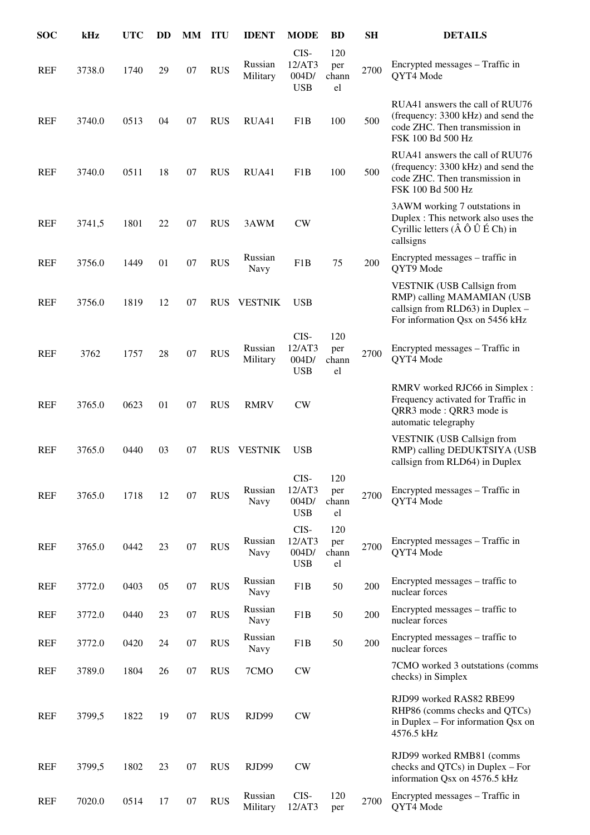| <b>SOC</b> | kHz    | <b>UTC</b> | DD |    | MM ITU     | <b>IDENT</b>           | <b>MODE</b>                           | <b>BD</b>                 | <b>SH</b> | <b>DETAILS</b>                                                                                                                                  |
|------------|--------|------------|----|----|------------|------------------------|---------------------------------------|---------------------------|-----------|-------------------------------------------------------------------------------------------------------------------------------------------------|
| <b>REF</b> | 3738.0 | 1740       | 29 | 07 | <b>RUS</b> | Russian<br>Military    | CIS-<br>12/AT3<br>004D/<br><b>USB</b> | 120<br>per<br>chann<br>el | 2700      | Encrypted messages – Traffic in<br>QYT4 Mode                                                                                                    |
| <b>REF</b> | 3740.0 | 0513       | 04 | 07 | <b>RUS</b> | RUA41                  | F1B                                   | 100                       | 500       | RUA41 answers the call of RUU76<br>(frequency: 3300 kHz) and send the<br>code ZHC. Then transmission in<br>FSK 100 Bd 500 Hz                    |
| <b>REF</b> | 3740.0 | 0511       | 18 | 07 | <b>RUS</b> | RUA41                  | F1B                                   | 100                       | 500       | RUA41 answers the call of RUU76<br>(frequency: 3300 kHz) and send the<br>code ZHC. Then transmission in<br>FSK 100 Bd 500 Hz                    |
| REF        | 3741,5 | 1801       | 22 | 07 | <b>RUS</b> | 3AWM                   | <b>CW</b>                             |                           |           | 3AWM working 7 outstations in<br>Duplex : This network also uses the<br>Cyrillic letters $(\hat{A} \hat{O} \hat{U} \hat{E} Ch)$ in<br>callsigns |
| <b>REF</b> | 3756.0 | 1449       | 01 | 07 | <b>RUS</b> | Russian<br>Navy        | F1B                                   | 75                        | 200       | Encrypted messages – traffic in<br>QYT9 Mode                                                                                                    |
| <b>REF</b> | 3756.0 | 1819       | 12 | 07 | <b>RUS</b> | <b>VESTNIK</b>         | <b>USB</b>                            |                           |           | <b>VESTNIK (USB Callsign from</b><br>RMP) calling MAMAMIAN (USB<br>callsign from RLD63) in Duplex -<br>For information Qsx on 5456 kHz          |
| <b>REF</b> | 3762   | 1757       | 28 | 07 | <b>RUS</b> | Russian<br>Military    | CIS-<br>12/AT3<br>004D/<br><b>USB</b> | 120<br>per<br>chann<br>el | 2700      | Encrypted messages - Traffic in<br>QYT4 Mode                                                                                                    |
| <b>REF</b> | 3765.0 | 0623       | 01 | 07 | <b>RUS</b> | <b>RMRV</b>            | CW                                    |                           |           | RMRV worked RJC66 in Simplex :<br>Frequency activated for Traffic in<br>QRR3 mode: QRR3 mode is<br>automatic telegraphy                         |
| <b>REF</b> | 3765.0 | 0440       | 03 | 07 | <b>RUS</b> | <b>VESTNIK</b>         | <b>USB</b>                            |                           |           | VESTNIK (USB Callsign from<br>RMP) calling DEDUKTSIYA (USB<br>callsign from RLD64) in Duplex                                                    |
| <b>REF</b> | 3765.0 | 1718       | 12 | 07 | <b>RUS</b> | Russian<br>Navy        | CIS-<br>12/AT3<br>004D/<br><b>USB</b> | 120<br>per<br>chann<br>el | 2700      | Encrypted messages – Traffic in<br>QYT4 Mode                                                                                                    |
| <b>REF</b> | 3765.0 | 0442       | 23 | 07 | <b>RUS</b> | Russian<br>Navy        | CIS-<br>12/AT3<br>004D/<br><b>USB</b> | 120<br>per<br>chann<br>el | 2700      | Encrypted messages – Traffic in<br>QYT4 Mode                                                                                                    |
| <b>REF</b> | 3772.0 | 0403       | 05 | 07 | <b>RUS</b> | Russian<br><b>Navy</b> | F <sub>1</sub> B                      | 50                        | 200       | Encrypted messages – traffic to<br>nuclear forces                                                                                               |
| <b>REF</b> | 3772.0 | 0440       | 23 | 07 | <b>RUS</b> | Russian<br><b>Navy</b> | F1B                                   | 50                        | 200       | Encrypted messages – traffic to<br>nuclear forces                                                                                               |
| <b>REF</b> | 3772.0 | 0420       | 24 | 07 | <b>RUS</b> | Russian<br>Navy        | F <sub>1</sub> B                      | 50                        | 200       | Encrypted messages - traffic to<br>nuclear forces                                                                                               |
| <b>REF</b> | 3789.0 | 1804       | 26 | 07 | <b>RUS</b> | 7CMO                   | CW                                    |                           |           | 7CMO worked 3 outstations (comms<br>checks) in Simplex                                                                                          |
| <b>REF</b> | 3799,5 | 1822       | 19 | 07 | <b>RUS</b> | RJD99                  | <b>CW</b>                             |                           |           | RJD99 worked RAS82 RBE99<br>RHP86 (comms checks and QTCs)<br>in Duplex – For information Qsx on<br>4576.5 kHz                                   |
| <b>REF</b> | 3799,5 | 1802       | 23 | 07 | <b>RUS</b> | RJD99                  | CW                                    |                           |           | RJD99 worked RMB81 (comms<br>checks and QTCs) in Duplex - For<br>information Qsx on 4576.5 kHz                                                  |
| <b>REF</b> | 7020.0 | 0514       | 17 | 07 | <b>RUS</b> | Russian<br>Military    | CIS-<br>12/AT3                        | 120<br>per                | 2700      | Encrypted messages – Traffic in<br>QYT4 Mode                                                                                                    |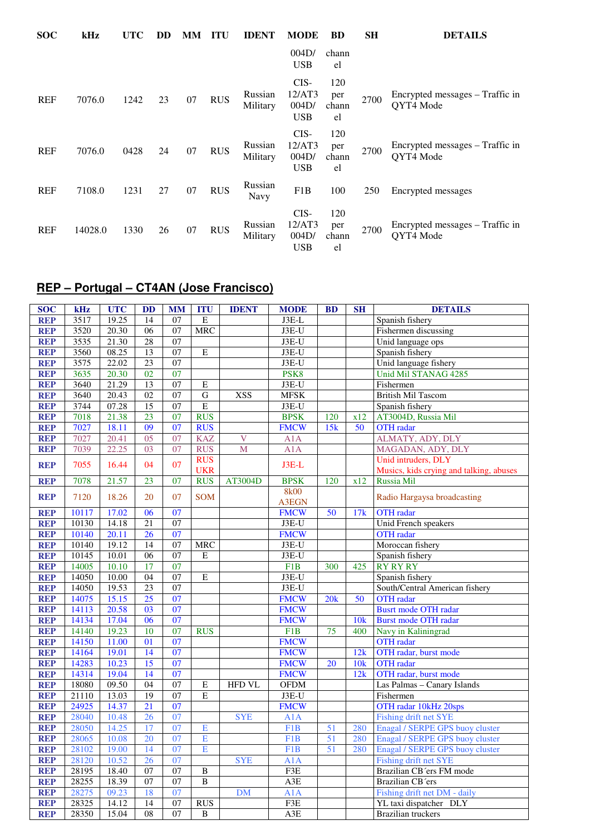| <b>SOC</b> | kHz     | <b>UTC</b> | DD | MМ | ITU        | <b>IDENT</b>           | <b>MODE</b>                           | BD                        | <b>SH</b> | <b>DETAILS</b>                               |
|------------|---------|------------|----|----|------------|------------------------|---------------------------------------|---------------------------|-----------|----------------------------------------------|
|            |         |            |    |    |            |                        | 004D/<br><b>USB</b>                   | chann<br>el               |           |                                              |
| <b>REF</b> | 7076.0  | 1242       | 23 | 07 | <b>RUS</b> | Russian<br>Military    | CIS-<br>12/AT3<br>004D/<br><b>USB</b> | 120<br>per<br>chann<br>el | 2700      | Encrypted messages – Traffic in<br>QYT4 Mode |
| <b>REF</b> | 7076.0  | 0428       | 24 | 07 | <b>RUS</b> | Russian<br>Military    | CIS-<br>12/AT3<br>004D/<br><b>USB</b> | 120<br>per<br>chann<br>el | 2700      | Encrypted messages – Traffic in<br>QYT4 Mode |
| <b>REF</b> | 7108.0  | 1231       | 27 | 07 | <b>RUS</b> | Russian<br><b>Navy</b> | F1B                                   | 100                       | 250       | Encrypted messages                           |
| <b>REF</b> | 14028.0 | 1330       | 26 | 07 | <b>RUS</b> | Russian<br>Military    | CIS-<br>12/AT3<br>004D/<br><b>USB</b> | 120<br>per<br>chann<br>el | 2700      | Encrypted messages – Traffic in<br>QYT4 Mode |

## **REP – Portugal – CT4AN (Jose Francisco)**

| <b>SOC</b> | kHz   | <b>UTC</b> | <b>DD</b>       | <b>MM</b>       | <b>ITU</b>               | <b>IDENT</b>   | <b>MODE</b>      | <b>BD</b> | <b>SH</b> | <b>DETAILS</b>                                                 |
|------------|-------|------------|-----------------|-----------------|--------------------------|----------------|------------------|-----------|-----------|----------------------------------------------------------------|
| <b>REP</b> | 3517  | 19.25      | 14              | 07              | E                        |                | J3E-L            |           |           | Spanish fishery                                                |
| <b>REP</b> | 3520  | 20.30      | 06              | 07              | <b>MRC</b>               |                | $J3E-U$          |           |           | Fishermen discussing                                           |
| <b>REP</b> | 3535  | 21.30      | 28              | 07              |                          |                | $J3E-U$          |           |           | Unid language ops                                              |
| <b>REP</b> | 3560  | 08.25      | 13              | 07              | E                        |                | $J3E-U$          |           |           | Spanish fishery                                                |
| <b>REP</b> | 3575  | 22.02      | 23              | 07              |                          |                | J3E-U            |           |           | Unid language fishery                                          |
| <b>REP</b> | 3635  | 20.30      | $\overline{02}$ | 07              |                          |                | PSK <sub>8</sub> |           |           | <b>Unid Mil STANAG 4285</b>                                    |
| <b>REP</b> | 3640  | 21.29      | $\overline{13}$ | 07              | $\mathbf E$              |                | J3E-U            |           |           | Fishermen                                                      |
| <b>REP</b> | 3640  | 20.43      | $\overline{02}$ | $\overline{07}$ | $\overline{G}$           | <b>XSS</b>     | <b>MFSK</b>      |           |           | <b>British Mil Tascom</b>                                      |
| <b>REP</b> | 3744  | 07.28      | 15              | 07              | E                        |                | J3E-U            |           |           | Spanish fishery                                                |
| <b>REP</b> | 7018  | 21.38      | 23              | 07              | <b>RUS</b>               |                | <b>BPSK</b>      | 120       | x12       | AT3004D, Russia Mil                                            |
| <b>REP</b> | 7027  | 18.11      | $\overline{09}$ | 07              | <b>RUS</b>               |                | <b>FMCW</b>      | 15k       | 50        | <b>OTH</b> radar                                               |
| <b>REP</b> | 7027  | 20.41      | $\overline{05}$ | 07              | <b>KAZ</b>               | $\overline{V}$ | A1A              |           |           | ALMATY, ADY, DLY                                               |
| <b>REP</b> | 7039  | 22.25      | 03              | 07              | <b>RUS</b>               | M              | A1A              |           |           | MAGADAN, ADY, DLY                                              |
| <b>REP</b> | 7055  | 16.44      | 04              | 07              | <b>RUS</b><br><b>UKR</b> |                | $J3E-L$          |           |           | Unid intruders, DLY<br>Musics, kids crying and talking, abuses |
| <b>REP</b> | 7078  | 21.57      | 23              | 07              | <b>RUS</b>               | AT3004D        | <b>BPSK</b>      | 120       | x12       | Russia Mil                                                     |
|            |       |            |                 |                 |                          |                | <b>8k00</b>      |           |           |                                                                |
| <b>REP</b> | 7120  | 18.26      | 20              | 07              | <b>SOM</b>               |                | <b>A3EGN</b>     |           |           | Radio Hargaysa broadcasting                                    |
| <b>REP</b> | 10117 | 17.02      | 06              | 07              |                          |                | <b>FMCW</b>      | 50        | 17k       | <b>OTH</b> radar                                               |
| <b>REP</b> | 10130 | 14.18      | $\overline{21}$ | 07              |                          |                | $J3E-U$          |           |           | Unid French speakers                                           |
| <b>REP</b> | 10140 | 20.11      | 26              | 07              |                          |                | <b>FMCW</b>      |           |           | <b>OTH</b> radar                                               |
| <b>REP</b> | 10140 | 19.12      | 14              | 07              | <b>MRC</b>               |                | $J3E-U$          |           |           | Moroccan fishery                                               |
| <b>REP</b> | 10145 | 10.01      | 06              | 07              | E                        |                | J3E-U            |           |           | Spanish fishery                                                |
| <b>REP</b> | 14005 | 10.10      | 17              | 07              |                          |                | F1B              | 300       | 425       | <b>RY RY RY</b>                                                |
| <b>REP</b> | 14050 | 10.00      | 04              | 07              | $\overline{E}$           |                | $J3E-U$          |           |           | Spanish fishery                                                |
| <b>REP</b> | 14050 | 19.53      | 23              | 07              |                          |                | $J3E-U$          |           |           | South/Central American fishery                                 |
| <b>REP</b> | 14075 | 15.15      | 25              | 07              |                          |                | <b>FMCW</b>      | 20k       | 50        | <b>OTH</b> radar                                               |
| <b>REP</b> | 14113 | 20.58      | $\overline{03}$ | $\overline{07}$ |                          |                | <b>FMCW</b>      |           |           | <b>Busrt mode OTH radar</b>                                    |
| <b>REP</b> | 14134 | 17.04      | 06              | 07              |                          |                | <b>FMCW</b>      |           | 10k       | <b>Burst mode OTH radar</b>                                    |
| <b>REP</b> | 14140 | 19.23      | 10              | 07              | <b>RUS</b>               |                | F <sub>1</sub> B | 75        | 400       | Navy in Kaliningrad                                            |
| <b>REP</b> | 14150 | 11.00      | 01              | 07              |                          |                | <b>FMCW</b>      |           |           | <b>OTH</b> radar                                               |
| <b>REP</b> | 14164 | 19.01      | 14              | $\overline{07}$ |                          |                | <b>FMCW</b>      |           | 12k       | OTH radar, burst mode                                          |
| <b>REP</b> | 14283 | 10.23      | $\overline{15}$ | $\overline{07}$ |                          |                | <b>FMCW</b>      | 20        | 10k       | <b>OTH</b> radar                                               |
| <b>REP</b> | 14314 | 19.04      | 14              | 07              |                          |                | <b>FMCW</b>      |           | 12k       | OTH radar, burst mode                                          |
| <b>REP</b> | 18080 | 09.50      | 04              | 07              | E                        | <b>HFD VL</b>  | <b>OFDM</b>      |           |           | Las Palmas - Canary Islands                                    |
| <b>REP</b> | 21110 | 13.03      | $\overline{19}$ | $\overline{07}$ | E                        |                | J3E-U            |           |           | Fishermen                                                      |
| <b>REP</b> | 24925 | 14.37      | 21              | 07              |                          |                | <b>FMCW</b>      |           |           | OTH radar 10kHz 20sps                                          |
| <b>REP</b> | 28040 | 10.48      | 26              | 07              |                          | <b>SYE</b>     | A1A              |           |           | Fishing drift net SYE                                          |
| <b>REP</b> | 28050 | 14.25      | 17              | 07              | E                        |                | F <sub>1</sub> B | 51        | 280       | Enagal / SERPE GPS buoy cluster                                |
| <b>REP</b> | 28065 | 10.08      | 20              | 07              | $\overline{E}$           |                | F <sub>1</sub> B | 51        | 280       | Enagal / SERPE GPS buoy cluster                                |
| <b>REP</b> | 28102 | 19.00      | 14              | 07              | E                        |                | F <sub>1</sub> B | 51        | 280       | Enagal / SERPE GPS buoy cluster                                |
| <b>REP</b> | 28120 | 10.52      | 26              | 07              |                          | <b>SYE</b>     | A1A              |           |           | Fishing drift net SYE                                          |
| <b>REP</b> | 28195 | 18.40      | 07              | 07              | $\, {\bf B}$             |                | F3E              |           |           | Brazilian CB ers FM mode                                       |
| <b>REP</b> | 28255 | 18.39      | 07              | 07              | $\overline{B}$           |                | A3E              |           |           | Brazilian CB'ers                                               |
| <b>REP</b> | 28275 | 09.23      | 18              | 07              |                          | <b>DM</b>      | A1A              |           |           | Fishing drift net DM - daily                                   |
| <b>REP</b> | 28325 | 14.12      | 14              | 07              | <b>RUS</b>               |                | F3E              |           |           | YL taxi dispatcher DLY                                         |
| <b>REP</b> | 28350 | 15.04      | 08              | 07              | $\, {\bf B}$             |                | A3E              |           |           | <b>Brazilian</b> truckers                                      |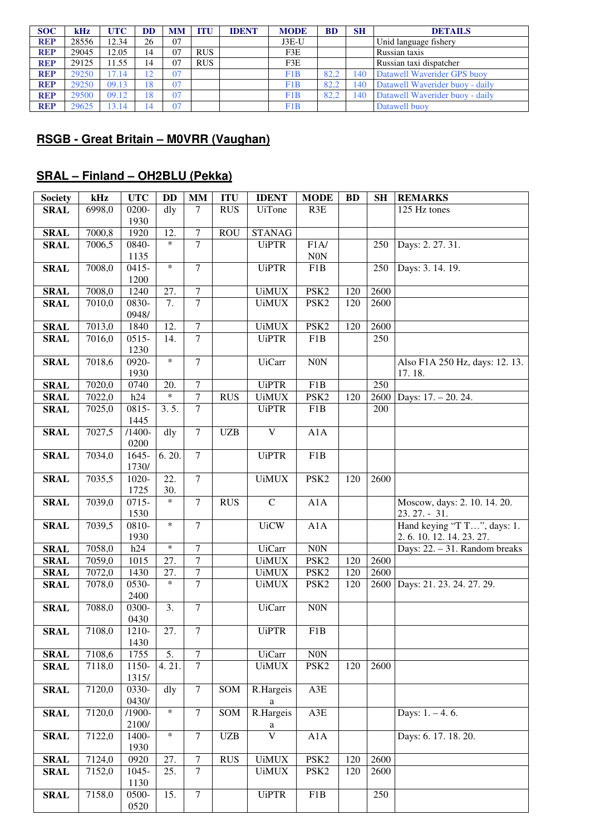| <b>SOC</b> | kHz   | <b>UTC</b> | DD             | <b>MM</b> | <b>ITU</b> | <b>IDENT</b> | <b>MODE</b> | <b>BD</b> | <b>SH</b> | <b>DETAILS</b>                  |
|------------|-------|------------|----------------|-----------|------------|--------------|-------------|-----------|-----------|---------------------------------|
| <b>REP</b> | 28556 | 12.34      | 26             | 07        |            |              | $J3E-U$     |           |           | Unid language fishery           |
| <b>REP</b> | 29045 | 12.05      | 14             | 07        | <b>RUS</b> |              | F3E         |           |           | Russian taxis                   |
| <b>REP</b> | 29125 | 11.55      | 14             | 07        | <b>RUS</b> |              | F3E         |           |           | Russian taxi dispatcher         |
| <b>REP</b> | 29250 | 17.14      | $\overline{2}$ | 07        |            |              | F1B         | 82.2      | 140       | Datawell Waverider GPS buoy     |
| <b>REP</b> | 29250 | 09.13      | 8              | 07        |            |              | F1B         | 82.2      | 140       | Datawell Waverider buoy - daily |
| <b>REP</b> | 29500 | 09.12      | 8              | 07        |            |              | F1B         | 82.2      | 140       | Datawell Waverider buoy - daily |
| <b>REP</b> | 29625 | 13.14      | ι4             | 07        |            |              | F1B         |           |           | Datawell buoy                   |

#### **RSGB - Great Britain – M0VRR (Vaughan)**

## **SRAL – Finland – OH2BLU (Pekka)**

| <b>Society</b> | kHz                 | <b>UTC</b> | <b>DD</b>         | $\mathbf{MM}$    | <b>ITU</b> | <b>IDENT</b>            | <b>MODE</b>      | <b>BD</b> | <b>SH</b> | <b>REMARKS</b>                 |
|----------------|---------------------|------------|-------------------|------------------|------------|-------------------------|------------------|-----------|-----------|--------------------------------|
| <b>SRAL</b>    | 6998,0              | 0200-      | dly               | $\tau$           | <b>RUS</b> | <b>UiTone</b>           | R3E              |           |           | 125 Hz tones                   |
|                |                     | 1930       |                   |                  |            |                         |                  |           |           |                                |
| <b>SRAL</b>    | 7000,8              | 1920       | 12.               | $\boldsymbol{7}$ | <b>ROU</b> | <b>STANAG</b>           |                  |           |           |                                |
| <b>SRAL</b>    | 7006,5              | 0840-      | $\ast$            | $\overline{7}$   |            | <b>UiPTR</b>            | F1A/             |           | 250       | Days: 2. 27. 31.               |
|                |                     | 1135       |                   |                  |            |                         | $\rm{NON}$       |           |           |                                |
| <b>SRAL</b>    | 7008,0              | $0415 -$   | $\ast$            | $\tau$           |            | <b>UiPTR</b>            | F1B              |           | 250       | Days: 3. 14. 19.               |
|                |                     | 1200       |                   |                  |            |                         |                  |           |           |                                |
| <b>SRAL</b>    | 7008,0              | 1240       | 27.               | $\overline{7}$   |            | <b>UiMUX</b>            | PSK <sub>2</sub> | 120       | 2600      |                                |
| <b>SRAL</b>    | 7010,0              | 0830-      | $\overline{7}$ .  | $\overline{7}$   |            | <b>UiMUX</b>            | PSK <sub>2</sub> | 120       | 2600      |                                |
|                |                     | 0948/      |                   |                  |            |                         |                  |           |           |                                |
| <b>SRAL</b>    | $\overline{701}3,0$ | 1840       | 12.               | $\boldsymbol{7}$ |            | <b>UiMUX</b>            | PSK <sub>2</sub> | 120       | 2600      |                                |
| <b>SRAL</b>    | 7016,0              | $0515 -$   | 14.               | $\overline{7}$   |            | <b>UiPTR</b>            | F1B              |           | 250       |                                |
|                |                     | 1230       |                   |                  |            |                         |                  |           |           |                                |
| <b>SRAL</b>    | 7018,6              | 0920-      | $\ast$            | $\overline{7}$   |            | <b>UiCarr</b>           | N0N              |           |           | Also F1A 250 Hz, days: 12. 13. |
|                |                     | 1930       |                   |                  |            |                         |                  |           |           | 17.18.                         |
| <b>SRAL</b>    | 7020,0              | 0740       | 20.               | $\overline{7}$   |            | <b>UiPTR</b>            | F1B              |           | 250       |                                |
| <b>SRAL</b>    | 7022,0              | h24        | $\ast$            | $\overline{7}$   | <b>RUS</b> | <b>UiMUX</b>            | PSK <sub>2</sub> | 120       | 2600      | Days: 17. - 20. 24.            |
| <b>SRAL</b>    | 7025,0              | 0815-      | 3.5.              | $\overline{7}$   |            | <b>UiPTR</b>            | F1B              |           | 200       |                                |
|                |                     | 1445       |                   |                  |            |                         |                  |           |           |                                |
| <b>SRAL</b>    | 7027,5              | $/1400 -$  | dly               | $\overline{7}$   | <b>UZB</b> | $\bar{V}$               | A1A              |           |           |                                |
|                |                     | 0200       |                   |                  |            |                         |                  |           |           |                                |
| <b>SRAL</b>    | 7034,0              | $1645 -$   | 6.20.             | $\overline{7}$   |            | <b>UiPTR</b>            | F1B              |           |           |                                |
|                |                     | 1730/      |                   |                  |            |                         |                  |           |           |                                |
| <b>SRAL</b>    | 7035,5              | 1020-      | 22.               | $\overline{7}$   |            | <b>UiMUX</b>            | PSK <sub>2</sub> | 120       | 2600      |                                |
|                |                     | 1725       | 30.               |                  |            |                         |                  |           |           |                                |
| <b>SRAL</b>    | 7039,0              | $0715 -$   | $\ast$            | $\tau$           | <b>RUS</b> | $\mathbf C$             | A1A              |           |           | Moscow, days: 2. 10. 14. 20.   |
|                |                     | 1530       |                   |                  |            |                         |                  |           |           | 23.27. - 31.                   |
| <b>SRAL</b>    | 7039,5              | 0810-      | $\ast$            | $\overline{7}$   |            | <b>UiCW</b>             | A1A              |           |           | Hand keying "T T", days: 1.    |
|                |                     | 1930       |                   |                  |            |                         |                  |           |           | 2.6. 10. 12. 14. 23. 27.       |
| <b>SRAL</b>    | 7058,0              | h24        | $\ast$            | $\tau$           |            | <b>UiCarr</b>           | $\rm{N0N}$       |           |           | Days: 22. - 31. Random breaks  |
| <b>SRAL</b>    | 7059,0              | 1015       | 27.               | $\overline{7}$   |            | <b>UiMUX</b>            | PSK <sub>2</sub> | 120       | 2600      |                                |
| <b>SRAL</b>    | 7072,0              | 1430       | 27.               | $\overline{7}$   |            | <b>UiMUX</b>            | PSK <sub>2</sub> | 120       | 2600      |                                |
| <b>SRAL</b>    | 7078,0              | 0530-      | $\ast$            | $\overline{7}$   |            | <b>UiMUX</b>            | PSK <sub>2</sub> | 120       | 2600      | Days: 21. 23. 24. 27. 29.      |
|                |                     | 2400       |                   |                  |            |                         |                  |           |           |                                |
| <b>SRAL</b>    | 7088,0              | 0300-      | 3.                | $\tau$           |            | <b>UiCarr</b>           | ${\rm N0N}$      |           |           |                                |
|                |                     | 0430       |                   |                  |            |                         |                  |           |           |                                |
| <b>SRAL</b>    | 7108,0              | 1210-      | $\overline{27}$ . | $\overline{7}$   |            | <b>UiPTR</b>            | F1B              |           |           |                                |
|                |                     | 1430       |                   |                  |            |                         |                  |           |           |                                |
| <b>SRAL</b>    | 7108,6              | 1755       | 5.                | $\tau$           |            | <b>UiCarr</b>           | $\overline{NON}$ |           |           |                                |
| <b>SRAL</b>    | 7118,0              | 1150-      | 4.21.             | $\overline{7}$   |            | <b>UiMUX</b>            | PSK <sub>2</sub> | 120       | 2600      |                                |
|                |                     | 1315/      |                   |                  |            |                         |                  |           |           |                                |
| <b>SRAL</b>    | 7120,0              | 0330-      | dly               | $\tau$           | SOM        | R.Hargeis               | A3E              |           |           |                                |
|                |                     | 0430/      |                   |                  |            | a                       |                  |           |           |                                |
| <b>SRAL</b>    | 7120,0              | $/1900-$   | $\ast$            | $\overline{7}$   | SOM        | R.Hargeis               | A3E              |           |           | Days: $1. - 4.6$ .             |
|                |                     | 2100/      |                   |                  |            | a                       |                  |           |           |                                |
| <b>SRAL</b>    | 7122,0              | 1400-      | $\ast$            | $\overline{7}$   | <b>UZB</b> | $\overline{\mathsf{V}}$ | A1A              |           |           | Days: 6. 17. 18. 20.           |
|                |                     | 1930       |                   |                  |            |                         |                  |           |           |                                |
| <b>SRAL</b>    | 7124,0              | 0920       | 27.               | 7                | <b>RUS</b> | <b>UiMUX</b>            | PSK <sub>2</sub> | 120       | 2600      |                                |
| <b>SRAL</b>    | 7152,0              | 1045-      | 25.               | $\overline{7}$   |            | <b>UiMUX</b>            | PSK <sub>2</sub> | 120       | 2600      |                                |
|                |                     | 1130       |                   |                  |            |                         |                  |           |           |                                |
| <b>SRAL</b>    | 7158,0              | 0500-      | 15.               | $\tau$           |            | <b>UiPTR</b>            | F1B              |           | 250       |                                |
|                |                     | 0520       |                   |                  |            |                         |                  |           |           |                                |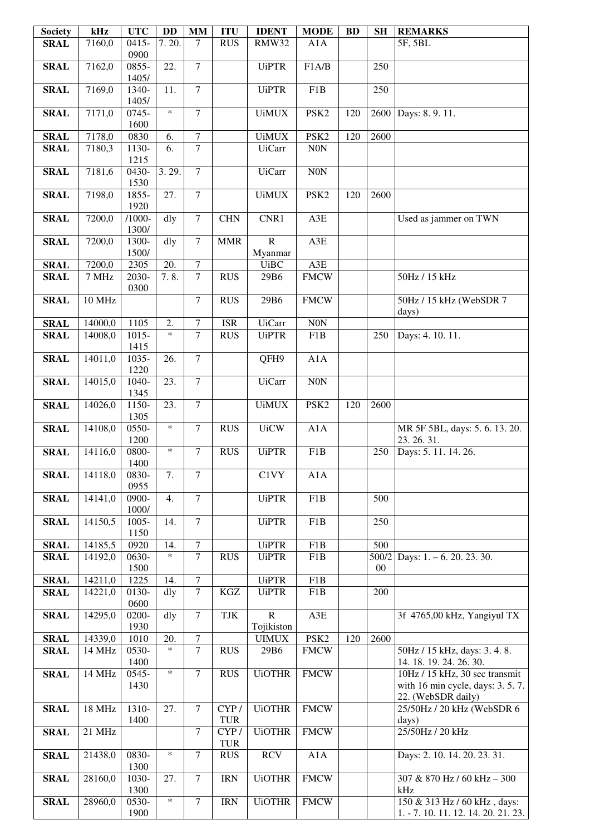| <b>Society</b> | kHz     | <b>UTC</b>        | <b>DD</b>         | <b>MM</b>      | <b>ITU</b> | <b>IDENT</b>               | <b>MODE</b>      | <b>BD</b> | <b>SH</b> | <b>REMARKS</b>                      |
|----------------|---------|-------------------|-------------------|----------------|------------|----------------------------|------------------|-----------|-----------|-------------------------------------|
| <b>SRAL</b>    | 7160,0  | $0415 -$          | 7.20.             | 7              | <b>RUS</b> | <b>RMW32</b>               | A1A              |           |           | 5F, 5BL                             |
|                |         | 0900              |                   |                |            |                            |                  |           |           |                                     |
| <b>SRAL</b>    | 7162,0  | 0855-             | 22.               | 7              |            | <b>UiPTR</b>               | F1A/B            |           | 250       |                                     |
|                |         | 1405/             |                   |                |            |                            |                  |           |           |                                     |
| <b>SRAL</b>    | 7169,0  | 1340-             | 11.               | $\overline{7}$ |            | <b>UiPTR</b>               | F1B              |           | 250       |                                     |
|                |         | 1405/<br>$0745 -$ | $\ast$            | $\overline{7}$ |            |                            |                  |           |           |                                     |
| <b>SRAL</b>    | 7171,0  | 1600              |                   |                |            | <b>UiMUX</b>               | PSK <sub>2</sub> | 120       | 2600      | Days: 8.9.11.                       |
| <b>SRAL</b>    | 7178,0  | 0830              | 6.                | 7              |            | <b>UiMUX</b>               | PSK <sub>2</sub> | 120       | 2600      |                                     |
| <b>SRAL</b>    | 7180,3  | 1130-             | 6.                | $\overline{7}$ |            | <b>UiCarr</b>              | $\rm N0N$        |           |           |                                     |
|                |         | 1215              |                   |                |            |                            |                  |           |           |                                     |
| <b>SRAL</b>    | 7181,6  | 0430-             | 3.29.             | $\overline{7}$ |            | <b>UiCarr</b>              | N0N              |           |           |                                     |
|                |         | 1530              |                   |                |            |                            |                  |           |           |                                     |
| <b>SRAL</b>    | 7198,0  | 1855-             | 27.               | $\overline{7}$ |            | <b>UiMUX</b>               | PSK <sub>2</sub> | 120       | 2600      |                                     |
|                |         | 1920              |                   |                |            |                            |                  |           |           |                                     |
| <b>SRAL</b>    | 7200,0  | $/1000 -$         | dly               | $\overline{7}$ | <b>CHN</b> | CNR1                       | A3E              |           |           | Used as jammer on TWN               |
|                |         | 1300/             |                   |                |            |                            |                  |           |           |                                     |
| <b>SRAL</b>    | 7200,0  | 1300-             | dly               | $\overline{7}$ | <b>MMR</b> | $\overline{R}$             | A3E              |           |           |                                     |
|                |         | 1500/             |                   |                |            | Myanmar                    |                  |           |           |                                     |
| <b>SRAL</b>    | 7200,0  | 2305              | 20.               | 7              |            | <b>UiBC</b>                | $A3E$            |           |           |                                     |
| <b>SRAL</b>    | 7 MHz   | 2030-             | 7.8.              | $\overline{7}$ | <b>RUS</b> | 29B6                       | <b>FMCW</b>      |           |           | 50Hz / 15 kHz                       |
|                |         | 0300              |                   |                |            |                            |                  |           |           |                                     |
| <b>SRAL</b>    | 10 MHz  |                   |                   | $\overline{7}$ | <b>RUS</b> | 29B6                       | <b>FMCW</b>      |           |           | 50Hz / 15 kHz (WebSDR 7             |
| <b>SRAL</b>    | 14000,0 | 1105              | 2.                | 7              | <b>ISR</b> | <b>UiCarr</b>              | N0N              |           |           | days)                               |
| <b>SRAL</b>    | 14008,0 | $1015 -$          | $\ast$            | $\overline{7}$ | <b>RUS</b> | <b>UiPTR</b>               | F1B              |           | 250       | Days: 4. 10. 11.                    |
|                |         | 1415              |                   |                |            |                            |                  |           |           |                                     |
| <b>SRAL</b>    | 14011,0 | 1035-             | 26.               | 7              |            | QFH9                       | A1A              |           |           |                                     |
|                |         | 1220              |                   |                |            |                            |                  |           |           |                                     |
| <b>SRAL</b>    | 14015,0 | 1040-             | 23.               | $\tau$         |            | <b>UiCarr</b>              | N0N              |           |           |                                     |
|                |         | 1345              |                   |                |            |                            |                  |           |           |                                     |
| <b>SRAL</b>    | 14026,0 | 1150-             | 23.               | $\overline{7}$ |            | <b>UiMUX</b>               | PSK <sub>2</sub> | 120       | 2600      |                                     |
|                |         | 1305              |                   |                |            |                            |                  |           |           |                                     |
| <b>SRAL</b>    | 14108,0 | 0550-             | $\ast$            | 7              | <b>RUS</b> | <b>UiCW</b>                | A1A              |           |           | MR 5F 5BL, days: 5.6.13.20.         |
|                |         | 1200              |                   |                |            |                            |                  |           |           | 23.26.31.                           |
| <b>SRAL</b>    | 14116,0 | 0800-             | $\ast$            | 7              | <b>RUS</b> | <b>UiPTR</b>               | F1B              |           | 250       | Days: 5. 11. 14. 26.                |
| <b>SRAL</b>    | 14118,0 | 1400<br>0830-     | 7.                | 7              |            | C1VY                       | A1A              |           |           |                                     |
|                |         | 0955              |                   |                |            |                            |                  |           |           |                                     |
| <b>SRAL</b>    | 14141,0 | 0900-             | 4.                | $\overline{7}$ |            | <b>UiPTR</b>               | F1B              |           | 500       |                                     |
|                |         | 1000/             |                   |                |            |                            |                  |           |           |                                     |
| <b>SRAL</b>    | 14150,5 | 1005-             | $\overline{14}$ . | $\overline{7}$ |            | <b>UiPTR</b>               | F1B              |           | 250       |                                     |
|                |         | 1150              |                   |                |            |                            |                  |           |           |                                     |
| <b>SRAL</b>    | 14185,5 | 0920              | 14.               | $\overline{7}$ |            | <b>UiPTR</b>               | F1B              |           | 500       |                                     |
| <b>SRAL</b>    | 14192,0 | 0630-             | $\ast$            | $\overline{7}$ | <b>RUS</b> | <b>UiPTR</b>               | F1B              |           | 500/2     | Days: 1. - 6. 20. 23. 30.           |
|                |         | 1500              |                   |                |            |                            |                  |           | $00\,$    |                                     |
| <b>SRAL</b>    | 14211,0 | 1225              | 14.               | $\overline{7}$ |            | <b>UiPTR</b>               | F1B              |           |           |                                     |
| <b>SRAL</b>    | 14221,0 | 0130-             | dly               | $\overline{7}$ | KGZ        | <b>UiPTR</b>               | F1B              |           | 200       |                                     |
|                |         | 0600              |                   |                |            |                            |                  |           |           |                                     |
| <b>SRAL</b>    | 14295,0 | 0200-<br>1930     | dly               | $\overline{7}$ | TJK        | $\overline{R}$             | A3E              |           |           | 3f 4765,00 kHz, Yangiyul TX         |
| <b>SRAL</b>    | 14339,0 | 1010              | 20.               | 7              |            | Tojikiston<br><b>UIMUX</b> | PSK <sub>2</sub> | 120       | 2600      |                                     |
| <b>SRAL</b>    | 14 MHz  | 0530-             | $\ast$            | $\overline{7}$ | <b>RUS</b> | 29B6                       | <b>FMCW</b>      |           |           | 50Hz / 15 kHz, days: 3.4.8.         |
|                |         | 1400              |                   |                |            |                            |                  |           |           | 14. 18. 19. 24. 26. 30.             |
| <b>SRAL</b>    | 14 MHz  | 0545-             | $\ast$            | 7              | <b>RUS</b> | <b>UiOTHR</b>              | <b>FMCW</b>      |           |           | 10Hz / 15 kHz, 30 sec transmit      |
|                |         | 1430              |                   |                |            |                            |                  |           |           | with 16 min cycle, days: $3.5.7$ .  |
|                |         |                   |                   |                |            |                            |                  |           |           | 22. (WebSDR daily)                  |
| <b>SRAL</b>    | 18 MHz  | 1310-             | 27.               | $\tau$         | CYP/       | <b>UiOTHR</b>              | <b>FMCW</b>      |           |           | 25/50Hz / 20 kHz (WebSDR 6          |
|                |         | 1400              |                   |                | <b>TUR</b> |                            |                  |           |           | days)                               |
| <b>SRAL</b>    | 21 MHz  |                   |                   | $\tau$         | CYP/       | <b>UiOTHR</b>              | <b>FMCW</b>      |           |           | 25/50Hz / 20 kHz                    |
|                |         |                   |                   |                | <b>TUR</b> |                            |                  |           |           |                                     |
| <b>SRAL</b>    | 21438,0 | 0830-             | $\ast$            | $\overline{7}$ | <b>RUS</b> | <b>RCV</b>                 | A1A              |           |           | Days: 2. 10. 14. 20. 23. 31.        |
|                |         | 1300              |                   | $\overline{7}$ |            |                            |                  |           |           |                                     |
| <b>SRAL</b>    | 28160,0 | 1030-<br>1300     | 27.               |                | <b>IRN</b> | <b>UiOTHR</b>              | <b>FMCW</b>      |           |           | 307 & 870 Hz / 60 kHz - 300<br>kHz  |
| <b>SRAL</b>    | 28960,0 | 0530-             | $\ast$            | 7              | <b>IRN</b> | <b>UiOTHR</b>              | <b>FMCW</b>      |           |           | 150 & 313 Hz / 60 kHz, days:        |
|                |         | 1900              |                   |                |            |                            |                  |           |           | 1. - 7. 10. 11. 12. 14. 20. 21. 23. |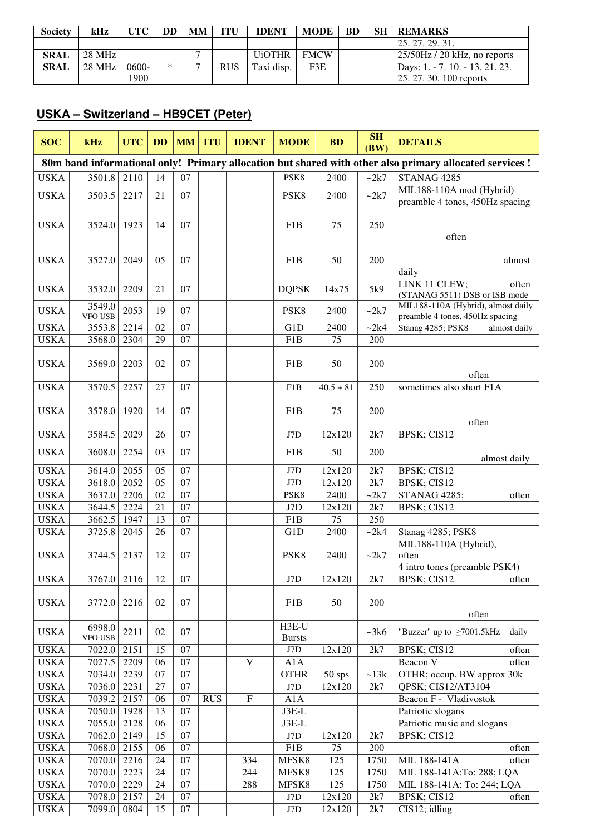| <b>Society</b> | kHz    | <b>UTC</b> | DD     | MМ | ITU        | <b>IDENT</b>  | <b>MODE</b> | <b>BD</b> | <b>SH</b> | <b>REMARKS</b>                  |
|----------------|--------|------------|--------|----|------------|---------------|-------------|-----------|-----------|---------------------------------|
|                |        |            |        |    |            |               |             |           |           | 125, 27, 29, 31.                |
| <b>SRAL</b>    | 28 MHz |            |        |    |            | <b>UIOTHR</b> | <b>FMCW</b> |           |           | $25/50$ Hz / 20 kHz, no reports |
| <b>SRAL</b>    | 28 MHz | 0600-      | $\ast$ |    | <b>RUS</b> | Taxi disp.    | F3E         |           |           | Days: 1. - 7. 10. - 13. 21. 23. |
|                |        | 1900       |        |    |            |               |             |           |           | $[25, 27, 30, 100$ reports      |

#### **USKA – Switzerland – HB9CET (Peter)**

| <b>SOC</b>                                                                                              | kHz               | <b>UTC</b>   | <b>DD</b> | MM | <b>ITU</b> | <b>IDENT</b> | <b>MODE</b>          | <b>BD</b>        | SH<br>(BW) | <b>DETAILS</b>                                                        |  |
|---------------------------------------------------------------------------------------------------------|-------------------|--------------|-----------|----|------------|--------------|----------------------|------------------|------------|-----------------------------------------------------------------------|--|
| 80m band informational only! Primary allocation but shared with other also primary allocated services ! |                   |              |           |    |            |              |                      |                  |            |                                                                       |  |
| <b>USKA</b>                                                                                             | 3501.8            | 2110         | 14        | 07 |            |              | PSK8                 | 2400             | ~2k7       | STANAG 4285                                                           |  |
| <b>USKA</b>                                                                                             | 3503.5            | 2217         | 21        | 07 |            |              | PSK8                 | 2400             | ~2k7       | MIL188-110A mod (Hybrid)<br>preamble 4 tones, 450Hz spacing           |  |
|                                                                                                         |                   |              |           |    |            |              |                      |                  |            |                                                                       |  |
| <b>USKA</b>                                                                                             | 3524.0            | 1923         | 14        | 07 |            |              | F1B                  | 75               | 250        |                                                                       |  |
|                                                                                                         |                   |              |           |    |            |              |                      |                  |            | often                                                                 |  |
| <b>USKA</b>                                                                                             | 3527.0            | 2049         | 05        | 07 |            |              | F1B                  | 50               | 200        | almost<br>daily                                                       |  |
| <b>USKA</b>                                                                                             | 3532.0            | 2209         | 21        | 07 |            |              | <b>DQPSK</b>         | 14x75            | 5k9        | LINK 11 CLEW;<br>often<br>(STANAG 5511) DSB or ISB mode               |  |
| <b>USKA</b>                                                                                             | 3549.0<br>VFO USB | 2053         | 19        | 07 |            |              | PSK <sub>8</sub>     | 2400             | ~2k7       | MIL188-110A (Hybrid), almost daily<br>preamble 4 tones, 450Hz spacing |  |
| <b>USKA</b>                                                                                             | 3553.8            | 2214         | 02        | 07 |            |              | G1D                  | 2400             | ~2k4       | Stanag 4285; PSK8<br>almost daily                                     |  |
| <b>USKA</b>                                                                                             | 3568.0            | 2304         | 29        | 07 |            |              | F1B                  | 75               | 200        |                                                                       |  |
| <b>USKA</b>                                                                                             | 3569.0            | 2203         | 02        | 07 |            |              | F <sub>1</sub> B     | 50               | 200        | often                                                                 |  |
| <b>USKA</b>                                                                                             | 3570.5            | 2257         | 27        | 07 |            |              | F1B                  | $40.5 + 81$      | 250        | sometimes also short F1A                                              |  |
| <b>USKA</b>                                                                                             | 3578.0            | 1920         | 14        | 07 |            |              | F <sub>1</sub> B     | 75               | 200        |                                                                       |  |
|                                                                                                         |                   |              |           |    |            |              |                      |                  |            | often                                                                 |  |
| <b>USKA</b>                                                                                             | 3584.5            | 2029         | 26        | 07 |            |              | J7D                  | 12x120           | 2k7        | BPSK; CIS12                                                           |  |
| <b>USKA</b>                                                                                             | 3608.0            | 2254         | 03        | 07 |            |              | F1B                  | 50               | 200        | almost daily                                                          |  |
| <b>USKA</b>                                                                                             | 3614.0            | 2055         | 05        | 07 |            |              | J7D                  | 12x120           | 2k7        | BPSK; CIS12                                                           |  |
| <b>USKA</b>                                                                                             | 3618.0            | 2052         | 05        | 07 |            |              | J7D                  | 12x120           | 2k7        | BPSK; CIS12                                                           |  |
| <b>USKA</b>                                                                                             | 3637.0            | 2206         | 02        | 07 |            |              | PSK8                 | 2400             | ~2k7       | <b>STANAG 4285;</b><br>often                                          |  |
| <b>USKA</b>                                                                                             | 3644.5            | 2224         | 21        | 07 |            |              | J7D                  | 12x120           | 2k7        | BPSK; CIS12                                                           |  |
| <b>USKA</b>                                                                                             | 3662.5            | 1947         | 13        | 07 |            |              | F1B                  | 75               | 250        |                                                                       |  |
| <b>USKA</b>                                                                                             | 3725.8            | 2045         | 26        | 07 |            |              | G1D                  | 2400             | ~2k4       | Stanag 4285; PSK8<br>MIL188-110A (Hybrid),                            |  |
| <b>USKA</b>                                                                                             | 3744.5            | 2137         | 12        | 07 |            |              | PSK8                 | 2400             | ~2k7       | often<br>4 intro tones (preamble PSK4)                                |  |
| <b>USKA</b>                                                                                             | 3767.0 2116       |              | 12        | 07 |            |              | J7D                  | 12x120           | 2k7        | BPSK; CIS12<br>often                                                  |  |
| <b>USKA</b>                                                                                             | 3772.0            | 2216         | 02        | 07 |            |              | F1B                  | 50               | 200        | often                                                                 |  |
| <b>USKA</b>                                                                                             | 6998.0            | 2211         | 02        | 07 |            |              | H3E-U                |                  | ~28k       | "Buzzer" up to $\geq 7001.5$ kHz<br>daily                             |  |
| <b>USKA</b>                                                                                             | VFO USB<br>7022.0 | 2151         | 15        | 07 |            |              | <b>Bursts</b><br>J7D |                  | 2k7        | BPSK; CIS12                                                           |  |
| <b>USKA</b>                                                                                             | 7027.5            | 2209         | 06        | 07 |            | V            |                      | 12x120           |            | often<br>Beacon V<br>often                                            |  |
| <b>USKA</b>                                                                                             | 7034.0 2239       |              | 07        | 07 |            |              | A1A<br><b>OTHR</b>   |                  | ~13k       | OTHR; occup. BW approx 30k                                            |  |
| <b>USKA</b>                                                                                             | 7036.0            | 2231         | 27        | 07 |            |              | J7D                  | 50 sps<br>12x120 | 2k7        | QPSK; CIS12/AT3104                                                    |  |
| <b>USKA</b>                                                                                             | 7039.2            | 2157         | 06        | 07 | <b>RUS</b> | ${\bf F}$    | A1A                  |                  |            | Beacon F - Vladivostok                                                |  |
|                                                                                                         |                   |              | 13        | 07 |            |              |                      |                  |            |                                                                       |  |
| <b>USKA</b><br><b>USKA</b>                                                                              | 7050.0<br>7055.0  | 1928<br>2128 | 06        | 07 |            |              | $J3E-L$<br>$J3E-L$   |                  |            | Patriotic slogans<br>Patriotic music and slogans                      |  |
| <b>USKA</b>                                                                                             | 7062.0            | 2149         | 15        | 07 |            |              | J7D                  | 12x120           | 2k7        | BPSK; CIS12                                                           |  |
| <b>USKA</b>                                                                                             | 7068.0            | 2155         | 06        | 07 |            |              | F1B                  | 75               | 200        | often                                                                 |  |
| <b>USKA</b>                                                                                             | 7070.0 2216       |              | 24        | 07 |            | 334          | MFSK8                | 125              | 1750       | MIL 188-141A<br>often                                                 |  |
| <b>USKA</b>                                                                                             | 7070.0            | 2223         | 24        | 07 |            | 244          | MFSK8                | 125              | 1750       | MIL 188-141A:To: 288; LQA                                             |  |
| <b>USKA</b>                                                                                             | 7070.0            | 2229         | 24        | 07 |            | 288          | MFSK8                | 125              | 1750       | MIL 188-141A: To: 244; LQA                                            |  |
| <b>USKA</b>                                                                                             | 7078.0            | 2157         | 24        | 07 |            |              | J7D                  | 12x120           | 2k7        | BPSK; CIS12<br>often                                                  |  |
| <b>USKA</b>                                                                                             | 7099.0            | 0804         | 15        | 07 |            |              | $\rm J7D$            | 12x120           | 2k7        | CIS12; idling                                                         |  |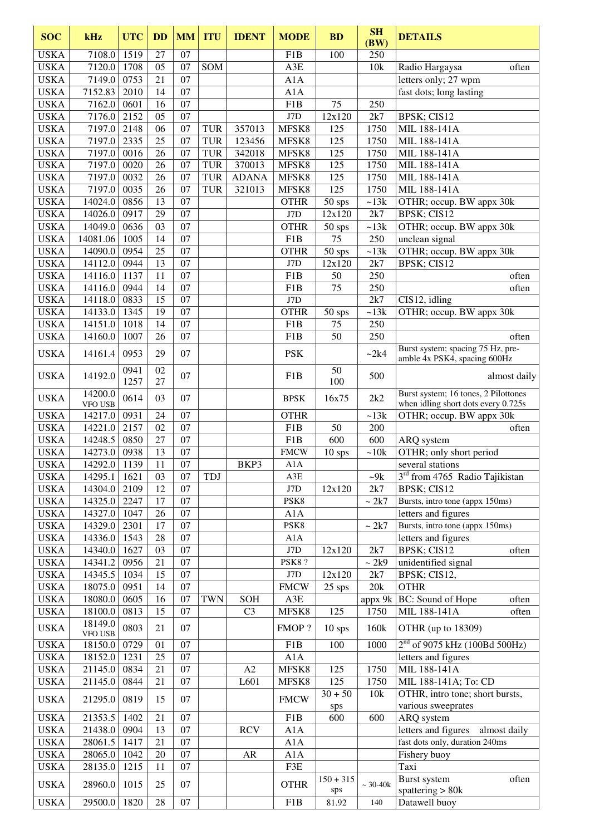| <b>SOC</b>  | kHz                | <b>UTC</b> | <b>DD</b>       | <b>MM</b>       | <b>ITU</b> | <b>IDENT</b>   | <b>MODE</b>      | <b>BD</b>        | SH<br>(BW)        | <b>DETAILS</b>                                        |
|-------------|--------------------|------------|-----------------|-----------------|------------|----------------|------------------|------------------|-------------------|-------------------------------------------------------|
| <b>USKA</b> | 7108.0             | 1519       | 27              | 07              |            |                | F <sub>1</sub> B | 100              | 250               |                                                       |
| <b>USKA</b> | 7120.0             | 1708       | 05              | 07              | SOM        |                | A3E              |                  | 10k               | Radio Hargaysa<br>often                               |
| <b>USKA</b> | 7149.0             | 0753       | 21              | 07              |            |                | A1A              |                  |                   | letters only; 27 wpm                                  |
| <b>USKA</b> | 7152.83            | 2010       | 14              | 07              |            |                | A1A              |                  |                   | fast dots; long lasting                               |
| <b>USKA</b> | 7162.0             | 0601       | 16              | 07              |            |                | F1B              | 75               | 250               |                                                       |
| <b>USKA</b> | 7176.0             | 2152       | 05              | 07              |            |                | $\rm J7D$        | 12x120           | 2k7               | BPSK; CIS12                                           |
| <b>USKA</b> | 7197.0             | 2148       | 06              | 07              | <b>TUR</b> | 357013         | MFSK8            | 125              | 1750              | MIL 188-141A                                          |
| <b>USKA</b> | 7197.0             | 2335       | 25              | 07              | <b>TUR</b> | 123456         | MFSK8            | 125              | 1750              | MIL 188-141A                                          |
| <b>USKA</b> | 7197.0             | 0016       | 26              | 07              | <b>TUR</b> | 342018         | MFSK8            | 125              | 1750              | MIL 188-141A                                          |
| <b>USKA</b> | 7197.0             | 0020       | 26              | 07              | <b>TUR</b> | 370013         | MFSK8            | 125              | 1750              | MIL 188-141A                                          |
| <b>USKA</b> | 7197.0             | 0032       | 26              | 07              | <b>TUR</b> | <b>ADANA</b>   | MFSK8            | 125              | 1750              | MIL 188-141A                                          |
| <b>USKA</b> | 7197.0             | 0035       | 26              | 07              | <b>TUR</b> | 321013         | MFSK8            | 125              | 1750              | MIL 188-141A                                          |
| <b>USKA</b> | 14024.0            | 0856       | 13              | 07              |            |                | <b>OTHR</b>      | 50 sps           | ~13k              | OTHR; occup. BW appx 30k                              |
| <b>USKA</b> | 14026.0            | 0917       | 29              | 07              |            |                | J7D              | 12x120           | 2k7               | BPSK; CIS12                                           |
| <b>USKA</b> | 14049.0            | 0636       | 03              | 07              |            |                | <b>OTHR</b>      | $50$ sps         | ~13k              | OTHR; occup. BW appx 30k                              |
| <b>USKA</b> | 14081.06           | 1005       | 14              | $\overline{07}$ |            |                | F1B              | 75               | 250               | unclean signal                                        |
| <b>USKA</b> | 14090.0            | 0954       | $\overline{25}$ | 07              |            |                | <b>OTHR</b>      | $50$ sps         | ~13k              | OTHR; occup. BW appx 30k                              |
| <b>USKA</b> | 14112.0            | 0944       | 13              | 07              |            |                | J7D              | 12x120           | 2k7               | BPSK; CIS12                                           |
| <b>USKA</b> | 14116.0            | 1137       | 11              | 07              |            |                | F1B              | 50               | 250               | often                                                 |
| <b>USKA</b> | 14116.0            | 0944       | 14              | 07              |            |                | F1B              | 75               | 250               | often                                                 |
| <b>USKA</b> | 14118.0            | 0833       | 15              | 07              |            |                | J7D              |                  | 2k7               | CIS12, idling                                         |
| <b>USKA</b> | 14133.0            | 1345       | 19              | 07              |            |                | <b>OTHR</b>      | $50$ sps         | ~13k              | OTHR; occup. BW appx 30k                              |
| <b>USKA</b> | 14151.0            | 1018       | 14              | 07              |            |                | F <sub>1</sub> B | 75               | 250               |                                                       |
| <b>USKA</b> | 14160.0            | 1007       | 26              | 07              |            |                | F1B              | 50               | 250               | often                                                 |
|             |                    |            |                 |                 |            |                |                  |                  |                   | Burst system; spacing 75 Hz, pre-                     |
| <b>USKA</b> | 14161.4            | 0953       | 29              | 07              |            |                | <b>PSK</b>       |                  | ~2k4              | amble 4x PSK4, spacing 600Hz                          |
| <b>USKA</b> | 14192.0            | 0941       | 02              | 07              |            |                | F1B              | 50               | 500               | almost daily                                          |
|             | 14200.0            | 1257       | 27              |                 |            |                |                  | 100              |                   | Burst system; 16 tones, 2 Pilottones                  |
| <b>USKA</b> | VFO USB            | 0614       | 03              | 07              |            |                | <b>BPSK</b>      | 16x75            | 2k2               | when idling short dots every 0.725s                   |
| <b>USKA</b> | 14217.0            | 0931       | 24              | 07              |            |                | <b>OTHR</b>      |                  | ~13k              | OTHR; occup. BW appx 30k                              |
| <b>USKA</b> | 14221.0            | 2157       | 02              | 07              |            |                | F <sub>1</sub> B | 50               | 200               | often                                                 |
| <b>USKA</b> | 14248.5            | 0850       | 27              | 07              |            |                | F <sub>1</sub> B | 600              | 600               | ARQ system                                            |
| <b>USKA</b> | 14273.0            | 0938       | 13              | 07              |            |                | <b>FMCW</b>      | $10$ sps         | ~10k              | OTHR; only short period                               |
| <b>USKA</b> | 14292.0            | 1139       | 11              | 07              |            | BKP3           | A1A              |                  |                   | several stations                                      |
| <b>USKA</b> | 14295.1            | 1621       | 03              | 07              | TDJ        |                | A3E              |                  | $-9k$             | $3rd$ from 4765 Radio Tajikistan                      |
| <b>USKA</b> | 14304.0            | 2109       | 12              | 07              |            |                | J7D              | 12x120           | 2k7               | BPSK; CIS12                                           |
| <b>USKA</b> | 14325.0            | 2247       | 17              | 07              |            |                | PSK8             |                  | $\sim 2\text{k}7$ | Bursts, intro tone (appx 150ms)                       |
| <b>USKA</b> | 14327.0            | 1047       | 26              | 07              |            |                | A1A              |                  |                   | letters and figures                                   |
| <b>USKA</b> | 14329.0            | 2301       | 17              | 07              |            |                | PSK8             |                  | ~2k7              | Bursts, intro tone (appx 150ms)                       |
| <b>USKA</b> | 14336.0            | 1543       | 28              | 07              |            |                | A1A              |                  |                   | letters and figures                                   |
| <b>USKA</b> | 14340.0            | 1627       | 03              | 07              |            |                | J7D              | 12x120           | 2k7               | BPSK; CIS12<br>often                                  |
| <b>USKA</b> | 14341.2            | 0956       | 21              | 07              |            |                | <b>PSK8?</b>     |                  | $\sim$ 2k9        | unidentified signal                                   |
| <b>USKA</b> | 14345.5            | 1034       | 15              | 07              |            |                | J7D              | 12x120           | 2k7               | BPSK; CIS12,                                          |
| <b>USKA</b> | 18075.0            | 0951       | 14              | 07              |            |                | <b>FMCW</b>      | 25 sps           | 20k               | <b>OTHR</b>                                           |
| <b>USKA</b> | 18080.0            | 0605       | 16              | 07              | <b>TWN</b> | <b>SOH</b>     | A3E              |                  | appx 9k           | BC: Sound of Hope<br>often                            |
| <b>USKA</b> | 18100.0            | 0813       | 15              | 07              |            | C <sub>3</sub> | MFSK8            | 125              | 1750              | MIL 188-141A<br>often                                 |
| <b>USKA</b> | 18149.0<br>VFO USB | 0803       | 21              | 07              |            |                | FMOP?            | $10$ sps         | 160k              | OTHR (up to 18309)                                    |
| <b>USKA</b> | 18150.0            | 0729       | 01              | 07              |            |                | F1B              | 100              | 1000              | $2nd$ of 9075 kHz (100Bd 500Hz)                       |
| <b>USKA</b> | 18152.0            | 1231       | 25              | 07              |            |                | A1A              |                  |                   | letters and figures                                   |
| <b>USKA</b> | 21145.0            | 0834       | 21              | 07              |            | A2             | MFSK8            | 125              | 1750              | MIL 188-141A                                          |
| <b>USKA</b> | 21145.0            | 0844       | 21              | 07              |            | L601           | MFSK8            | 125              | 1750              | MIL 188-141A; To: CD                                  |
| <b>USKA</b> | 21295.0            | 0819       | 15              | 07              |            |                | <b>FMCW</b>      | $30 + 50$<br>sps | 10k               | OTHR, intro tone; short bursts,<br>various sweeprates |
| <b>USKA</b> | 21353.5            | 1402       | 21              | 07              |            |                | F1B              | 600              | 600               | ARQ system                                            |
| <b>USKA</b> | 21438.0            | 0904       | 13              | 07              |            | <b>RCV</b>     | A1A              |                  |                   | letters and figures<br>almost daily                   |
| <b>USKA</b> | 28061.5            | 1417       | 21              | 07              |            |                | A1A              |                  |                   | fast dots only, duration 240ms                        |
| <b>USKA</b> | 28065.0            | 1042       | 20              | 07              |            | AR             | A1A              |                  |                   | Fishery buoy                                          |
| <b>USKA</b> | 28135.0            | 1215       | 11              | 07              |            |                | F3E              |                  |                   | Taxi                                                  |
|             |                    |            |                 |                 |            |                |                  | $150 + 315$      |                   | Burst system<br>often                                 |
| <b>USKA</b> | 28960.0            | 1015       | 25              | 07              |            |                | <b>OTHR</b>      | sps              | $~20-40k$         | spattering $> 80k$                                    |
| <b>USKA</b> | 29500.0            | 1820       | 28              | 07              |            |                | F1B              | 81.92            | 140               | Datawell buoy                                         |